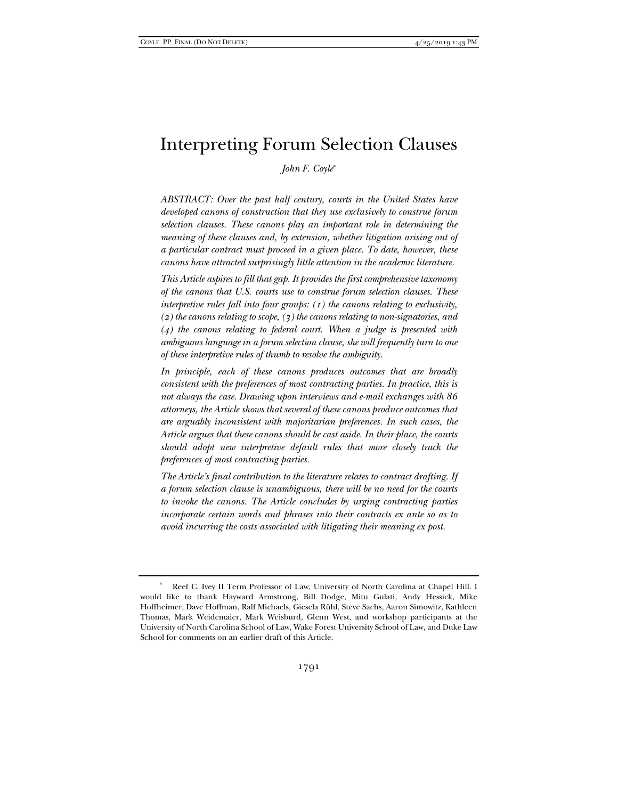# Interpreting Forum Selection Clauses

*John F. Coyle*\*

*ABSTRACT: Over the past half century, courts in the United States have developed canons of construction that they use exclusively to construe forum selection clauses. These canons play an important role in determining the meaning of these clauses and, by extension, whether litigation arising out of a particular contract must proceed in a given place. To date, however, these canons have attracted surprisingly little attention in the academic literature.* 

*This Article aspires to fill that gap. It provides the first comprehensive taxonomy of the canons that U.S. courts use to construe forum selection clauses. These interpretive rules fall into four groups: (1) the canons relating to exclusivity, (2) the canons relating to scope, (3) the canons relating to non-signatories, and (4) the canons relating to federal court. When a judge is presented with ambiguous language in a forum selection clause, she will frequently turn to one of these interpretive rules of thumb to resolve the ambiguity.* 

*In principle, each of these canons produces outcomes that are broadly consistent with the preferences of most contracting parties. In practice, this is not always the case. Drawing upon interviews and e-mail exchanges with 86 attorneys, the Article shows that several of these canons produce outcomes that are arguably inconsistent with majoritarian preferences. In such cases, the Article argues that these canons should be cast aside. In their place, the courts should adopt new interpretive default rules that more closely track the preferences of most contracting parties.* 

*The Article's final contribution to the literature relates to contract drafting. If a forum selection clause is unambiguous, there will be no need for the courts to invoke the canons. The Article concludes by urging contracting parties incorporate certain words and phrases into their contracts ex ante so as to avoid incurring the costs associated with litigating their meaning ex post.* 

Reef C. Ivey II Term Professor of Law, University of North Carolina at Chapel Hill. I would like to thank Hayward Armstrong, Bill Dodge, Mitu Gulati, Andy Hessick, Mike Hoffheimer, Dave Hoffman, Ralf Michaels, Giesela Rühl, Steve Sachs, Aaron Simowitz, Kathleen Thomas, Mark Weidemaier, Mark Weisburd, Glenn West, and workshop participants at the University of North Carolina School of Law, Wake Forest University School of Law, and Duke Law School for comments on an earlier draft of this Article.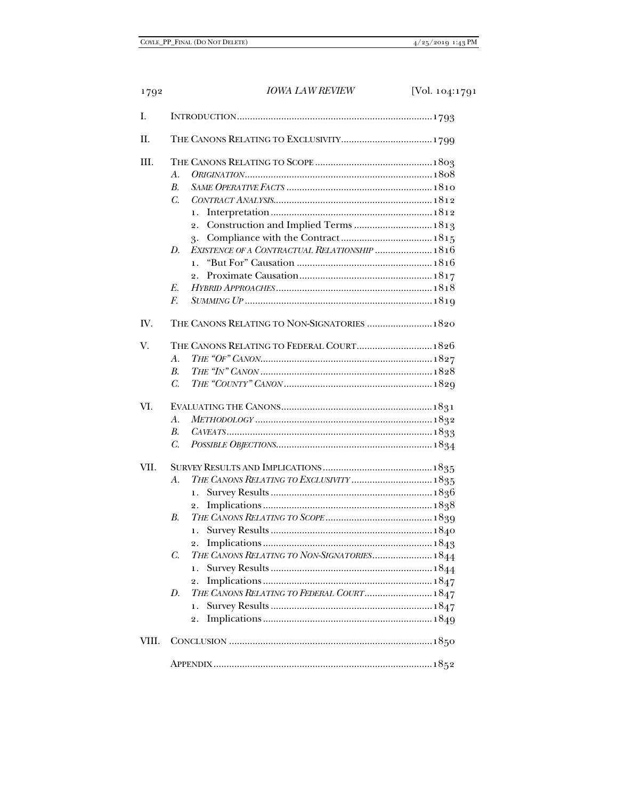| Ι.    |                                                                                                       |  |  |  |
|-------|-------------------------------------------------------------------------------------------------------|--|--|--|
| Η.    |                                                                                                       |  |  |  |
| III.  | $A$ .<br>В.<br>C.<br>ı.<br>Construction and Implied Terms  1813<br>2.<br>3.                           |  |  |  |
|       | EXISTENCE OF A CONTRACTUAL RELATIONSHIP  1816<br>D.<br>$\mathbf{1}$ .<br>$\overline{2}$ .<br>E.<br>F. |  |  |  |
| IV.   | THE CANONS RELATING TO NON-SIGNATORIES  1820                                                          |  |  |  |
| V.    | THE CANONS RELATING TO FEDERAL COURT 1826<br>A.<br>В.<br>$C$ .                                        |  |  |  |
| VI.   | A.<br>В.<br>C.                                                                                        |  |  |  |
| VII.  | THE CANONS RELATING TO EXCLUSIVITY  1835<br>$A_{\cdot}$<br>1.<br>2.                                   |  |  |  |
|       | В.<br>1.<br>2.<br>THE CANONS RELATING TO NON-SIGNATORIES 1844<br>C.<br>ı.                             |  |  |  |
|       | 2.<br>THE CANONS RELATING TO FEDERAL COURT 1847<br>D.<br>ı.<br>2.                                     |  |  |  |
| VIII. |                                                                                                       |  |  |  |
|       |                                                                                                       |  |  |  |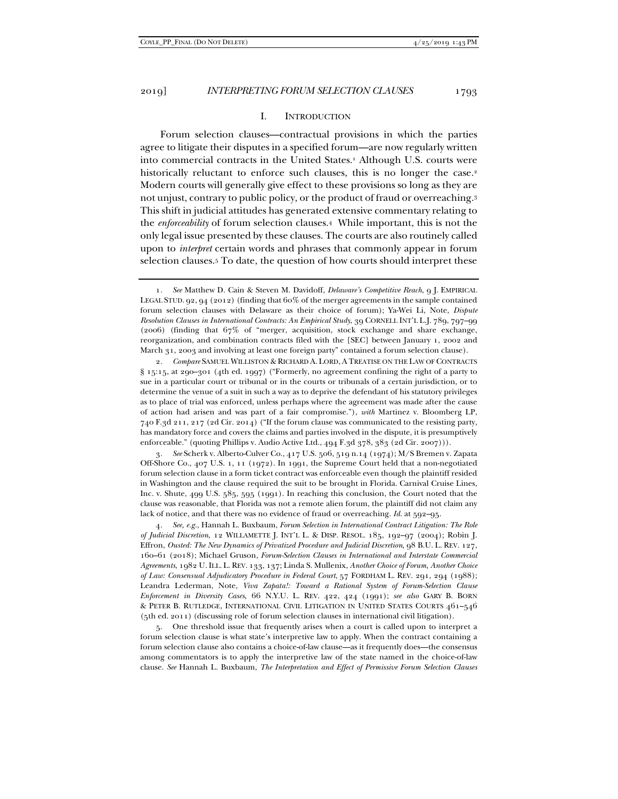#### I. INTRODUCTION

Forum selection clauses—contractual provisions in which the parties agree to litigate their disputes in a specified forum—are now regularly written into commercial contracts in the United States.<sup>1</sup> Although U.S. courts were historically reluctant to enforce such clauses, this is no longer the case.<sup>2</sup> Modern courts will generally give effect to these provisions so long as they are not unjust, contrary to public policy, or the product of fraud or overreaching.3 This shift in judicial attitudes has generated extensive commentary relating to the *enforceability* of forum selection clauses.4 While important, this is not the only legal issue presented by these clauses. The courts are also routinely called upon to *interpret* certain words and phrases that commonly appear in forum selection clauses.5 To date, the question of how courts should interpret these

2*. Compare* SAMUEL WILLISTON & RICHARD A. LORD, A TREATISE ON THE LAW OF CONTRACTS § 15:15, at 290–301 (4th ed. 1997) ("Formerly, no agreement confining the right of a party to sue in a particular court or tribunal or in the courts or tribunals of a certain jurisdiction, or to determine the venue of a suit in such a way as to deprive the defendant of his statutory privileges as to place of trial was enforced, unless perhaps where the agreement was made after the cause of action had arisen and was part of a fair compromise."), *with* Martinez v. Bloomberg LP, 740 F.3d 211, 217 (2d Cir. 2014) ("If the forum clause was communicated to the resisting party, has mandatory force and covers the claims and parties involved in the dispute, it is presumptively enforceable." (quoting Phillips v. Audio Active Ltd., 494 F.3d 378, 383 (2d Cir. 2007))).

3*. See* Scherk v. Alberto-Culver Co., 417 U.S. 506, 519 n.14 (1974); M/S Bremen v. Zapata Off-Shore Co., 407 U.S. 1, 11 (1972). In 1991, the Supreme Court held that a non-negotiated forum selection clause in a form ticket contract was enforceable even though the plaintiff resided in Washington and the clause required the suit to be brought in Florida. Carnival Cruise Lines, Inc. v. Shute, 499 U.S. 585, 595 (1991). In reaching this conclusion, the Court noted that the clause was reasonable, that Florida was not a remote alien forum, the plaintiff did not claim any lack of notice, and that there was no evidence of fraud or overreaching. *Id.* at 592–95.

4*. See, e.g.*, Hannah L. Buxbaum, *Forum Selection in International Contract Litigation: The Role of Judicial Discretion*, 12 WILLAMETTE J. INT'L L. & DISP. RESOL. 185, 192–97 (2004); Robin J. Effron, *Ousted: The New Dynamics of Privatized Procedure and Judicial Discretion*, 98 B.U. L. REV. 127, 160–61 (2018); Michael Gruson, *Forum-Selection Clauses in International and Interstate Commercial Agreements*, 1982 U. ILL. L. REV. 133, 137; Linda S. Mullenix, *Another Choice of Forum, Another Choice of Law: Consensual Adjudicatory Procedure in Federal Court*, 57 FORDHAM L. REV. 291, 294 (1988); Leandra Lederman, Note, *Viva Zapata!: Toward a Rational System of Forum-Selection Clause Enforcement in Diversity Cases*, 66 N.Y.U. L. REV. 422, 424 (1991); *see also* GARY B. BORN & PETER B. RUTLEDGE, INTERNATIONAL CIVIL LITIGATION IN UNITED STATES COURTS 461–546 (5th ed. 2011) (discussing role of forum selection clauses in international civil litigation).

 5. One threshold issue that frequently arises when a court is called upon to interpret a forum selection clause is what state's interpretive law to apply. When the contract containing a forum selection clause also contains a choice-of-law clause—as it frequently does—the consensus among commentators is to apply the interpretive law of the state named in the choice-of-law clause. *See* Hannah L. Buxbaum, *The Interpretation and Effect of Permissive Forum Selection Clauses* 

<sup>1</sup>*. See* Matthew D. Cain & Steven M. Davidoff, *Delaware's Competitive Reach*, 9 J. EMPIRICAL LEGAL STUD. 92, 94 (2012) (finding that  $60\%$  of the merger agreements in the sample contained forum selection clauses with Delaware as their choice of forum); Ya-Wei Li, Note, *Dispute Resolution Clauses in International Contracts: An Empirical Study*, 39 CORNELL INT'L L.J. 789, 797–99 (2006) (finding that 67% of "merger, acquisition, stock exchange and share exchange, reorganization, and combination contracts filed with the [SEC] between January 1, 2002 and March 31, 2003 and involving at least one foreign party" contained a forum selection clause).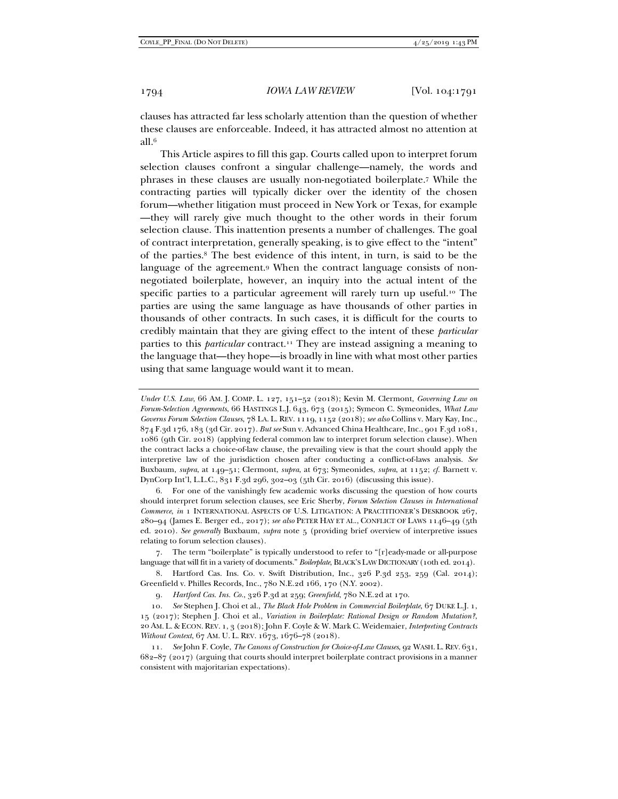clauses has attracted far less scholarly attention than the question of whether these clauses are enforceable. Indeed, it has attracted almost no attention at all.6

This Article aspires to fill this gap. Courts called upon to interpret forum selection clauses confront a singular challenge—namely, the words and phrases in these clauses are usually non-negotiated boilerplate.7 While the contracting parties will typically dicker over the identity of the chosen forum—whether litigation must proceed in New York or Texas, for example —they will rarely give much thought to the other words in their forum selection clause. This inattention presents a number of challenges. The goal of contract interpretation, generally speaking, is to give effect to the "intent" of the parties.8 The best evidence of this intent, in turn, is said to be the language of the agreement.9 When the contract language consists of nonnegotiated boilerplate, however, an inquiry into the actual intent of the specific parties to a particular agreement will rarely turn up useful.<sup>10</sup> The parties are using the same language as have thousands of other parties in thousands of other contracts. In such cases, it is difficult for the courts to credibly maintain that they are giving effect to the intent of these *particular* parties to this *particular* contract.11 They are instead assigning a meaning to the language that—they hope—is broadly in line with what most other parties using that same language would want it to mean.

 6. For one of the vanishingly few academic works discussing the question of how courts should interpret forum selection clauses, see Eric Sherby, *Forum Selection Clauses in International Commerce*, *in* 1 INTERNATIONAL ASPECTS OF U.S. LITIGATION: A PRACTITIONER'S DESKBOOK 267, 280–94 (James E. Berger ed., 2017); *see also* PETER HAY ET AL., CONFLICT OF LAWS 1146–49 (5th ed. 2010). *See generally* Buxbaum, *supra* note 5 (providing brief overview of interpretive issues relating to forum selection clauses).

 7. The term "boilerplate" is typically understood to refer to "[r]eady-made or all-purpose language that will fit in a variety of documents." *Boilerplate*, BLACK'S LAW DICTIONARY (10th ed. 2014).

 8. Hartford Cas. Ins. Co. v. Swift Distribution, Inc., 326 P.3d 253, 259 (Cal. 2014); Greenfield v. Philles Records, Inc., 780 N.E.2d 166, 170 (N.Y. 2002).

9*. Hartford Cas. Ins. Co.*, 326 P.3d at 259; *Greenfield*, 780 N.E.2d at 170.

10*. See* Stephen J. Choi et al., *The Black Hole Problem in Commercial Boilerplate*, 67 DUKE L.J. 1, 15 (2017); Stephen J. Choi et al., *Variation in Boilerplate: Rational Design or Random Mutation?*, 20 AM. L. & ECON. REV. 1, 3 (2018); John F. Coyle & W. Mark C. Weidemaier, *Interpreting Contracts Without Context*, 67 AM. U. L. REV. 1673, 1676–78 (2018).

11*. See* John F. Coyle, *The Canons of Construction for Choice-of-Law Clauses*, 92 WASH. L. REV. 631, 682–87 (2017) (arguing that courts should interpret boilerplate contract provisions in a manner consistent with majoritarian expectations).

*Under U.S. Law*, 66 AM. J. COMP. L. 127, 151–52 (2018); Kevin M. Clermont, *Governing Law on Forum-Selection Agreements*, 66 HASTINGS L.J. 643, 673 (2015); Symeon C. Symeonides, *What Law Governs Forum Selection Clauses*, 78 LA. L. REV. 1119, 1152 (2018); *see also* Collins v. Mary Kay, Inc., 874 F.3d 176, 183 (3d Cir. 2017). *But see* Sun v. Advanced China Healthcare, Inc., 901 F.3d 1081, 1086 (9th Cir. 2018) (applying federal common law to interpret forum selection clause). When the contract lacks a choice-of-law clause, the prevailing view is that the court should apply the interpretive law of the jurisdiction chosen after conducting a conflict-of-laws analysis. *See*  Buxbaum, *supra*, at 149–51; Clermont, *supra*, at 673; Symeonides, *supra*, at 1152; *cf.* Barnett v. DynCorp Int'l, L.L.C., 831 F.3d 296, 302–03 (5th Cir. 2016) (discussing this issue).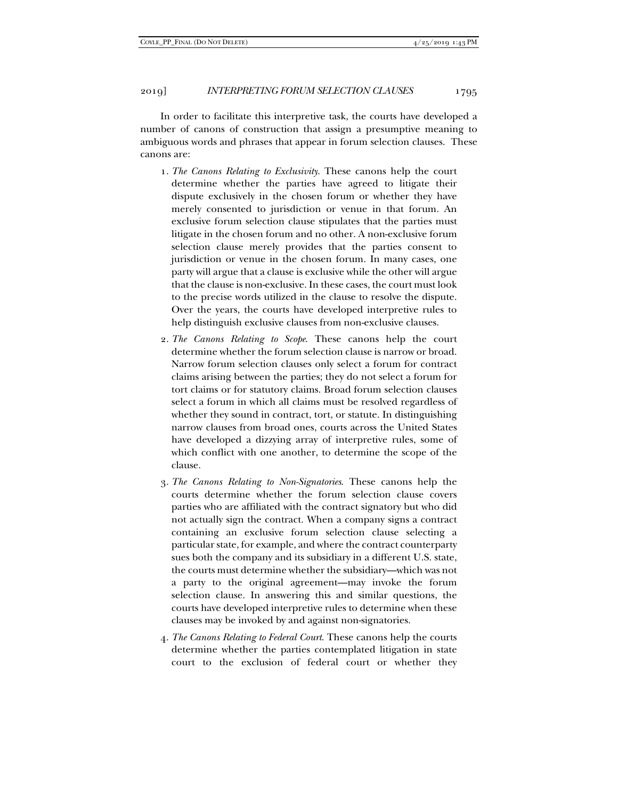2019] *INTERPRETING FORUM SELECTION CLAUSES* 1795

In order to facilitate this interpretive task, the courts have developed a number of canons of construction that assign a presumptive meaning to ambiguous words and phrases that appear in forum selection clauses. These canons are:

- 1. *The Canons Relating to Exclusivity*. These canons help the court determine whether the parties have agreed to litigate their dispute exclusively in the chosen forum or whether they have merely consented to jurisdiction or venue in that forum. An exclusive forum selection clause stipulates that the parties must litigate in the chosen forum and no other. A non-exclusive forum selection clause merely provides that the parties consent to jurisdiction or venue in the chosen forum. In many cases, one party will argue that a clause is exclusive while the other will argue that the clause is non-exclusive. In these cases, the court must look to the precise words utilized in the clause to resolve the dispute. Over the years, the courts have developed interpretive rules to help distinguish exclusive clauses from non-exclusive clauses.
- 2. *The Canons Relating to Scope*. These canons help the court determine whether the forum selection clause is narrow or broad. Narrow forum selection clauses only select a forum for contract claims arising between the parties; they do not select a forum for tort claims or for statutory claims. Broad forum selection clauses select a forum in which all claims must be resolved regardless of whether they sound in contract, tort, or statute. In distinguishing narrow clauses from broad ones, courts across the United States have developed a dizzying array of interpretive rules, some of which conflict with one another, to determine the scope of the clause.
- 3. *The Canons Relating to Non-Signatories*. These canons help the courts determine whether the forum selection clause covers parties who are affiliated with the contract signatory but who did not actually sign the contract. When a company signs a contract containing an exclusive forum selection clause selecting a particular state, for example, and where the contract counterparty sues both the company and its subsidiary in a different U.S. state, the courts must determine whether the subsidiary—which was not a party to the original agreement—may invoke the forum selection clause. In answering this and similar questions, the courts have developed interpretive rules to determine when these clauses may be invoked by and against non-signatories.
- 4. *The Canons Relating to Federal Court*. These canons help the courts determine whether the parties contemplated litigation in state court to the exclusion of federal court or whether they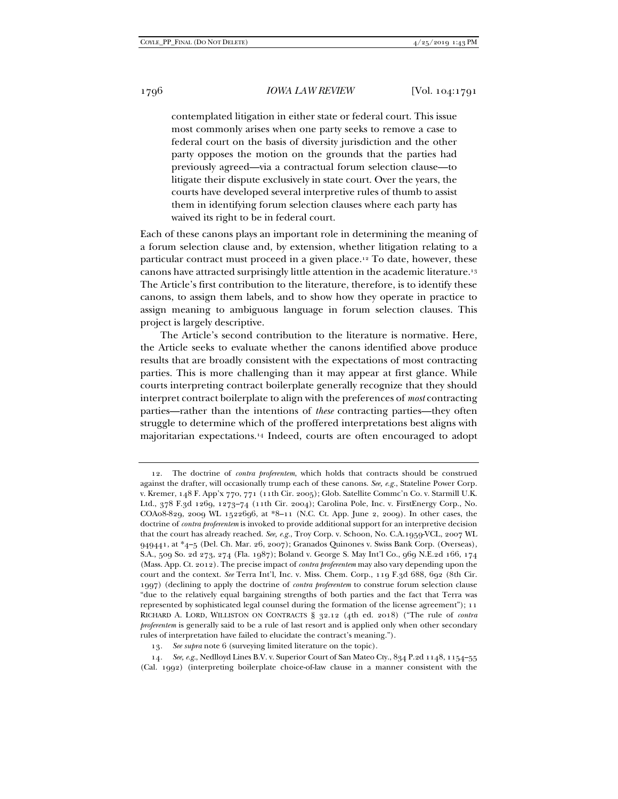contemplated litigation in either state or federal court. This issue most commonly arises when one party seeks to remove a case to federal court on the basis of diversity jurisdiction and the other party opposes the motion on the grounds that the parties had previously agreed—via a contractual forum selection clause—to litigate their dispute exclusively in state court. Over the years, the courts have developed several interpretive rules of thumb to assist them in identifying forum selection clauses where each party has waived its right to be in federal court.

Each of these canons plays an important role in determining the meaning of a forum selection clause and, by extension, whether litigation relating to a particular contract must proceed in a given place.12 To date, however, these canons have attracted surprisingly little attention in the academic literature.13 The Article's first contribution to the literature, therefore, is to identify these canons, to assign them labels, and to show how they operate in practice to assign meaning to ambiguous language in forum selection clauses. This project is largely descriptive.

The Article's second contribution to the literature is normative. Here, the Article seeks to evaluate whether the canons identified above produce results that are broadly consistent with the expectations of most contracting parties. This is more challenging than it may appear at first glance. While courts interpreting contract boilerplate generally recognize that they should interpret contract boilerplate to align with the preferences of *most* contracting parties—rather than the intentions of *these* contracting parties—they often struggle to determine which of the proffered interpretations best aligns with majoritarian expectations.14 Indeed, courts are often encouraged to adopt

 <sup>12.</sup> The doctrine of *contra proferentem*, which holds that contracts should be construed against the drafter, will occasionally trump each of these canons. *See, e.g.*, Stateline Power Corp. v. Kremer, 148 F. App'x 770, 771 (11th Cir. 2005); Glob. Satellite Commc'n Co. v. Starmill U.K. Ltd., 378 F.3d 1269, 1273–74 (11th Cir. 2004); Carolina Pole, Inc. v. FirstEnergy Corp., No. COA08-829, 2009 WL 1522696, at \*8–11 (N.C. Ct. App. June 2, 2009). In other cases, the doctrine of *contra proferentem* is invoked to provide additional support for an interpretive decision that the court has already reached. *See, e.g.*, Troy Corp. v. Schoon, No. C.A.1959-VCL, 2007 WL 949441, at \*4–5 (Del. Ch. Mar. 26, 2007); Granados Quinones v. Swiss Bank Corp. (Overseas), S.A., 509 So. 2d 273, 274 (Fla. 1987); Boland v. George S. May Int'l Co., 969 N.E.2d 166, 174 (Mass. App. Ct. 2012). The precise impact of *contra proferentem* may also vary depending upon the court and the context. *See* Terra Int'l, Inc. v. Miss. Chem. Corp., 119 F.3d 688, 692 (8th Cir. 1997) (declining to apply the doctrine of *contra proferentem* to construe forum selection clause "due to the relatively equal bargaining strengths of both parties and the fact that Terra was represented by sophisticated legal counsel during the formation of the license agreement"); 11 RICHARD A. LORD, WILLISTON ON CONTRACTS § 32.12 (4th ed. 2018) ("The rule of *contra proferentem* is generally said to be a rule of last resort and is applied only when other secondary rules of interpretation have failed to elucidate the contract's meaning.").

<sup>13</sup>*. See supra* note 6 (surveying limited literature on the topic).

<sup>14</sup>*. See, e.g.*, Nedlloyd Lines B.V. v. Superior Court of San Mateo Cty., 834 P.2d 1148, 1154–55 (Cal. 1992) (interpreting boilerplate choice-of-law clause in a manner consistent with the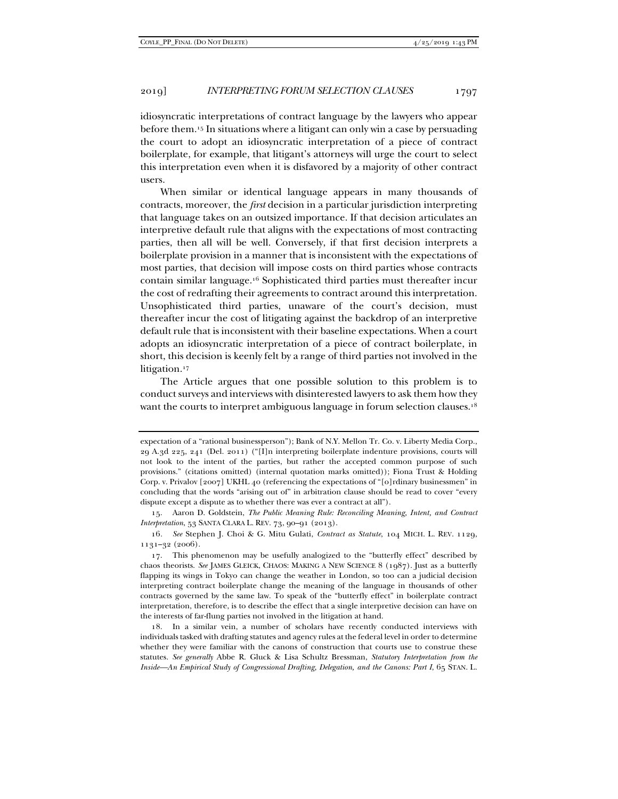idiosyncratic interpretations of contract language by the lawyers who appear before them.15 In situations where a litigant can only win a case by persuading the court to adopt an idiosyncratic interpretation of a piece of contract boilerplate, for example, that litigant's attorneys will urge the court to select this interpretation even when it is disfavored by a majority of other contract users.

When similar or identical language appears in many thousands of contracts, moreover, the *first* decision in a particular jurisdiction interpreting that language takes on an outsized importance. If that decision articulates an interpretive default rule that aligns with the expectations of most contracting parties, then all will be well. Conversely, if that first decision interprets a boilerplate provision in a manner that is inconsistent with the expectations of most parties, that decision will impose costs on third parties whose contracts contain similar language.16 Sophisticated third parties must thereafter incur the cost of redrafting their agreements to contract around this interpretation. Unsophisticated third parties, unaware of the court's decision, must thereafter incur the cost of litigating against the backdrop of an interpretive default rule that is inconsistent with their baseline expectations. When a court adopts an idiosyncratic interpretation of a piece of contract boilerplate, in short, this decision is keenly felt by a range of third parties not involved in the litigation.<sup>17</sup>

The Article argues that one possible solution to this problem is to conduct surveys and interviews with disinterested lawyers to ask them how they want the courts to interpret ambiguous language in forum selection clauses.<sup>18</sup>

expectation of a "rational businessperson"); Bank of N.Y. Mellon Tr. Co. v. Liberty Media Corp., 29 A.3d 225, 241 (Del. 2011) ("[I]n interpreting boilerplate indenture provisions, courts will not look to the intent of the parties, but rather the accepted common purpose of such provisions." (citations omitted) (internal quotation marks omitted)); Fiona Trust & Holding Corp. v. Privalov [2007] UKHL 40 (referencing the expectations of "[o]rdinary businessmen" in concluding that the words "arising out of" in arbitration clause should be read to cover "every dispute except a dispute as to whether there was ever a contract at all").

 <sup>15.</sup> Aaron D. Goldstein, *The Public Meaning Rule: Reconciling Meaning, Intent, and Contract Interpretation*, 53 SANTA CLARA L. REV. 73, 90–91 (2013).

<sup>16</sup>*. See* Stephen J. Choi & G. Mitu Gulati, *Contract as Statute*, 104 MICH. L. REV. 1129, 1131–32 (2006).

 <sup>17.</sup> This phenomenon may be usefully analogized to the "butterfly effect" described by chaos theorists. *See* JAMES GLEICK, CHAOS: MAKING A NEW SCIENCE 8 (1987). Just as a butterfly flapping its wings in Tokyo can change the weather in London, so too can a judicial decision interpreting contract boilerplate change the meaning of the language in thousands of other contracts governed by the same law. To speak of the "butterfly effect" in boilerplate contract interpretation, therefore, is to describe the effect that a single interpretive decision can have on the interests of far-flung parties not involved in the litigation at hand.

 <sup>18.</sup> In a similar vein, a number of scholars have recently conducted interviews with individuals tasked with drafting statutes and agency rules at the federal level in order to determine whether they were familiar with the canons of construction that courts use to construe these statutes. *See generally* Abbe R. Gluck & Lisa Schultz Bressman, *Statutory Interpretation from the Inside—An Empirical Study of Congressional Drafting, Delegation, and the Canons: Part I*, 65 STAN. L.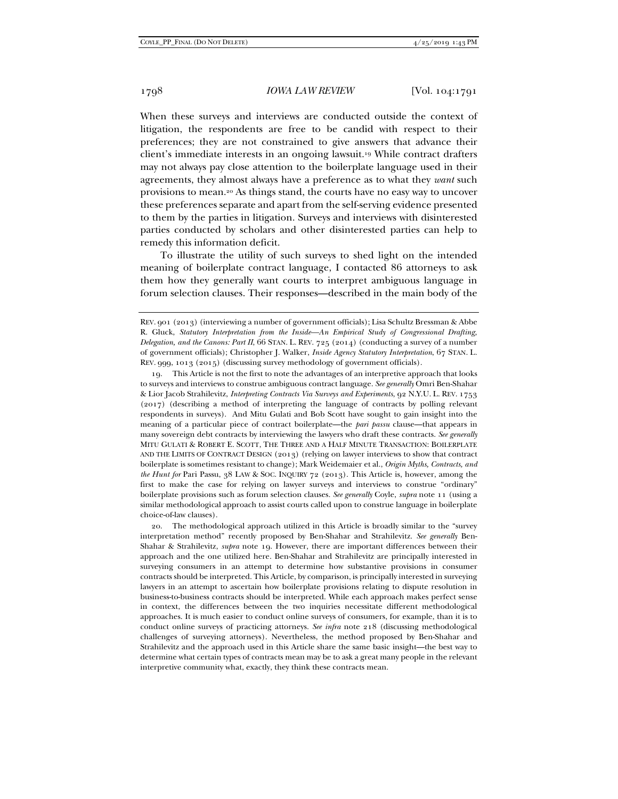When these surveys and interviews are conducted outside the context of litigation, the respondents are free to be candid with respect to their preferences; they are not constrained to give answers that advance their client's immediate interests in an ongoing lawsuit.19 While contract drafters may not always pay close attention to the boilerplate language used in their agreements, they almost always have a preference as to what they *want* such provisions to mean.20 As things stand, the courts have no easy way to uncover these preferences separate and apart from the self-serving evidence presented to them by the parties in litigation. Surveys and interviews with disinterested parties conducted by scholars and other disinterested parties can help to remedy this information deficit.

To illustrate the utility of such surveys to shed light on the intended meaning of boilerplate contract language, I contacted 86 attorneys to ask them how they generally want courts to interpret ambiguous language in forum selection clauses. Their responses—described in the main body of the

 19. This Article is not the first to note the advantages of an interpretive approach that looks to surveys and interviews to construe ambiguous contract language. *See generally* Omri Ben-Shahar & Lior Jacob Strahilevitz, *Interpreting Contracts Via Surveys and Experiments*, 92 N.Y.U. L. REV. 1753 (2017) (describing a method of interpreting the language of contracts by polling relevant respondents in surveys). And Mitu Gulati and Bob Scott have sought to gain insight into the meaning of a particular piece of contract boilerplate—the *pari passu* clause—that appears in many sovereign debt contracts by interviewing the lawyers who draft these contracts. *See generally*  MITU GULATI & ROBERT E. SCOTT, THE THREE AND A HALF MINUTE TRANSACTION: BOILERPLATE AND THE LIMITS OF CONTRACT DESIGN (2013) (relying on lawyer interviews to show that contract boilerplate is sometimes resistant to change); Mark Weidemaier et al., *Origin Myths, Contracts, and the Hunt for* Pari Passu, 38 LAW & SOC. INQUIRY 72 (2013). This Article is, however, among the first to make the case for relying on lawyer surveys and interviews to construe "ordinary" boilerplate provisions such as forum selection clauses. *See generally* Coyle, *supra* note 11 (using a similar methodological approach to assist courts called upon to construe language in boilerplate choice-of-law clauses).

 20. The methodological approach utilized in this Article is broadly similar to the "survey interpretation method" recently proposed by Ben-Shahar and Strahilevitz. *See generally* Ben-Shahar & Strahilevitz, *supra* note 19. However, there are important differences between their approach and the one utilized here. Ben-Shahar and Strahilevitz are principally interested in surveying consumers in an attempt to determine how substantive provisions in consumer contracts should be interpreted. This Article, by comparison, is principally interested in surveying lawyers in an attempt to ascertain how boilerplate provisions relating to dispute resolution in business-to-business contracts should be interpreted. While each approach makes perfect sense in context, the differences between the two inquiries necessitate different methodological approaches. It is much easier to conduct online surveys of consumers, for example, than it is to conduct online surveys of practicing attorneys. *See infra* note 218 (discussing methodological challenges of surveying attorneys). Nevertheless, the method proposed by Ben-Shahar and Strahilevitz and the approach used in this Article share the same basic insight—the best way to determine what certain types of contracts mean may be to ask a great many people in the relevant interpretive community what, exactly, they think these contracts mean.

REV. 901 (2013) (interviewing a number of government officials); Lisa Schultz Bressman & Abbe R. Gluck, *Statutory Interpretation from the Inside—An Empirical Study of Congressional Drafting, Delegation, and the Canons: Part II*, 66 STAN. L. REV. 725 (2014) (conducting a survey of a number of government officials); Christopher J. Walker, *Inside Agency Statutory Interpretation*, 67 STAN. L. REV. 999, 1013 (2015) (discussing survey methodology of government officials).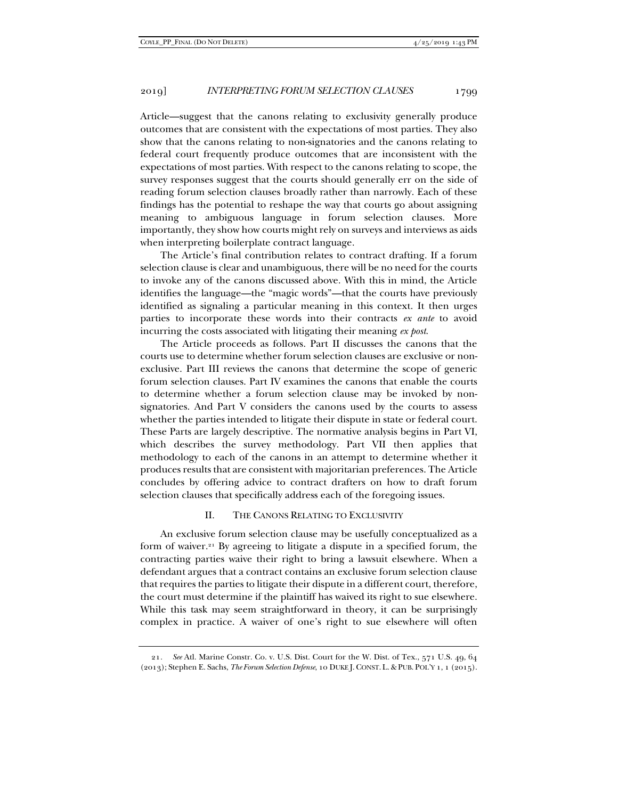Article—suggest that the canons relating to exclusivity generally produce outcomes that are consistent with the expectations of most parties. They also show that the canons relating to non-signatories and the canons relating to federal court frequently produce outcomes that are inconsistent with the expectations of most parties. With respect to the canons relating to scope, the survey responses suggest that the courts should generally err on the side of reading forum selection clauses broadly rather than narrowly. Each of these findings has the potential to reshape the way that courts go about assigning meaning to ambiguous language in forum selection clauses. More importantly, they show how courts might rely on surveys and interviews as aids when interpreting boilerplate contract language.

The Article's final contribution relates to contract drafting. If a forum selection clause is clear and unambiguous, there will be no need for the courts to invoke any of the canons discussed above. With this in mind, the Article identifies the language—the "magic words"—that the courts have previously identified as signaling a particular meaning in this context. It then urges parties to incorporate these words into their contracts *ex ante* to avoid incurring the costs associated with litigating their meaning *ex post*.

The Article proceeds as follows. Part II discusses the canons that the courts use to determine whether forum selection clauses are exclusive or nonexclusive. Part III reviews the canons that determine the scope of generic forum selection clauses. Part IV examines the canons that enable the courts to determine whether a forum selection clause may be invoked by nonsignatories. And Part V considers the canons used by the courts to assess whether the parties intended to litigate their dispute in state or federal court. These Parts are largely descriptive. The normative analysis begins in Part VI, which describes the survey methodology. Part VII then applies that methodology to each of the canons in an attempt to determine whether it produces results that are consistent with majoritarian preferences. The Article concludes by offering advice to contract drafters on how to draft forum selection clauses that specifically address each of the foregoing issues.

# II. THE CANONS RELATING TO EXCLUSIVITY

An exclusive forum selection clause may be usefully conceptualized as a form of waiver.<sup>21</sup> By agreeing to litigate a dispute in a specified forum, the contracting parties waive their right to bring a lawsuit elsewhere. When a defendant argues that a contract contains an exclusive forum selection clause that requires the parties to litigate their dispute in a different court, therefore, the court must determine if the plaintiff has waived its right to sue elsewhere. While this task may seem straightforward in theory, it can be surprisingly complex in practice. A waiver of one's right to sue elsewhere will often

<sup>21</sup>*. See* Atl. Marine Constr. Co. v. U.S. Dist. Court for the W. Dist. of Tex., 571 U.S. 49, 64 (2013); Stephen E. Sachs, *The Forum Selection Defense*, 10 DUKE J.CONST. L. & PUB. POL'Y 1, 1 (2015).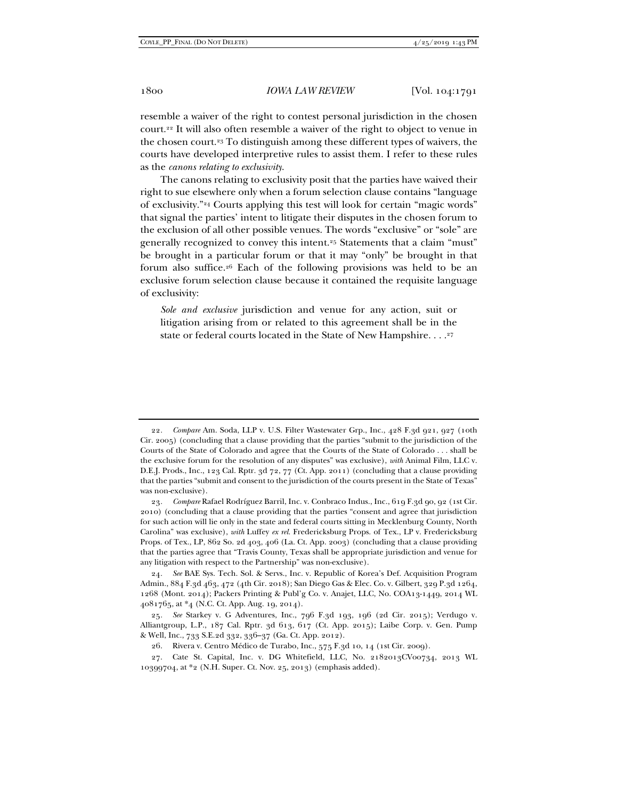resemble a waiver of the right to contest personal jurisdiction in the chosen court.22 It will also often resemble a waiver of the right to object to venue in the chosen court.23 To distinguish among these different types of waivers, the courts have developed interpretive rules to assist them. I refer to these rules as the *canons relating to exclusivity*.

The canons relating to exclusivity posit that the parties have waived their right to sue elsewhere only when a forum selection clause contains "language of exclusivity."24 Courts applying this test will look for certain "magic words" that signal the parties' intent to litigate their disputes in the chosen forum to the exclusion of all other possible venues. The words "exclusive" or "sole" are generally recognized to convey this intent.25 Statements that a claim "must" be brought in a particular forum or that it may "only" be brought in that forum also suffice.26 Each of the following provisions was held to be an exclusive forum selection clause because it contained the requisite language of exclusivity:

*Sole and exclusive* jurisdiction and venue for any action, suit or litigation arising from or related to this agreement shall be in the state or federal courts located in the State of New Hampshire. . . .27

<sup>22</sup>*. Compare* Am. Soda, LLP v. U.S. Filter Wastewater Grp., Inc., 428 F.3d 921, 927 (10th Cir. 2005) (concluding that a clause providing that the parties "submit to the jurisdiction of the Courts of the State of Colorado and agree that the Courts of the State of Colorado . . . shall be the exclusive forum for the resolution of any disputes" was exclusive), *with* Animal Film, LLC v. D.E.J. Prods., Inc., 123 Cal. Rptr. 3d 72, 77 (Ct. App. 2011) (concluding that a clause providing that the parties "submit and consent to the jurisdiction of the courts present in the State of Texas" was non-exclusive).

<sup>23</sup>*. Compare* Rafael Rodríguez Barril, Inc. v. Conbraco Indus., Inc., 619 F.3d 90, 92 (1st Cir. 2010) (concluding that a clause providing that the parties "consent and agree that jurisdiction for such action will lie only in the state and federal courts sitting in Mecklenburg County, North Carolina" was exclusive), *with* Luffey *ex rel.* Fredericksburg Props. of Tex., LP v. Fredericksburg Props. of Tex., LP, 862 So. 2d 403, 406 (La. Ct. App. 2003) (concluding that a clause providing that the parties agree that "Travis County, Texas shall be appropriate jurisdiction and venue for any litigation with respect to the Partnership" was non-exclusive).

<sup>24</sup>*. See* BAE Sys. Tech. Sol. & Servs., Inc. v. Republic of Korea's Def. Acquisition Program Admin., 884 F.3d 463, 472 (4th Cir. 2018); San Diego Gas & Elec. Co. v. Gilbert, 329 P.3d 1264, 1268 (Mont. 2014); Packers Printing & Publ'g Co. v. Anajet, LLC, No. COA13-1449, 2014 WL 4081765, at \*4 (N.C. Ct. App. Aug. 19, 2014).

<sup>25</sup>*. See* Starkey v. G Adventures, Inc., 796 F.3d 193, 196 (2d Cir. 2015); Verdugo v. Alliantgroup, L.P., 187 Cal. Rptr. 3d 613, 617 (Ct. App. 2015); Laibe Corp. v. Gen. Pump & Well, Inc., 733 S.E.2d 332, 336–37 (Ga. Ct. App. 2012).

 <sup>26.</sup> Rivera v. Centro Médico de Turabo, Inc., 575 F.3d 10, 14 (1st Cir. 2009).

 <sup>27.</sup> Cate St. Capital, Inc. v. DG Whitefield, LLC, No. 2182013CV00734, 2013 WL 10399704, at \*2 (N.H. Super. Ct. Nov. 25, 2013) (emphasis added).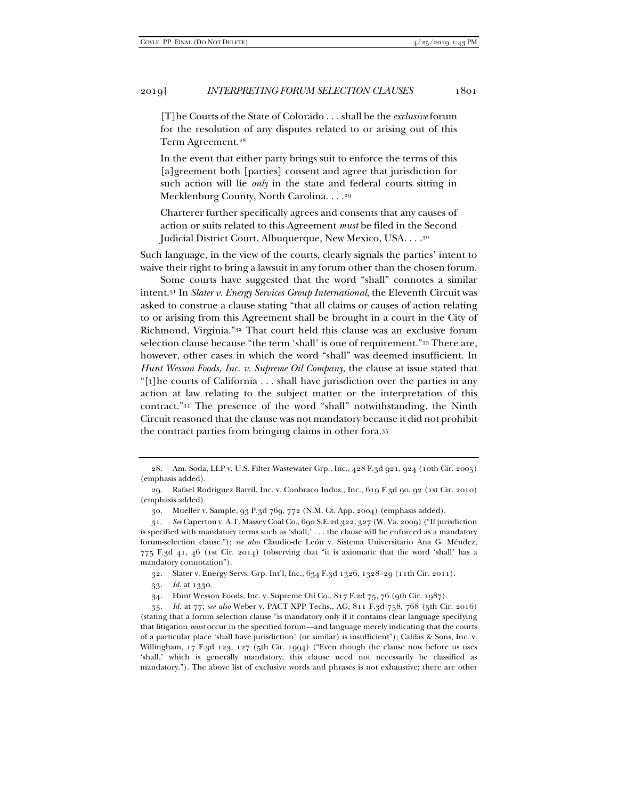[T]he Courts of the State of Colorado . . . shall be the *exclusive* forum for the resolution of any disputes related to or arising out of this Term Agreement.28

In the event that either party brings suit to enforce the terms of this [a]greement both [parties] consent and agree that jurisdiction for such action will lie *only* in the state and federal courts sitting in Mecklenburg County, North Carolina. . . .<sup>29</sup>

Charterer further specifically agrees and consents that any causes of action or suits related to this Agreement *must* be filed in the Second Judicial District Court, Albuquerque, New Mexico, USA. . . .30

Such language, in the view of the courts, clearly signals the parties' intent to waive their right to bring a lawsuit in any forum other than the chosen forum.

 Some courts have suggested that the word "shall" connotes a similar intent.31 In *Slater v. Energy Services Group International*, the Eleventh Circuit was asked to construe a clause stating "that all claims or causes of action relating to or arising from this Agreement shall be brought in a court in the City of Richmond, Virginia."32 That court held this clause was an exclusive forum selection clause because "the term 'shall' is one of requirement."33 There are, however, other cases in which the word "shall" was deemed insufficient. In *Hunt Wesson Foods, Inc. v. Supreme Oil Company*, the clause at issue stated that "[t]he courts of California . . . shall have jurisdiction over the parties in any action at law relating to the subject matter or the interpretation of this contract."34 The presence of the word "shall" notwithstanding, the Ninth Circuit reasoned that the clause was not mandatory because it did not prohibit the contract parties from bringing claims in other fora.35

30. Mueller v. Sample, 93 P.3d 769, 772 (N.M. Ct. App. 2004) (emphasis added).

32. Slater v. Energy Servs. Grp. Int'l, Inc., 634 F.3d 1326, 1328–29 (11th Cir. 2011).

33*. Id.* at 1330.

34. Hunt Wesson Foods, Inc. v. Supreme Oil Co., 817 F.2d 75, 76 (9th Cir. 1987).

35*. Id.* at 77; *see also* Weber v. PACT XPP Techs., AG, 811 F.3d 758, 768 (5th Cir. 2016) (stating that a forum selection clause "is mandatory only if it contains clear language specifying that litigation *must* occur in the specified forum—and language merely indicating that the courts of a particular place 'shall have jurisdiction' (or similar) is insufficient"); Caldas & Sons, Inc. v. Willingham, 17 F.3d 123, 127 (5th Cir. 1994) ("Even though the clause now before us uses 'shall,' which is generally mandatory, this clause need not necessarily be classified as mandatory."). The above list of exclusive words and phrases is not exhaustive; there are other

 <sup>28.</sup> Am. Soda, LLP v. U.S. Filter Wastewater Grp., Inc., 428 F.3d 921, 924 (10th Cir. 2005) (emphasis added).

 <sup>29.</sup> Rafael Rodriguez Barril, Inc. v. Conbraco Indus., Inc., 619 F.3d 90, 92 (1st Cir. 2010) (emphasis added).

<sup>31</sup>*. See* Caperton v. A.T. Massey Coal Co., 690 S.E.2d 322, 327 (W. Va. 2009) ("If jurisdiction is specified with mandatory terms such as 'shall,' . . . the clause will be enforced as a mandatory forum-selection clause."); *see also* Claudio-de León v. Sistema Universitario Ana G. Méndez, 775 F.3d 41, 46 (1st Cir. 2014) (observing that "it is axiomatic that the word 'shall' has a mandatory connotation").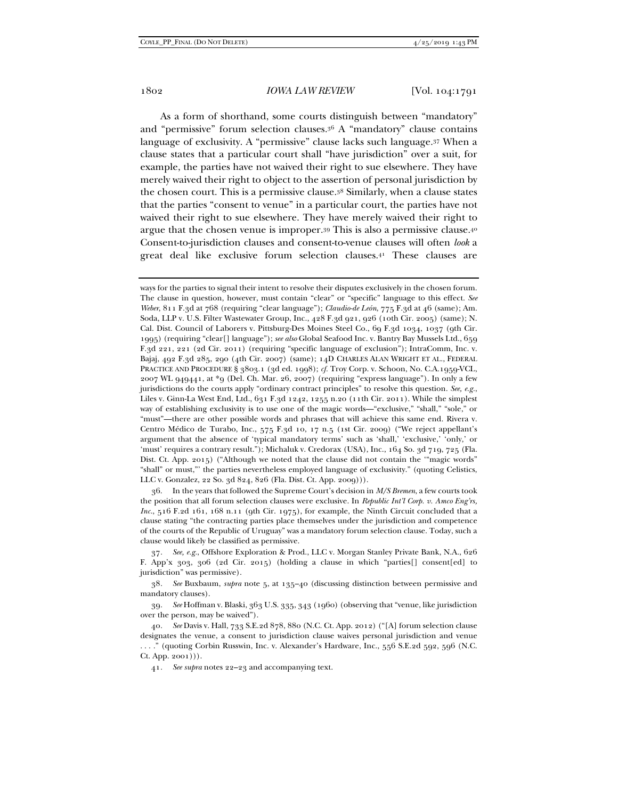As a form of shorthand, some courts distinguish between "mandatory" and "permissive" forum selection clauses.36 A "mandatory" clause contains language of exclusivity. A "permissive" clause lacks such language.37 When a clause states that a particular court shall "have jurisdiction" over a suit, for example, the parties have not waived their right to sue elsewhere. They have merely waived their right to object to the assertion of personal jurisdiction by the chosen court. This is a permissive clause.38 Similarly, when a clause states that the parties "consent to venue" in a particular court, the parties have not waived their right to sue elsewhere. They have merely waived their right to argue that the chosen venue is improper.39 This is also a permissive clause.40 Consent-to-jurisdiction clauses and consent-to-venue clauses will often *look* a great deal like exclusive forum selection clauses.41 These clauses are

ways for the parties to signal their intent to resolve their disputes exclusively in the chosen forum. The clause in question, however, must contain "clear" or "specific" language to this effect. *See Weber*, 811 F.3d at 768 (requiring "clear language"); *Claudio-de León*, 775 F.3d at 46 (same); Am. Soda, LLP v. U.S. Filter Wastewater Group, Inc., 428 F.3d 921, 926 (10th Cir. 2005) (same); N. Cal. Dist. Council of Laborers v. Pittsburg-Des Moines Steel Co., 69 F.3d 1034, 1037 (9th Cir. 1995) (requiring "clear[] language"); *see also* Global Seafood Inc. v. Bantry Bay Mussels Ltd., 659 F.3d 221, 221 (2d Cir. 2011) (requiring "specific language of exclusion"); IntraComm, Inc. v. Bajaj, 492 F.3d 285, 290 (4th Cir. 2007) (same); 14D CHARLES ALAN WRIGHT ET AL., FEDERAL PRACTICE AND PROCEDURE § 3803.1 (3d ed. 1998); *cf.* Troy Corp. v. Schoon, No. C.A.1959-VCL, 2007 WL 949441, at \*9 (Del. Ch. Mar. 26, 2007) (requiring "express language"). In only a few jurisdictions do the courts apply "ordinary contract principles" to resolve this question. *See, e.g.*, Liles v. Ginn-La West End, Ltd., 631 F.3d 1242, 1255 n.20 (11th Cir. 2011). While the simplest way of establishing exclusivity is to use one of the magic words—"exclusive," "shall," "sole," or "must"—there are other possible words and phrases that will achieve this same end. Rivera v. Centro Médico de Turabo, Inc., 575 F.3d 10, 17 n.5 (1st Cir. 2009) ("We reject appellant's argument that the absence of 'typical mandatory terms' such as 'shall,' 'exclusive,' 'only,' or 'must' requires a contrary result."); Michaluk v. Credorax (USA), Inc., 164 So. 3d 719, 725 (Fla. Dist. Ct. App. 2015) ("Although we noted that the clause did not contain the "magic words" "shall" or must,"' the parties nevertheless employed language of exclusivity." (quoting Celistics, LLC v. Gonzalez, 22 So. 3d 824, 826 (Fla. Dist. Ct. App. 2009))).

 36. In the years that followed the Supreme Court's decision in *M/S Bremen*, a few courts took the position that all forum selection clauses were exclusive. In *Republic Int'l Corp. v. Amco Eng'rs, Inc.*, 516 F.2d 161, 168 n.11 (9th Cir. 1975), for example, the Ninth Circuit concluded that a clause stating "the contracting parties place themselves under the jurisdiction and competence of the courts of the Republic of Uruguay" was a mandatory forum selection clause. Today, such a clause would likely be classified as permissive.

37*. See, e.g.*, Offshore Exploration & Prod., LLC v. Morgan Stanley Private Bank, N.A., 626 F. App'x 303, 306 (2d Cir. 2015) (holding a clause in which "parties[] consent[ed] to jurisdiction" was permissive).

38*. See* Buxbaum, *supra* note 5, at 135–40 (discussing distinction between permissive and mandatory clauses).

39*. See* Hoffman v. Blaski, 363 U.S. 335, 343 (1960) (observing that "venue, like jurisdiction over the person, may be waived").

40*. See* Davis v. Hall, 733 S.E.2d 878, 880 (N.C. Ct. App. 2012) ("[A] forum selection clause designates the venue, a consent to jurisdiction clause waives personal jurisdiction and venue . . . ." (quoting Corbin Russwin, Inc. v. Alexander's Hardware, Inc., 556 S.E.2d 592, 596 (N.C. Ct. App. 2001))).

41*. See supra* notes 22–23 and accompanying text.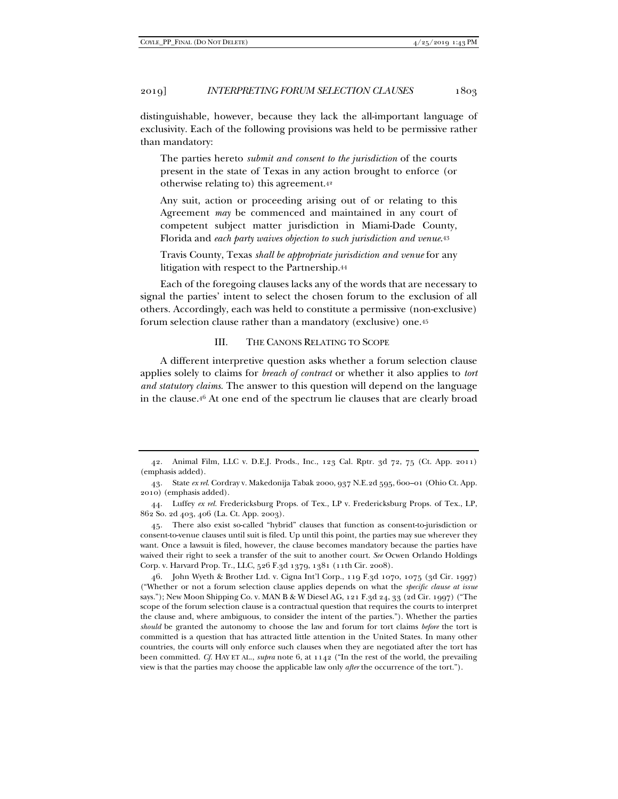distinguishable, however, because they lack the all-important language of exclusivity. Each of the following provisions was held to be permissive rather than mandatory:

The parties hereto *submit and consent to the jurisdiction* of the courts present in the state of Texas in any action brought to enforce (or otherwise relating to) this agreement.42

Any suit, action or proceeding arising out of or relating to this Agreement *may* be commenced and maintained in any court of competent subject matter jurisdiction in Miami-Dade County, Florida and *each party waives objection to such jurisdiction and venue*.43

Travis County, Texas *shall be appropriate jurisdiction and venue* for any litigation with respect to the Partnership.44

Each of the foregoing clauses lacks any of the words that are necessary to signal the parties' intent to select the chosen forum to the exclusion of all others. Accordingly, each was held to constitute a permissive (non-exclusive) forum selection clause rather than a mandatory (exclusive) one.45

## III. THE CANONS RELATING TO SCOPE

A different interpretive question asks whether a forum selection clause applies solely to claims for *breach of contract* or whether it also applies to *tort and statutory claims*. The answer to this question will depend on the language in the clause.46 At one end of the spectrum lie clauses that are clearly broad

 45. There also exist so-called "hybrid" clauses that function as consent-to-jurisdiction or consent-to-venue clauses until suit is filed. Up until this point, the parties may sue wherever they want. Once a lawsuit is filed, however, the clause becomes mandatory because the parties have waived their right to seek a transfer of the suit to another court. *See* Ocwen Orlando Holdings Corp. v. Harvard Prop. Tr., LLC, 526 F.3d 1379, 1381 (11th Cir. 2008).

 46. John Wyeth & Brother Ltd. v. Cigna Int'l Corp., 119 F.3d 1070, 1075 (3d Cir. 1997) ("Whether or not a forum selection clause applies depends on what the *specific clause at issue* says."); New Moon Shipping Co. v. MAN B & W Diesel AG, 121 F.3d 24, 33 (2d Cir. 1997) ("The scope of the forum selection clause is a contractual question that requires the courts to interpret the clause and, where ambiguous, to consider the intent of the parties."). Whether the parties *should* be granted the autonomy to choose the law and forum for tort claims *before* the tort is committed is a question that has attracted little attention in the United States. In many other countries, the courts will only enforce such clauses when they are negotiated after the tort has been committed. *Cf.* HAY ET AL., *supra* note 6, at 1142 ("In the rest of the world, the prevailing view is that the parties may choose the applicable law only *after* the occurrence of the tort.").

 <sup>42.</sup> Animal Film, LLC v. D.E.J. Prods., Inc., 123 Cal. Rptr. 3d 72, 75 (Ct. App. 2011) (emphasis added).

 <sup>43.</sup> State *ex rel*. Cordray v. Makedonija Tabak 2000, 937 N.E.2d 595, 600–01 (Ohio Ct. App. 2010) (emphasis added).

 <sup>44.</sup> Luffey *ex rel.* Fredericksburg Props. of Tex., LP v. Fredericksburg Props. of Tex., LP, 862 So. 2d 403, 406 (La. Ct. App. 2003).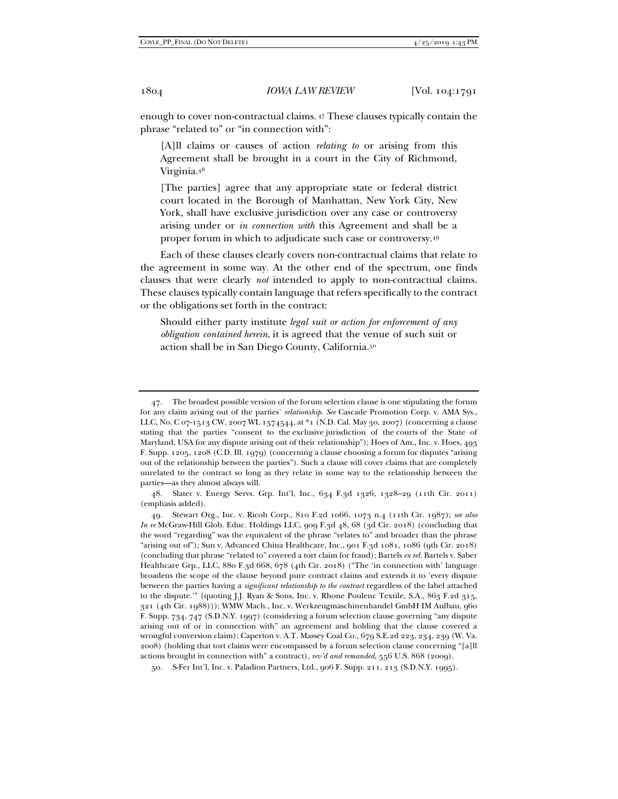enough to cover non-contractual claims. 47 These clauses typically contain the phrase "related to" or "in connection with":

[A]ll claims or causes of action *relating to* or arising from this Agreement shall be brought in a court in the City of Richmond, Virginia.48

[The parties] agree that any appropriate state or federal district court located in the Borough of Manhattan, New York City, New York, shall have exclusive jurisdiction over any case or controversy arising under or *in connection with* this Agreement and shall be a proper forum in which to adjudicate such case or controversy.49

Each of these clauses clearly covers non-contractual claims that relate to the agreement in some way. At the other end of the spectrum, one finds clauses that were clearly *not* intended to apply to non-contractual claims. These clauses typically contain language that refers specifically to the contract or the obligations set forth in the contract:

Should either party institute *legal suit or action for enforcement of any obligation contained herein*, it is agreed that the venue of such suit or action shall be in San Diego County, California.50

 48. Slater v. Energy Servs. Grp. Int'l, Inc., 634 F.3d 1326, 1328–29 (11th Cir. 2011) (emphasis added).

 49. Stewart Org., Inc. v. Ricoh Corp., 810 F.2d 1066, 1073 n.4 (11th Cir. 1987); *see also In re* McGraw-Hill Glob. Educ. Holdings LLC, 909 F.3d 48, 68 (3d Cir. 2018) (concluding that the word "regarding" was the equivalent of the phrase "relates to" and broader than the phrase "arising out of"); Sun v. Advanced China Healthcare, Inc., 901 F.3d 1081, 1086 (9th Cir. 2018) (concluding that phrase "related to" covered a tort claim for fraud); Bartels *ex rel.* Bartels v. Saber Healthcare Grp., LLC, 880 F.3d 668, 678 (4th Cir. 2018) ("The 'in connection with' language broadens the scope of the clause beyond pure contract claims and extends it to 'every dispute between the parties having a *significant relationship to the contract* regardless of the label attached to the dispute.'" (quoting J.J. Ryan & Sons, Inc. v. Rhone Poulenc Textile, S.A., 863 F.2d 315, 321 (4th Cir. 1988))); WMW Mach., Inc. v. Werkzeugmaschinenhandel GmbH IM Aufbau, 960 F. Supp. 734, 747 (S.D.N.Y. 1997) (considering a forum selection clause governing "any dispute arising out of or in connection with" an agreement and holding that the clause covered a wrongful conversion claim); Caperton v. A.T. Massey Coal Co., 679 S.E.2d 223, 234, 239 (W. Va. 2008) (holding that tort claims were encompassed by a forum selection clause concerning "[a]ll actions brought in connection with" a contract), *rev'd and remanded*, 556 U.S. 868 (2009).

50. S-Fer Int'l, Inc. v. Paladion Partners, Ltd., 906 F. Supp. 211, 213 (S.D.N.Y. 1995).

 <sup>47.</sup> The broadest possible version of the forum selection clause is one stipulating the forum for any claim arising out of the parties' *relationship*. *See* Cascade Promotion Corp. v. AMA Sys., LLC, No. C 07-1513 CW, 2007 WL 1574544, at \*1 (N.D. Cal. May 30, 2007) (concerning a clause stating that the parties "consent to the exclusive jurisdiction of the courts of the State of Maryland, USA for any dispute arising out of their relationship"); Hoes of Am., Inc. v. Hoes, 493 F. Supp. 1205, 1208 (C.D. Ill. 1979) (concerning a clause choosing a forum for disputes "arising out of the relationship between the parties"). Such a clause will cover claims that are completely unrelated to the contract so long as they relate in some way to the relationship between the parties—as they almost always will.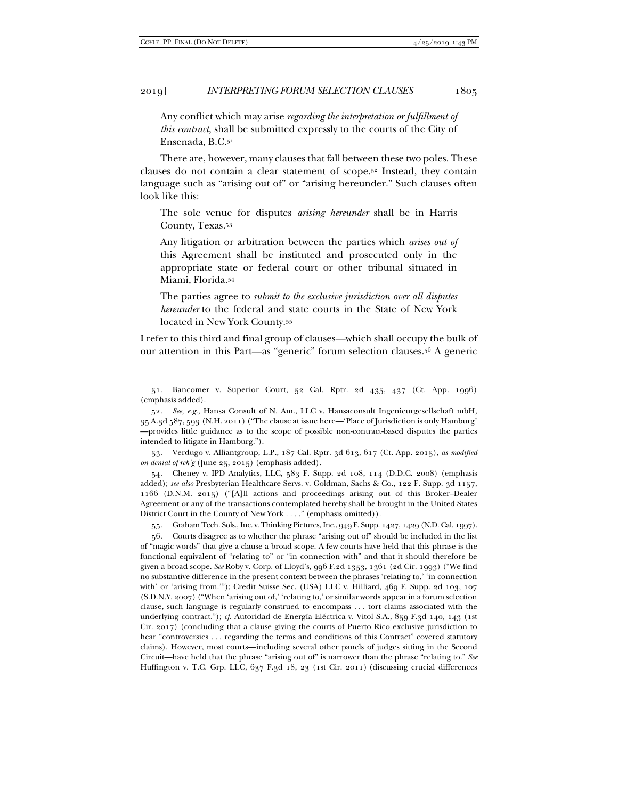Any conflict which may arise *regarding the interpretation or fulfillment of this contract*, shall be submitted expressly to the courts of the City of Ensenada, B.C.51

There are, however, many clauses that fall between these two poles. These clauses do not contain a clear statement of scope.52 Instead, they contain language such as "arising out of" or "arising hereunder." Such clauses often look like this:

The sole venue for disputes *arising hereunder* shall be in Harris County, Texas.53

Any litigation or arbitration between the parties which *arises out of* this Agreement shall be instituted and prosecuted only in the appropriate state or federal court or other tribunal situated in Miami, Florida.54

The parties agree to *submit to the exclusive jurisdiction over all disputes hereunder* to the federal and state courts in the State of New York located in New York County.55

I refer to this third and final group of clauses—which shall occupy the bulk of our attention in this Part—as "generic" forum selection clauses.56 A generic

 53. Verdugo v. Alliantgroup, L.P., 187 Cal. Rptr. 3d 613, 617 (Ct. App. 2015), *as modified on denial of reh'g* (June 25, 2015) (emphasis added).

 54. Cheney v. IPD Analytics, LLC, 583 F. Supp. 2d 108, 114 (D.D.C. 2008) (emphasis added); *see also* Presbyterian Healthcare Servs. v. Goldman, Sachs & Co., 122 F. Supp. 3d 1157, 1166 (D.N.M. 2015) ("[A]ll actions and proceedings arising out of this Broker–Dealer Agreement or any of the transactions contemplated hereby shall be brought in the United States District Court in the County of New York *. . .* ." (emphasis omitted))*.*

55. Graham Tech. Sols., Inc. v. Thinking Pictures, Inc., 949 F. Supp. 1427, 1429 (N.D. Cal. 1997).

 56. Courts disagree as to whether the phrase "arising out of" should be included in the list of "magic words" that give a clause a broad scope. A few courts have held that this phrase is the functional equivalent of "relating to" or "in connection with" and that it should therefore be given a broad scope. *See* Roby v. Corp. of Lloyd's, 996 F.2d 1353, 1361 (2d Cir. 1993) ("We find no substantive difference in the present context between the phrases 'relating to,' 'in connection with' or 'arising from.'"); Credit Suisse Sec. (USA) LLC v. Hilliard, 469 F. Supp. 2d 103, 107 (S.D.N.Y. 2007) ("When 'arising out of,' 'relating to,' or similar words appear in a forum selection clause, such language is regularly construed to encompass . . . tort claims associated with the underlying contract."); *cf.* Autoridad de Energía Eléctrica v. Vitol S.A., 859 F.3d 140, 143 (1st Cir. 2017) (concluding that a clause giving the courts of Puerto Rico exclusive jurisdiction to hear "controversies . . . regarding the terms and conditions of this Contract" covered statutory claims). However, most courts—including several other panels of judges sitting in the Second Circuit—have held that the phrase "arising out of" is narrower than the phrase "relating to." *See*  Huffington v. T.C. Grp. LLC, 637 F.3d 18, 23 (1st Cir. 2011) (discussing crucial differences

 <sup>51.</sup> Bancomer v. Superior Court, 52 Cal. Rptr. 2d 435, 437 (Ct. App. 1996) (emphasis added).

<sup>52</sup>*. See, e.g.*, Hansa Consult of N. Am., LLC v. Hansaconsult Ingenieurgesellschaft mbH, 35 A.3d 587, 593 (N.H. 2011) ("The clause at issue here—'Place of Jurisdiction is only Hamburg' —provides little guidance as to the scope of possible non-contract-based disputes the parties intended to litigate in Hamburg.").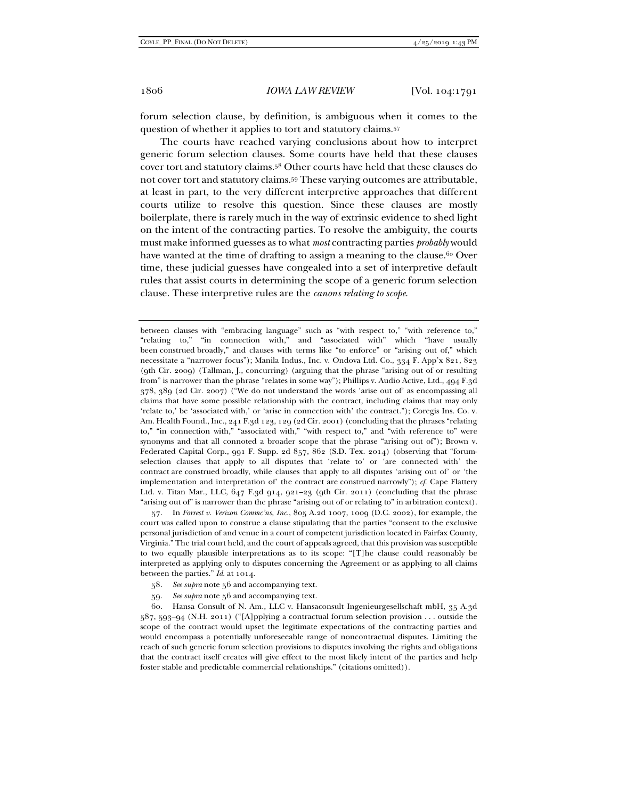forum selection clause, by definition, is ambiguous when it comes to the question of whether it applies to tort and statutory claims.57

The courts have reached varying conclusions about how to interpret generic forum selection clauses. Some courts have held that these clauses cover tort and statutory claims.58 Other courts have held that these clauses do not cover tort and statutory claims.59 These varying outcomes are attributable, at least in part, to the very different interpretive approaches that different courts utilize to resolve this question. Since these clauses are mostly boilerplate, there is rarely much in the way of extrinsic evidence to shed light on the intent of the contracting parties. To resolve the ambiguity, the courts must make informed guesses as to what *most* contracting parties *probably* would have wanted at the time of drafting to assign a meaning to the clause.<sup>60</sup> Over time, these judicial guesses have congealed into a set of interpretive default rules that assist courts in determining the scope of a generic forum selection clause. These interpretive rules are the *canons relating to scope*.

between clauses with "embracing language" such as "with respect to," "with reference to," "relating to," "in connection with," and "associated with" which "have usually been construed broadly," and clauses with terms like "to enforce" or "arising out of," which necessitate a "narrower focus"); Manila Indus., Inc. v. Ondova Ltd. Co., 334 F. App'x 821, 823 (9th Cir. 2009) (Tallman, J., concurring) (arguing that the phrase "arising out of or resulting from" is narrower than the phrase "relates in some way"); Phillips v. Audio Active, Ltd., 494 F.3d 378, 389 (2d Cir. 2007) ("We do not understand the words 'arise out of' as encompassing all claims that have some possible relationship with the contract, including claims that may only 'relate to,' be 'associated with,' or 'arise in connection with' the contract."); Coregis Ins. Co. v. Am. Health Found., Inc., 241 F.3d 123, 129 (2d Cir. 2001) (concluding that the phrases "relating to," "in connection with," "associated with," "with respect to," and "with reference to" were synonyms and that all connoted a broader scope that the phrase "arising out of"); Brown v. Federated Capital Corp., 991 F. Supp. 2d 857, 862 (S.D. Tex. 2014) (observing that "forumselection clauses that apply to all disputes that 'relate to' or 'are connected with' the contract are construed broadly, while clauses that apply to all disputes 'arising out of' or 'the implementation and interpretation of' the contract are construed narrowly"); *cf.* Cape Flattery Ltd. v. Titan Mar., LLC,  $647$  F.3d  $914$ ,  $921-23$  (9th Cir. 2011) (concluding that the phrase "arising out of" is narrower than the phrase "arising out of or relating to" in arbitration context).

 57. In *Forrest v. Verizon Commc'ns, Inc.*, 805 A.2d 1007, 1009 (D.C. 2002), for example, the court was called upon to construe a clause stipulating that the parties "consent to the exclusive personal jurisdiction of and venue in a court of competent jurisdiction located in Fairfax County, Virginia." The trial court held, and the court of appeals agreed, that this provision was susceptible to two equally plausible interpretations as to its scope: "[T]he clause could reasonably be interpreted as applying only to disputes concerning the Agreement or as applying to all claims between the parties." *Id*. at 1014.

- 58*. See supra* note 56 and accompanying text.
- 59*. See supra* note 56 and accompanying text.

 60. Hansa Consult of N. Am., LLC v. Hansaconsult Ingenieurgesellschaft mbH, 35 A.3d 587, 593–94 (N.H. 2011) ("[A]pplying a contractual forum selection provision . . . outside the scope of the contract would upset the legitimate expectations of the contracting parties and would encompass a potentially unforeseeable range of noncontractual disputes. Limiting the reach of such generic forum selection provisions to disputes involving the rights and obligations that the contract itself creates will give effect to the most likely intent of the parties and help foster stable and predictable commercial relationships." (citations omitted)).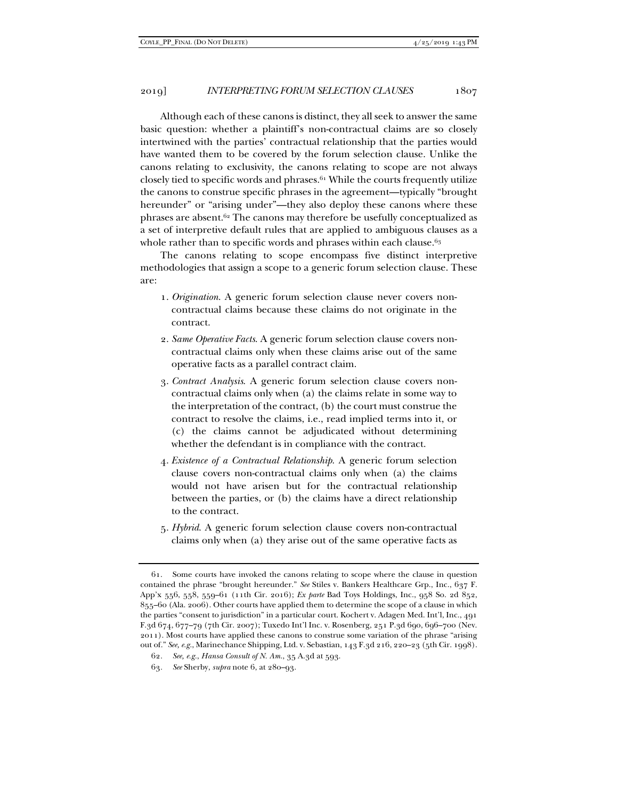Although each of these canons is distinct, they all seek to answer the same basic question: whether a plaintiff's non-contractual claims are so closely intertwined with the parties' contractual relationship that the parties would have wanted them to be covered by the forum selection clause. Unlike the canons relating to exclusivity, the canons relating to scope are not always closely tied to specific words and phrases.<sup>61</sup> While the courts frequently utilize the canons to construe specific phrases in the agreement—typically "brought hereunder" or "arising under"—they also deploy these canons where these phrases are absent.62 The canons may therefore be usefully conceptualized as a set of interpretive default rules that are applied to ambiguous clauses as a whole rather than to specific words and phrases within each clause.<sup>63</sup>

The canons relating to scope encompass five distinct interpretive methodologies that assign a scope to a generic forum selection clause. These are:

- 1. *Origination*. A generic forum selection clause never covers noncontractual claims because these claims do not originate in the contract.
- 2. *Same Operative Facts*. A generic forum selection clause covers noncontractual claims only when these claims arise out of the same operative facts as a parallel contract claim.
- 3. *Contract Analysis*. A generic forum selection clause covers noncontractual claims only when (a) the claims relate in some way to the interpretation of the contract, (b) the court must construe the contract to resolve the claims, i.e., read implied terms into it, or (c) the claims cannot be adjudicated without determining whether the defendant is in compliance with the contract.
- 4. *Existence of a Contractual Relationship*. A generic forum selection clause covers non-contractual claims only when (a) the claims would not have arisen but for the contractual relationship between the parties, or (b) the claims have a direct relationship to the contract.
- 5. *Hybrid*. A generic forum selection clause covers non-contractual claims only when (a) they arise out of the same operative facts as

 <sup>61.</sup> Some courts have invoked the canons relating to scope where the clause in question contained the phrase "brought hereunder." *See* Stiles v. Bankers Healthcare Grp., Inc., 637 F. App'x 556, 558, 559–61 (11th Cir. 2016); *Ex parte* Bad Toys Holdings, Inc., 958 So. 2d 852, 855–60 (Ala. 2006). Other courts have applied them to determine the scope of a clause in which the parties "consent to jurisdiction" in a particular court. Kochert v. Adagen Med. Int'l, Inc., 491 F.3d 674, 677–79 (7th Cir. 2007); Tuxedo Int'l Inc. v. Rosenberg, 251 P.3d 690, 696–700 (Nev. 2011). Most courts have applied these canons to construe some variation of the phrase "arising out of." *See, e.g.*, Marinechance Shipping, Ltd. v. Sebastian, 143 F.3d 216, 220–23 (5th Cir. 1998).

<sup>62</sup>*. See, e.g.*, *Hansa Consult of N. Am.*, 35 A.3d at 593.

<sup>63</sup>*. See* Sherby, *supra* note 6, at 280–93.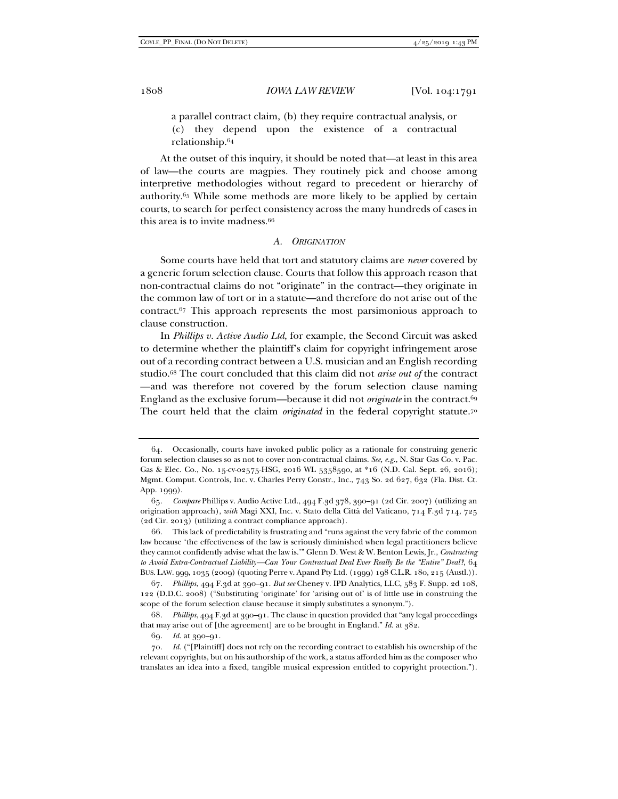a parallel contract claim, (b) they require contractual analysis, or (c) they depend upon the existence of a contractual relationship.64

At the outset of this inquiry, it should be noted that—at least in this area of law—the courts are magpies. They routinely pick and choose among interpretive methodologies without regard to precedent or hierarchy of authority.65 While some methods are more likely to be applied by certain courts, to search for perfect consistency across the many hundreds of cases in this area is to invite madness.<sup>66</sup>

## *A. ORIGINATION*

Some courts have held that tort and statutory claims are *never* covered by a generic forum selection clause. Courts that follow this approach reason that non-contractual claims do not "originate" in the contract—they originate in the common law of tort or in a statute—and therefore do not arise out of the contract.67 This approach represents the most parsimonious approach to clause construction.

In *Phillips v. Active Audio Ltd*, for example, the Second Circuit was asked to determine whether the plaintiff's claim for copyright infringement arose out of a recording contract between a U.S. musician and an English recording studio.68 The court concluded that this claim did not *arise out of* the contract —and was therefore not covered by the forum selection clause naming England as the exclusive forum—because it did not *originate* in the contract.69 The court held that the claim *originated* in the federal copyright statute.70

68*. Phillips*, 494 F.3d at 390–91. The clause in question provided that "any legal proceedings that may arise out of [the agreement] are to be brought in England." *Id.* at 382.

69*. Id.* at 390–91.

 <sup>64.</sup> Occasionally, courts have invoked public policy as a rationale for construing generic forum selection clauses so as not to cover non-contractual claims. *See, e.g.*, N. Star Gas Co. v. Pac. Gas & Elec. Co., No. 15-cv-02575-HSG, 2016 WL 5358590, at \*16 (N.D. Cal. Sept. 26, 2016); Mgmt. Comput. Controls, Inc. v. Charles Perry Constr., Inc., 743 So. 2d 627, 632 (Fla. Dist. Ct. App. 1999).

<sup>65</sup>*. Compare* Phillips v. Audio Active Ltd., 494 F.3d 378, 390–91 (2d Cir. 2007) (utilizing an origination approach), *with* Magi XXI, Inc. v. Stato della Città del Vaticano, 714 F.3d 714, 725 (2d Cir. 2013) (utilizing a contract compliance approach).

 <sup>66.</sup> This lack of predictability is frustrating and "runs against the very fabric of the common law because 'the effectiveness of the law is seriously diminished when legal practitioners believe they cannot confidently advise what the law is.'" Glenn D. West & W. Benton Lewis, Jr., *Contracting to Avoid Extra-Contractual Liability—Can Your Contractual Deal Ever Really Be the "Entire" Deal?*, 64 BUS. LAW. 999, 1035 (2009) (quoting Perre v. Apand Pty Ltd. (1999) 198 C.L.R. 180, 215 (Austl.)).

<sup>67</sup>*. Phillips*, 494 F.3d at 390–91. *But see* Cheney v. IPD Analytics, LLC, 583 F. Supp. 2d 108, 122 (D.D.C. 2008) ("Substituting 'originate' for 'arising out of' is of little use in construing the scope of the forum selection clause because it simply substitutes a synonym.").

<sup>70</sup>*. Id.* ("[Plaintiff] does not rely on the recording contract to establish his ownership of the relevant copyrights, but on his authorship of the work, a status afforded him as the composer who translates an idea into a fixed, tangible musical expression entitled to copyright protection.").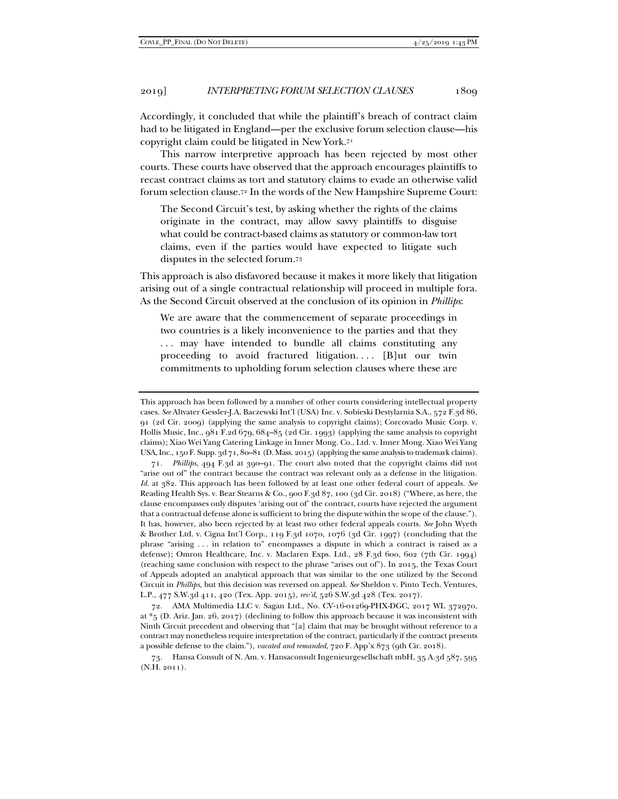Accordingly, it concluded that while the plaintiff's breach of contract claim had to be litigated in England—per the exclusive forum selection clause—his copyright claim could be litigated in New York.71

This narrow interpretive approach has been rejected by most other courts. These courts have observed that the approach encourages plaintiffs to recast contract claims as tort and statutory claims to evade an otherwise valid forum selection clause.72 In the words of the New Hampshire Supreme Court:

The Second Circuit's test, by asking whether the rights of the claims originate in the contract, may allow savvy plaintiffs to disguise what could be contract-based claims as statutory or common-law tort claims, even if the parties would have expected to litigate such disputes in the selected forum.73

This approach is also disfavored because it makes it more likely that litigation arising out of a single contractual relationship will proceed in multiple fora. As the Second Circuit observed at the conclusion of its opinion in *Phillips*:

We are aware that the commencement of separate proceedings in two countries is a likely inconvenience to the parties and that they ... may have intended to bundle all claims constituting any proceeding to avoid fractured litigation....  $[B]$ ut our twin commitments to upholding forum selection clauses where these are

71*. Phillips*, 494 F.3d at 390–91. The court also noted that the copyright claims did not "arise out of" the contract because the contract was relevant only as a defense in the litigation. *Id.* at 382. This approach has been followed by at least one other federal court of appeals. *See* Reading Health Sys. v. Bear Stearns & Co., 900 F.3d 87, 100 (3d Cir. 2018) ("Where, as here, the clause encompasses only disputes 'arising out of' the contract, courts have rejected the argument that a contractual defense alone is sufficient to bring the dispute within the scope of the clause."). It has, however, also been rejected by at least two other federal appeals courts. *See* John Wyeth & Brother Ltd. v. Cigna Int'l Corp., 119 F.3d 1070, 1076 (3d Cir. 1997) (concluding that the phrase "arising . . . in relation to" encompasses a dispute in which a contract is raised as a defense); Omron Healthcare, Inc. v. Maclaren Exps. Ltd., 28 F.3d 600, 602 (7th Cir. 1994) (reaching same conclusion with respect to the phrase "arises out of"). In 2015, the Texas Court of Appeals adopted an analytical approach that was similar to the one utilized by the Second Circuit in *Phillips*, but this decision was reversed on appeal. *See* Sheldon v. Pinto Tech. Ventures, L.P., 477 S.W.3d 411, 420 (Tex. App. 2015), *rev'd*, 526 S.W.3d 428 (Tex. 2017).

 72. AMA Multimedia LLC v. Sagan Ltd., No. CV-16-01269-PHX-DGC, 2017 WL 372970, at \*5 (D. Ariz. Jan. 26, 2017) (declining to follow this approach because it was inconsistent with Ninth Circuit precedent and observing that "[a] claim that may be brought without reference to a contract may nonetheless require interpretation of the contract, particularly if the contract presents a possible defense to the claim."), *vacated and remanded*, 720 F. App'x 873 (9th Cir. 2018).

 73. Hansa Consult of N. Am. v. Hansaconsult Ingenieurgesellschaft mbH, 35 A.3d 587, 595 (N.H. 2011).

This approach has been followed by a number of other courts considering intellectual property cases. *See* Altvater Gessler-J.A. Baczewski Int'l (USA) Inc. v. Sobieski Destylarnia S.A., 572 F.3d 86, 91 (2d Cir. 2009) (applying the same analysis to copyright claims); Corcovado Music Corp. v. Hollis Music, Inc., 981 F.2d 679, 684–85 (2d Cir. 1993) (applying the same analysis to copyright claims); Xiao Wei Yang Catering Linkage in Inner Mong. Co., Ltd. v. Inner Mong. Xiao Wei Yang USA, Inc., 150 F. Supp. 3d 71, 80–81 (D. Mass. 2015) (applying the same analysis to trademark claims).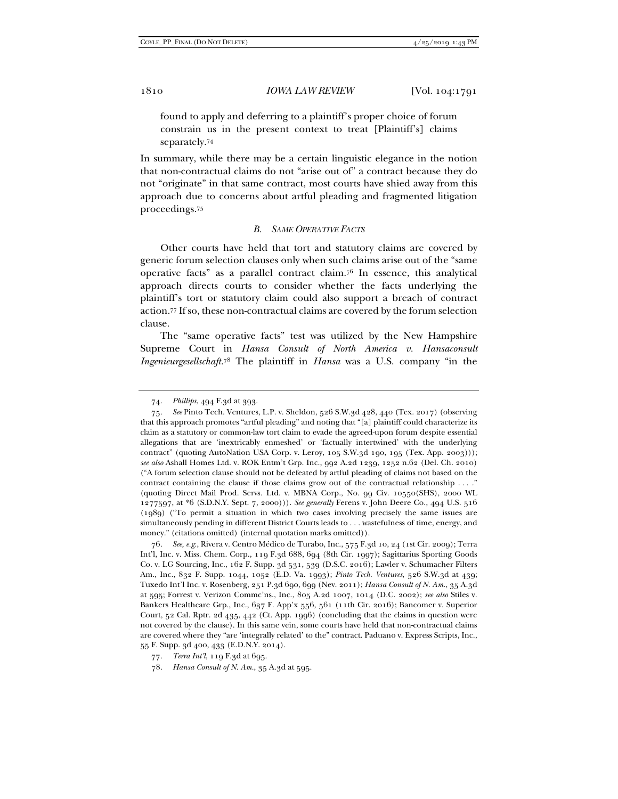found to apply and deferring to a plaintiff's proper choice of forum constrain us in the present context to treat [Plaintiff's] claims separately.74

In summary, while there may be a certain linguistic elegance in the notion that non-contractual claims do not "arise out of" a contract because they do not "originate" in that same contract, most courts have shied away from this approach due to concerns about artful pleading and fragmented litigation proceedings.75

# *B. SAME OPERATIVE FACTS*

Other courts have held that tort and statutory claims are covered by generic forum selection clauses only when such claims arise out of the "same operative facts" as a parallel contract claim.76 In essence, this analytical approach directs courts to consider whether the facts underlying the plaintiff's tort or statutory claim could also support a breach of contract action.77 If so, these non-contractual claims are covered by the forum selection clause.

The "same operative facts" test was utilized by the New Hampshire Supreme Court in *Hansa Consult of North America v. Hansaconsult Ingenieurgesellschaft*.78 The plaintiff in *Hansa* was a U.S. company "in the

76*. See, e.g.*, Rivera v. Centro Médico de Turabo, Inc., 575 F.3d 10, 24 (1st Cir. 2009); Terra Int'l, Inc. v. Miss. Chem. Corp., 119 F.3d 688, 694 (8th Cir. 1997); Sagittarius Sporting Goods Co. v. LG Sourcing, Inc., 162 F. Supp. 3d 531, 539 (D.S.C. 2016); Lawler v. Schumacher Filters Am., Inc., 832 F. Supp. 1044, 1052 (E.D. Va. 1993); *Pinto Tech. Ventures*, 526 S.W.3d at 439; Tuxedo Int'l Inc. v. Rosenberg, 251 P.3d 690, 699 (Nev. 2011); *Hansa Consult of N. Am.*, 35 A.3d at 595; Forrest v. Verizon Commc'ns., Inc., 805 A.2d 1007, 1014 (D.C. 2002); *see also* Stiles v. Bankers Healthcare Grp., Inc., 637 F. App'x 556, 561 (11th Cir. 2016); Bancomer v. Superior Court, 52 Cal. Rptr. 2d 435, 442 (Ct. App. 1996) (concluding that the claims in question were not covered by the clause). In this same vein, some courts have held that non-contractual claims are covered where they "are 'integrally related' to the" contract. Paduano v. Express Scripts, Inc., 55 F. Supp. 3d 400, 433 (E.D.N.Y. 2014).

<sup>74</sup>*. Phillips*, 494 F.3d at 393.

<sup>75</sup>*. See* Pinto Tech. Ventures, L.P. v. Sheldon, 526 S.W.3d 428, 440 (Tex. 2017) (observing that this approach promotes "artful pleading" and noting that "[a] plaintiff could characterize its claim as a statutory or common-law tort claim to evade the agreed-upon forum despite essential allegations that are 'inextricably enmeshed' or 'factually intertwined' with the underlying contract" (quoting AutoNation USA Corp. v. Leroy, 105 S.W.3d 190, 195 (Tex. App. 2003))); *see also* Ashall Homes Ltd. v. ROK Entm't Grp. Inc., 992 A.2d 1239, 1252 n.62 (Del. Ch. 2010) ("A forum selection clause should not be defeated by artful pleading of claims not based on the contract containing the clause if those claims grow out of the contractual relationship . . . ." (quoting Direct Mail Prod. Servs. Ltd. v. MBNA Corp., No. 99 Civ. 10550(SHS), 2000 WL 1277597, at \*6 (S.D.N.Y. Sept. 7, 2000))). *See generally* Ferens v. John Deere Co., 494 U.S. 516 (1989) ("To permit a situation in which two cases involving precisely the same issues are simultaneously pending in different District Courts leads to . . . wastefulness of time, energy, and money." (citations omitted) (internal quotation marks omitted)).

<sup>77</sup>*. Terra Int'l*, 119 F.3d at 695.

 <sup>78.</sup> *Hansa Consult of N. Am.*, 35 A.3d at 595.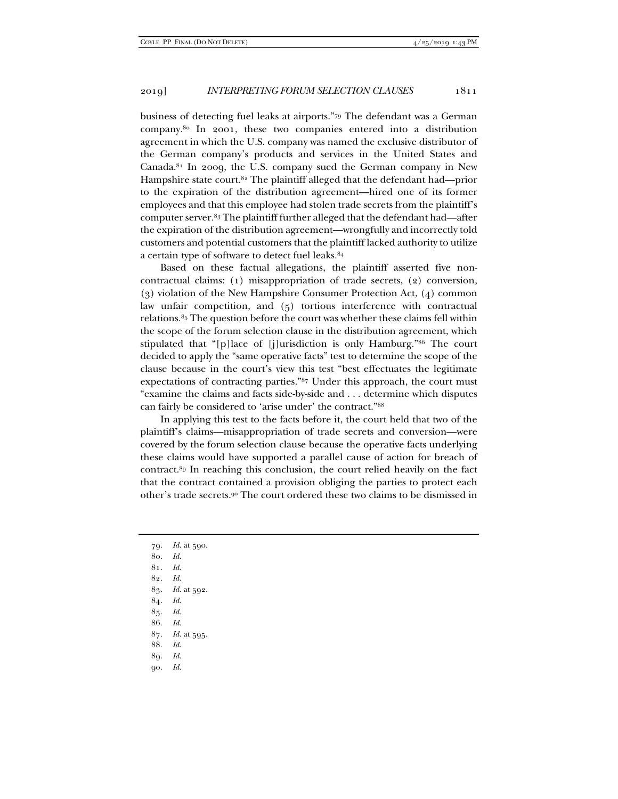business of detecting fuel leaks at airports."79 The defendant was a German company.80 In 2001, these two companies entered into a distribution agreement in which the U.S. company was named the exclusive distributor of the German company's products and services in the United States and Canada. $81$  In 2009, the U.S. company sued the German company in New Hampshire state court.<sup>82</sup> The plaintiff alleged that the defendant had—prior to the expiration of the distribution agreement—hired one of its former employees and that this employee had stolen trade secrets from the plaintiff's computer server.83 The plaintiff further alleged that the defendant had—after the expiration of the distribution agreement—wrongfully and incorrectly told customers and potential customers that the plaintiff lacked authority to utilize a certain type of software to detect fuel leaks.84

Based on these factual allegations, the plaintiff asserted five noncontractual claims: (1) misappropriation of trade secrets, (2) conversion, (3) violation of the New Hampshire Consumer Protection Act, (4) common law unfair competition, and  $(5)$  tortious interference with contractual relations.85 The question before the court was whether these claims fell within the scope of the forum selection clause in the distribution agreement, which stipulated that "[p]lace of [j]urisdiction is only Hamburg."86 The court decided to apply the "same operative facts" test to determine the scope of the clause because in the court's view this test "best effectuates the legitimate expectations of contracting parties."87 Under this approach, the court must "examine the claims and facts side-by-side and . . . determine which disputes can fairly be considered to 'arise under' the contract."88

In applying this test to the facts before it, the court held that two of the plaintiff's claims—misappropriation of trade secrets and conversion—were covered by the forum selection clause because the operative facts underlying these claims would have supported a parallel cause of action for breach of contract.89 In reaching this conclusion, the court relied heavily on the fact that the contract contained a provision obliging the parties to protect each other's trade secrets.90 The court ordered these two claims to be dismissed in

- 79*. Id.* at 590. 80*. Id.*
- 81*. Id.*
- 82*. Id.*
- 83*. Id.* at 592.
- 84*. Id.*
- 85*. Id.*
- 86*. Id.*
- 87*. Id.* at 595.
- 88*. Id.*
- 89*. Id.*
- 90*. Id.*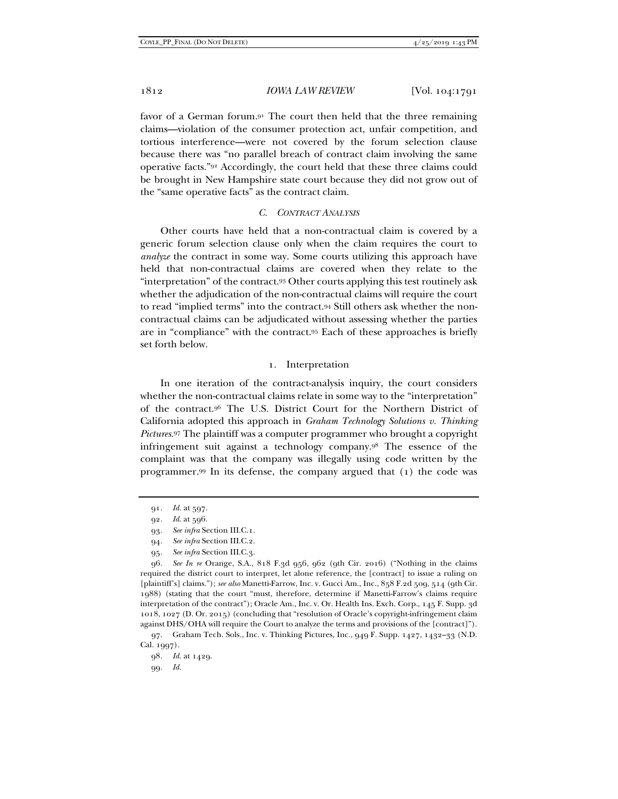favor of a German forum.91 The court then held that the three remaining claims—violation of the consumer protection act, unfair competition, and tortious interference—were not covered by the forum selection clause because there was "no parallel breach of contract claim involving the same operative facts."92 Accordingly, the court held that these three claims could be brought in New Hampshire state court because they did not grow out of the "same operative facts" as the contract claim.

#### *C. CONTRACT ANALYSIS*

Other courts have held that a non-contractual claim is covered by a generic forum selection clause only when the claim requires the court to *analyze* the contract in some way. Some courts utilizing this approach have held that non-contractual claims are covered when they relate to the "interpretation" of the contract.93 Other courts applying this test routinely ask whether the adjudication of the non-contractual claims will require the court to read "implied terms" into the contract.94 Still others ask whether the noncontractual claims can be adjudicated without assessing whether the parties are in "compliance" with the contract.95 Each of these approaches is briefly set forth below.

## 1. Interpretation

In one iteration of the contract-analysis inquiry, the court considers whether the non-contractual claims relate in some way to the "interpretation" of the contract.96 The U.S. District Court for the Northern District of California adopted this approach in *Graham Technology Solutions v. Thinking Pictures*. 97 The plaintiff was a computer programmer who brought a copyright infringement suit against a technology company.98 The essence of the complaint was that the company was illegally using code written by the programmer.99 In its defense, the company argued that (1) the code was

95*. See infra* Section III.C.3.

96*. See In re* Orange, S.A., 818 F.3d 956, 962 (9th Cir. 2016) ("Nothing in the claims required the district court to interpret, let alone reference, the [contract] to issue a ruling on [plaintiff's] claims."); *see also* Manetti-Farrow, Inc. v. Gucci Am., Inc., 858 F.2d 509, 514 (9th Cir. 1988) (stating that the court "must, therefore, determine if Manetti-Farrow's claims require interpretation of the contract"); Oracle Am., Inc. v. Or. Health Ins. Exch. Corp., 145 F. Supp. 3d 1018, 1027 (D. Or. 2015) (concluding that "resolution of Oracle's copyright-infringement claim against DHS/OHA will require the Court to analyze the terms and provisions of the [contract]").

 97. Graham Tech. Sols., Inc. v. Thinking Pictures, Inc., 949 F. Supp. 1427, 1432–33 (N.D. Cal. 1997).

99*. Id.*

<sup>91</sup>*. Id.* at 597.

<sup>92</sup>*. Id*. at 596.

<sup>93</sup>*. See infra* Section III.C.1.

<sup>94</sup>*. See infra* Section III.C.2.

<sup>98</sup>*. Id.* at 1429.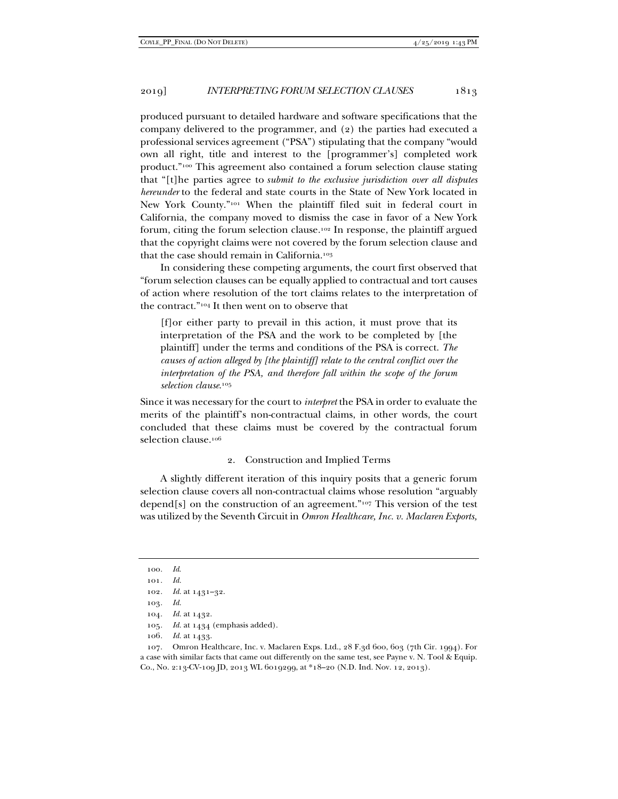produced pursuant to detailed hardware and software specifications that the company delivered to the programmer, and (2) the parties had executed a professional services agreement ("PSA") stipulating that the company "would own all right, title and interest to the [programmer's] completed work product."100 This agreement also contained a forum selection clause stating that "[t]he parties agree to *submit to the exclusive jurisdiction over all disputes hereunder* to the federal and state courts in the State of New York located in New York County."101 When the plaintiff filed suit in federal court in California, the company moved to dismiss the case in favor of a New York forum, citing the forum selection clause.102 In response, the plaintiff argued that the copyright claims were not covered by the forum selection clause and that the case should remain in California.103

In considering these competing arguments, the court first observed that "forum selection clauses can be equally applied to contractual and tort causes of action where resolution of the tort claims relates to the interpretation of the contract."104 It then went on to observe that

[f]or either party to prevail in this action, it must prove that its interpretation of the PSA and the work to be completed by [the plaintiff] under the terms and conditions of the PSA is correct. *The causes of action alleged by [the plaintiff] relate to the central conflict over the interpretation of the PSA, and therefore fall within the scope of the forum selection clause*.105

Since it was necessary for the court to *interpret* the PSA in order to evaluate the merits of the plaintiff's non-contractual claims, in other words, the court concluded that these claims must be covered by the contractual forum selection clause.<sup>106</sup>

# 2. Construction and Implied Terms

A slightly different iteration of this inquiry posits that a generic forum selection clause covers all non-contractual claims whose resolution "arguably depend[s] on the construction of an agreement."107 This version of the test was utilized by the Seventh Circuit in *Omron Healthcare, Inc. v. Maclaren Exports,* 

106*. Id.* at 1433.

 107. Omron Healthcare, Inc. v. Maclaren Exps. Ltd., 28 F.3d 600, 603 (7th Cir. 1994). For a case with similar facts that came out differently on the same test, see Payne v. N. Tool & Equip. Co., No. 2:13-CV-109 JD, 2013 WL 6019299, at \*18–20 (N.D. Ind. Nov. 12, 2013).

<sup>100</sup>*. Id*.

<sup>101</sup>*. Id.*

<sup>102</sup>*. Id.* at 1431–32.

<sup>103</sup>*. Id.*

<sup>104</sup>*. Id.* at 1432.

<sup>105</sup>*. Id.* at 1434 (emphasis added).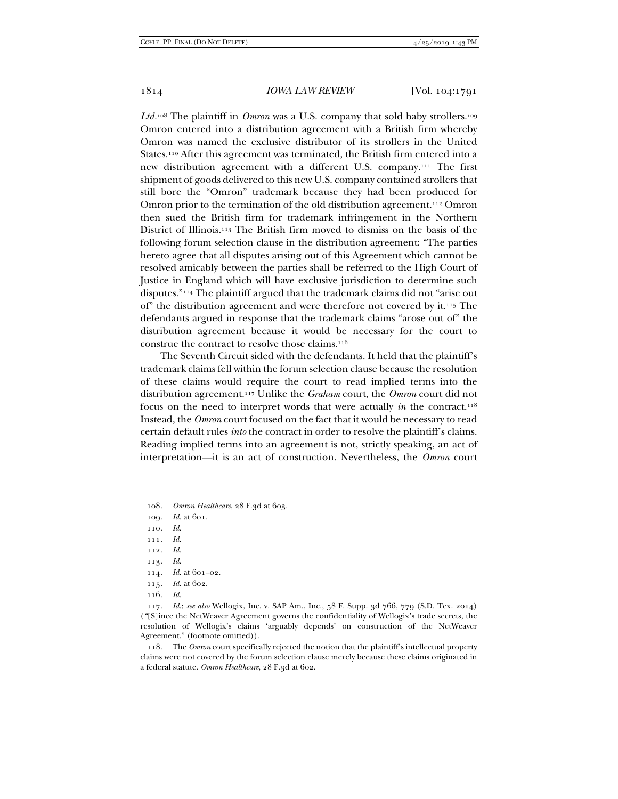*Ltd.*108 The plaintiff in *Omron* was a U.S. company that sold baby strollers.109 Omron entered into a distribution agreement with a British firm whereby Omron was named the exclusive distributor of its strollers in the United States.110 After this agreement was terminated, the British firm entered into a new distribution agreement with a different U.S. company.111 The first shipment of goods delivered to this new U.S. company contained strollers that still bore the "Omron" trademark because they had been produced for Omron prior to the termination of the old distribution agreement.<sup>112</sup> Omron then sued the British firm for trademark infringement in the Northern District of Illinois.113 The British firm moved to dismiss on the basis of the following forum selection clause in the distribution agreement: "The parties hereto agree that all disputes arising out of this Agreement which cannot be resolved amicably between the parties shall be referred to the High Court of Justice in England which will have exclusive jurisdiction to determine such disputes."114 The plaintiff argued that the trademark claims did not "arise out of" the distribution agreement and were therefore not covered by it.115 The defendants argued in response that the trademark claims "arose out of" the distribution agreement because it would be necessary for the court to construe the contract to resolve those claims.116

The Seventh Circuit sided with the defendants. It held that the plaintiff's trademark claims fell within the forum selection clause because the resolution of these claims would require the court to read implied terms into the distribution agreement.117 Unlike the *Graham* court, the *Omron* court did not focus on the need to interpret words that were actually *in* the contract.118 Instead, the *Omron* court focused on the fact that it would be necessary to read certain default rules *into* the contract in order to resolve the plaintiff's claims. Reading implied terms into an agreement is not, strictly speaking, an act of interpretation—it is an act of construction. Nevertheless, the *Omron* court

112*. Id.*

114*. Id.* at 601–02.

<sup>108</sup>*. Omron Healthcare*, 28 F.3d at 603.

<sup>109</sup>*. Id.* at 601.

<sup>110</sup>*. Id.*

<sup>111</sup>*. Id.*

<sup>113</sup>*. Id.*

<sup>115</sup>*. Id.* at 602.

<sup>116</sup>*. Id.*

<sup>117</sup>*. Id.*; *see also* Wellogix, Inc. v. SAP Am., Inc., 58 F. Supp. 3d 766, 779 (S.D. Tex. 2014) (*"*[S]ince the NetWeaver Agreement governs the confidentiality of Wellogix's trade secrets, the resolution of Wellogix's claims 'arguably depends' on construction of the NetWeaver Agreement." (footnote omitted)).

 <sup>118.</sup> The *Omron* court specifically rejected the notion that the plaintiff's intellectual property claims were not covered by the forum selection clause merely because these claims originated in a federal statute. *Omron Healthcare*, 28 F.3d at 602.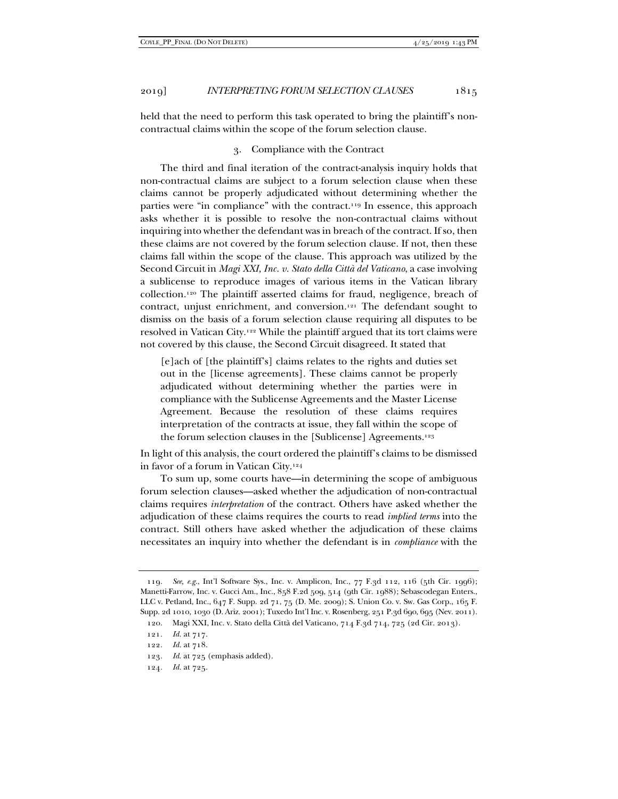held that the need to perform this task operated to bring the plaintiff's noncontractual claims within the scope of the forum selection clause.

# 3. Compliance with the Contract

The third and final iteration of the contract-analysis inquiry holds that non-contractual claims are subject to a forum selection clause when these claims cannot be properly adjudicated without determining whether the parties were "in compliance" with the contract.119 In essence, this approach asks whether it is possible to resolve the non-contractual claims without inquiring into whether the defendant was in breach of the contract. If so, then these claims are not covered by the forum selection clause. If not, then these claims fall within the scope of the clause. This approach was utilized by the Second Circuit in *Magi XXI, Inc. v. Stato della Città del Vaticano*, a case involving a sublicense to reproduce images of various items in the Vatican library collection.120 The plaintiff asserted claims for fraud, negligence, breach of contract, unjust enrichment, and conversion.121 The defendant sought to dismiss on the basis of a forum selection clause requiring all disputes to be resolved in Vatican City.122 While the plaintiff argued that its tort claims were not covered by this clause, the Second Circuit disagreed. It stated that

[e]ach of [the plaintiff's] claims relates to the rights and duties set out in the [license agreements]. These claims cannot be properly adjudicated without determining whether the parties were in compliance with the Sublicense Agreements and the Master License Agreement. Because the resolution of these claims requires interpretation of the contracts at issue, they fall within the scope of the forum selection clauses in the [Sublicense] Agreements.123

In light of this analysis, the court ordered the plaintiff's claims to be dismissed in favor of a forum in Vatican City.124

To sum up, some courts have—in determining the scope of ambiguous forum selection clauses—asked whether the adjudication of non-contractual claims requires *interpretation* of the contract. Others have asked whether the adjudication of these claims requires the courts to read *implied terms* into the contract. Still others have asked whether the adjudication of these claims necessitates an inquiry into whether the defendant is in *compliance* with the

123*. Id*. at 725 (emphasis added).

<sup>119</sup>*. See, e.g.*, Int'l Software Sys., Inc. v. Amplicon, Inc., 77 F.3d 112, 116 (5th Cir. 1996); Manetti-Farrow, Inc. v. Gucci Am., Inc., 858 F.2d 509, 514 (9th Cir. 1988); Sebascodegan Enters., LLC v. Petland, Inc., 647 F. Supp. 2d 71, 75 (D. Me. 2009); S. Union Co. v. Sw. Gas Corp., 165 F. Supp. 2d 1010, 1030 (D. Ariz. 2001); Tuxedo Int'l Inc. v. Rosenberg, 251 P.3d 690, 695 (Nev. 2011).

 <sup>120.</sup> Magi XXI, Inc. v. Stato della Città del Vaticano, 714 F.3d 714, 725 (2d Cir. 2013).

<sup>121</sup>*. Id.* at 717.

<sup>122</sup>*. Id.* at 718.

<sup>124</sup>*. Id.* at 725.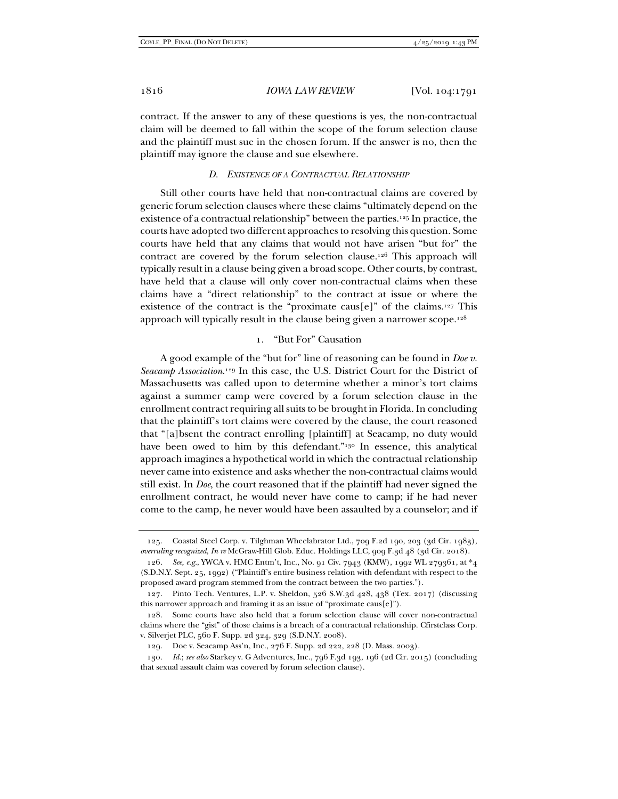contract. If the answer to any of these questions is yes, the non-contractual claim will be deemed to fall within the scope of the forum selection clause and the plaintiff must sue in the chosen forum. If the answer is no, then the plaintiff may ignore the clause and sue elsewhere.

## *D. EXISTENCE OF A CONTRACTUAL RELATIONSHIP*

Still other courts have held that non-contractual claims are covered by generic forum selection clauses where these claims "ultimately depend on the existence of a contractual relationship" between the parties.125 In practice, the courts have adopted two different approaches to resolving this question. Some courts have held that any claims that would not have arisen "but for" the contract are covered by the forum selection clause.126 This approach will typically result in a clause being given a broad scope. Other courts, by contrast, have held that a clause will only cover non-contractual claims when these claims have a "direct relationship" to the contract at issue or where the existence of the contract is the "proximate caus[e]" of the claims.<sup>127</sup> This approach will typically result in the clause being given a narrower scope.128

#### 1. "But For" Causation

A good example of the "but for" line of reasoning can be found in *Doe v. Seacamp Association*.129 In this case, the U.S. District Court for the District of Massachusetts was called upon to determine whether a minor's tort claims against a summer camp were covered by a forum selection clause in the enrollment contract requiring all suits to be brought in Florida. In concluding that the plaintiff's tort claims were covered by the clause, the court reasoned that "[a]bsent the contract enrolling [plaintiff] at Seacamp, no duty would have been owed to him by this defendant."<sup>130</sup> In essence, this analytical approach imagines a hypothetical world in which the contractual relationship never came into existence and asks whether the non-contractual claims would still exist. In *Doe*, the court reasoned that if the plaintiff had never signed the enrollment contract, he would never have come to camp; if he had never come to the camp, he never would have been assaulted by a counselor; and if

 <sup>125.</sup> Coastal Steel Corp. v. Tilghman Wheelabrator Ltd., 709 F.2d 190, 203 (3d Cir. 1983), *overruling recognized, In re* McGraw-Hill Glob. Educ. Holdings LLC, 909 F.3d 48 (3d Cir. 2018).

<sup>126</sup>*. See, e.g.*, YWCA v. HMC Entm't, Inc., No. 91 Civ. 7943 (KMW), 1992 WL 279361, at \*4 (S.D.N.Y. Sept. 25, 1992) ("Plaintiff's entire business relation with defendant with respect to the proposed award program stemmed from the contract between the two parties.").

 <sup>127.</sup> Pinto Tech. Ventures, L.P. v. Sheldon, 526 S.W.3d 428, 438 (Tex. 2017) (discussing this narrower approach and framing it as an issue of "proximate caus[e]").

 <sup>128.</sup> Some courts have also held that a forum selection clause will cover non-contractual claims where the "gist" of those claims is a breach of a contractual relationship. Cfirstclass Corp. v. Silverjet PLC, 560 F. Supp. 2d 324, 329 (S.D.N.Y. 2008).

 <sup>129.</sup> Doe v. Seacamp Ass'n, Inc., 276 F. Supp. 2d 222, 228 (D. Mass. 2003).

<sup>130</sup>*. Id.*; *see also* Starkey v. G Adventures, Inc., 796 F.3d 193, 196 (2d Cir. 2015) (concluding that sexual assault claim was covered by forum selection clause).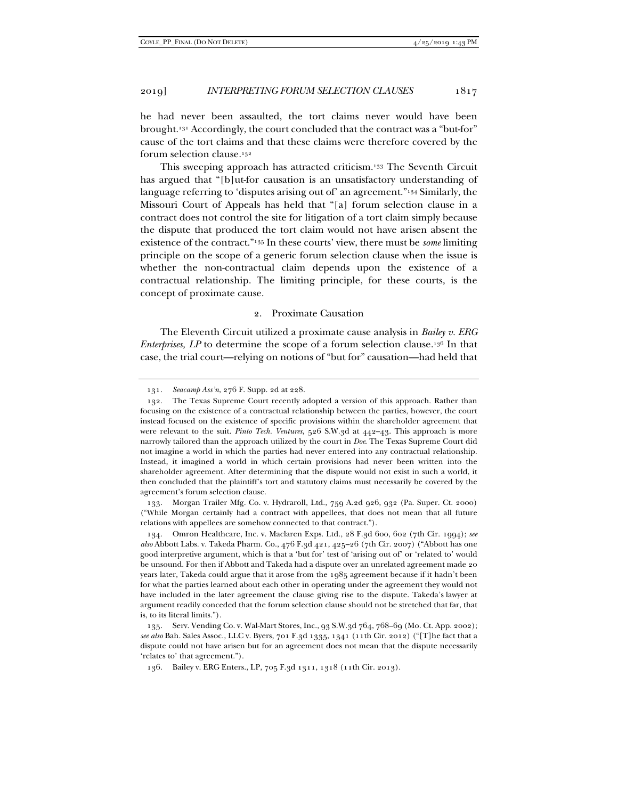he had never been assaulted, the tort claims never would have been brought.131 Accordingly, the court concluded that the contract was a "but-for" cause of the tort claims and that these claims were therefore covered by the forum selection clause.132

This sweeping approach has attracted criticism.133 The Seventh Circuit has argued that "[b]ut-for causation is an unsatisfactory understanding of language referring to 'disputes arising out of' an agreement."<sup>134</sup> Similarly, the Missouri Court of Appeals has held that "[a] forum selection clause in a contract does not control the site for litigation of a tort claim simply because the dispute that produced the tort claim would not have arisen absent the existence of the contract."135 In these courts' view, there must be *some* limiting principle on the scope of a generic forum selection clause when the issue is whether the non-contractual claim depends upon the existence of a contractual relationship. The limiting principle, for these courts, is the concept of proximate cause.

## 2. Proximate Causation

The Eleventh Circuit utilized a proximate cause analysis in *Bailey v. ERG Enterprises, LP* to determine the scope of a forum selection clause.<sup>136</sup> In that case, the trial court—relying on notions of "but for" causation—had held that

 133. Morgan Trailer Mfg. Co. v. Hydraroll, Ltd., 759 A.2d 926, 932 (Pa. Super. Ct. 2000) ("While Morgan certainly had a contract with appellees, that does not mean that all future relations with appellees are somehow connected to that contract.").

 134. Omron Healthcare, Inc. v. Maclaren Exps. Ltd., 28 F.3d 600, 602 (7th Cir. 1994); *see also* Abbott Labs. v. Takeda Pharm. Co., 476 F.3d 421, 425–26 (7th Cir. 2007) ("Abbott has one good interpretive argument, which is that a 'but for' test of 'arising out of' or 'related to' would be unsound. For then if Abbott and Takeda had a dispute over an unrelated agreement made 20 years later, Takeda could argue that it arose from the 1985 agreement because if it hadn't been for what the parties learned about each other in operating under the agreement they would not have included in the later agreement the clause giving rise to the dispute. Takeda's lawyer at argument readily conceded that the forum selection clause should not be stretched that far, that is, to its literal limits.").

 135. Serv. Vending Co. v. Wal-Mart Stores, Inc., 93 S.W.3d 764, 768–69 (Mo. Ct. App. 2002); *see also* Bah. Sales Assoc., LLC v. Byers, 701 F.3d 1335, 1341 (11th Cir. 2012) ("[T]he fact that a dispute could not have arisen but for an agreement does not mean that the dispute necessarily 'relates to' that agreement.").

<sup>131</sup>*. Seacamp Ass'n*, 276 F. Supp. 2d at 228.

 <sup>132.</sup> The Texas Supreme Court recently adopted a version of this approach. Rather than focusing on the existence of a contractual relationship between the parties, however, the court instead focused on the existence of specific provisions within the shareholder agreement that were relevant to the suit. *Pinto Tech. Ventures*, 526 S.W.3d at 442–43. This approach is more narrowly tailored than the approach utilized by the court in *Doe*. The Texas Supreme Court did not imagine a world in which the parties had never entered into any contractual relationship. Instead, it imagined a world in which certain provisions had never been written into the shareholder agreement. After determining that the dispute would not exist in such a world, it then concluded that the plaintiff's tort and statutory claims must necessarily be covered by the agreement's forum selection clause.

 <sup>136.</sup> Bailey v. ERG Enters., LP, 705 F.3d 1311, 1318 (11th Cir. 2013).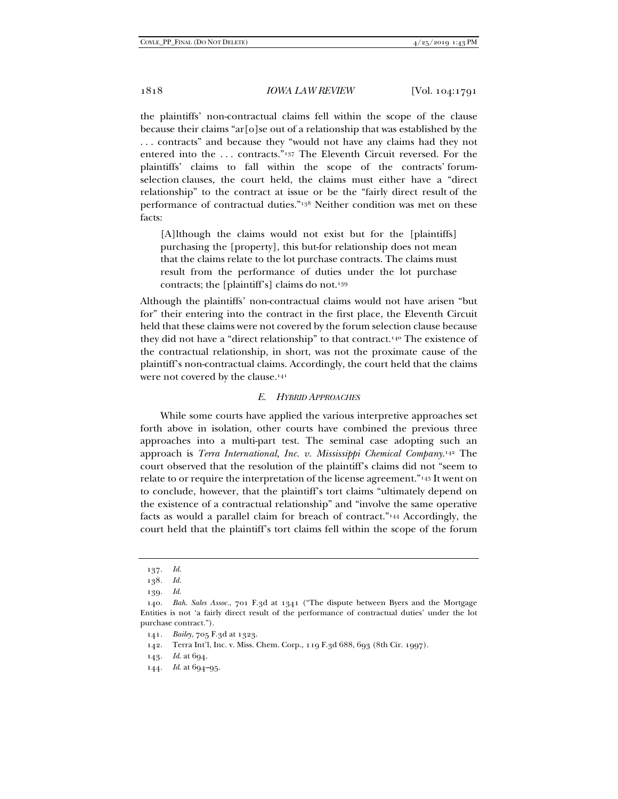the plaintiffs' non-contractual claims fell within the scope of the clause because their claims "ar[o]se out of a relationship that was established by the . . . contracts" and because they "would not have any claims had they not entered into the ... contracts."<sup>137</sup> The Eleventh Circuit reversed. For the plaintiffs' claims to fall within the scope of the contracts' forumselection clauses, the court held, the claims must either have a "direct relationship" to the contract at issue or be the "fairly direct result of the performance of contractual duties."138 Neither condition was met on these facts:

[A]lthough the claims would not exist but for the [plaintiffs] purchasing the [property], this but-for relationship does not mean that the claims relate to the lot purchase contracts. The claims must result from the performance of duties under the lot purchase contracts; the [plaintiff's] claims do not.139

Although the plaintiffs' non-contractual claims would not have arisen "but for" their entering into the contract in the first place, the Eleventh Circuit held that these claims were not covered by the forum selection clause because they did not have a "direct relationship" to that contract.140 The existence of the contractual relationship, in short, was not the proximate cause of the plaintiff's non-contractual claims. Accordingly, the court held that the claims were not covered by the clause.141

#### *E. HYBRID APPROACHES*

While some courts have applied the various interpretive approaches set forth above in isolation, other courts have combined the previous three approaches into a multi-part test. The seminal case adopting such an approach is *Terra International, Inc. v. Mississippi Chemical Company*.142 The court observed that the resolution of the plaintiff's claims did not "seem to relate to or require the interpretation of the license agreement."143 It went on to conclude, however, that the plaintiff's tort claims "ultimately depend on the existence of a contractual relationship" and "involve the same operative facts as would a parallel claim for breach of contract."144 Accordingly, the court held that the plaintiff's tort claims fell within the scope of the forum

<sup>137</sup>*. Id.*

<sup>138</sup>*. Id.*

<sup>139</sup>*. Id.*

<sup>140</sup>*. Bah*. *Sales Assoc.*, 701 F.3d at 1341 ("The dispute between Byers and the Mortgage Entities is not 'a fairly direct result of the performance of contractual duties' under the lot purchase contract.").

<sup>141</sup>*. Bailey*, 705 F.3d at 1323.

 <sup>142.</sup> Terra Int'l, Inc. v. Miss. Chem. Corp., 119 F.3d 688, 693 (8th Cir. 1997).

<sup>143</sup>*. Id*. at 694.

<sup>144</sup>*. Id*. at 694–95.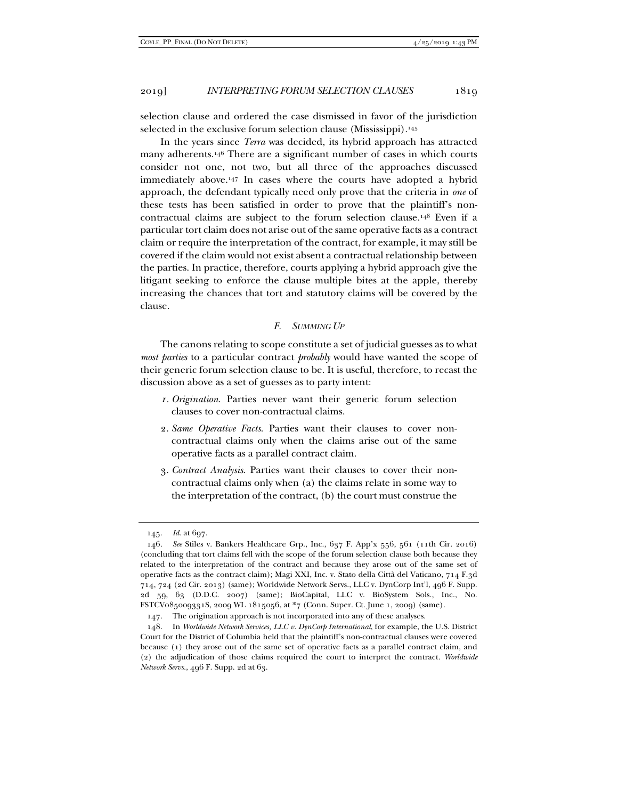selection clause and ordered the case dismissed in favor of the jurisdiction selected in the exclusive forum selection clause (Mississippi).<sup>145</sup>

In the years since *Terra* was decided, its hybrid approach has attracted many adherents.146 There are a significant number of cases in which courts consider not one, not two, but all three of the approaches discussed immediately above.147 In cases where the courts have adopted a hybrid approach, the defendant typically need only prove that the criteria in *one* of these tests has been satisfied in order to prove that the plaintiff's noncontractual claims are subject to the forum selection clause.148 Even if a particular tort claim does not arise out of the same operative facts as a contract claim or require the interpretation of the contract, for example, it may still be covered if the claim would not exist absent a contractual relationship between the parties. In practice, therefore, courts applying a hybrid approach give the litigant seeking to enforce the clause multiple bites at the apple, thereby increasing the chances that tort and statutory claims will be covered by the clause.

# *F. SUMMING UP*

The canons relating to scope constitute a set of judicial guesses as to what *most parties* to a particular contract *probably* would have wanted the scope of their generic forum selection clause to be. It is useful, therefore, to recast the discussion above as a set of guesses as to party intent:

- *1. Origination*. Parties never want their generic forum selection clauses to cover non-contractual claims.
- 2. *Same Operative Facts*. Parties want their clauses to cover noncontractual claims only when the claims arise out of the same operative facts as a parallel contract claim.
- 3. *Contract Analysis*. Parties want their clauses to cover their noncontractual claims only when (a) the claims relate in some way to the interpretation of the contract, (b) the court must construe the

<sup>145</sup>*. Id*. at 697.

<sup>146</sup>*. See* Stiles v. Bankers Healthcare Grp., Inc., 637 F. App'x 556, 561 (11th Cir. 2016) (concluding that tort claims fell with the scope of the forum selection clause both because they related to the interpretation of the contract and because they arose out of the same set of operative facts as the contract claim); Magi XXI, Inc. v. Stato della Città del Vaticano, 714 F.3d 714, 724 (2d Cir. 2013) (same); Worldwide Network Servs., LLC v. DynCorp Int'l, 496 F. Supp. 2d 59, 63 (D.D.C. 2007) (same); BioCapital, LLC v. BioSystem Sols., Inc., No. FSTCV085009331S, 2009 WL 1815056, at \*7 (Conn. Super. Ct. June 1, 2009) (same).

 <sup>147.</sup> The origination approach is not incorporated into any of these analyses.

 <sup>148.</sup> In *Worldwide Network Services, LLC v. DynCorp International*, for example, the U.S. District Court for the District of Columbia held that the plaintiff's non-contractual clauses were covered because (1) they arose out of the same set of operative facts as a parallel contract claim, and (2) the adjudication of those claims required the court to interpret the contract. *Worldwide Network Servs.*, 496 F. Supp. 2d at 63.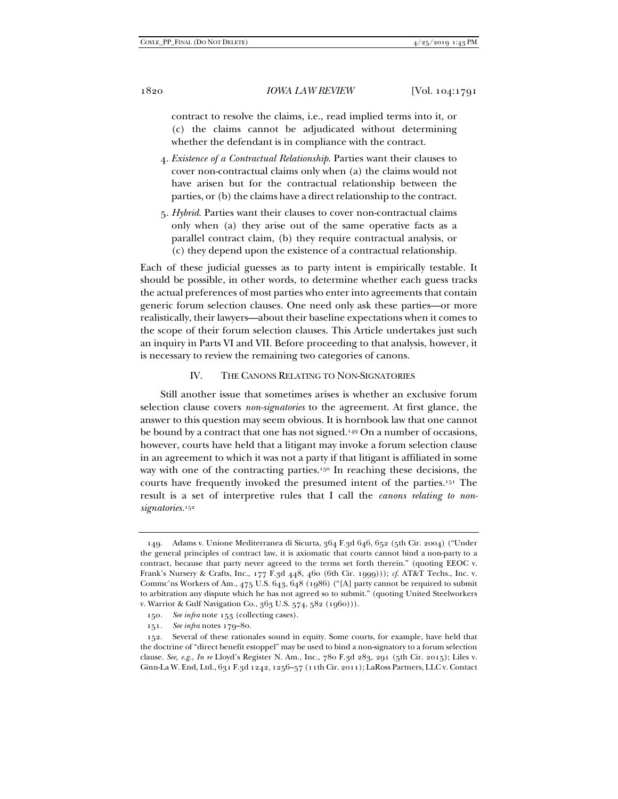contract to resolve the claims, i.e., read implied terms into it, or (c) the claims cannot be adjudicated without determining whether the defendant is in compliance with the contract.

- 4. *Existence of a Contractual Relationship*. Parties want their clauses to cover non-contractual claims only when (a) the claims would not have arisen but for the contractual relationship between the parties, or (b) the claims have a direct relationship to the contract.
- 5. *Hybrid*. Parties want their clauses to cover non-contractual claims only when (a) they arise out of the same operative facts as a parallel contract claim, (b) they require contractual analysis, or (c) they depend upon the existence of a contractual relationship.

Each of these judicial guesses as to party intent is empirically testable. It should be possible, in other words, to determine whether each guess tracks the actual preferences of most parties who enter into agreements that contain generic forum selection clauses. One need only ask these parties—or more realistically, their lawyers—about their baseline expectations when it comes to the scope of their forum selection clauses. This Article undertakes just such an inquiry in Parts VI and VII. Before proceeding to that analysis, however, it is necessary to review the remaining two categories of canons.

# IV. THE CANONS RELATING TO NON-SIGNATORIES

Still another issue that sometimes arises is whether an exclusive forum selection clause covers *non-signatories* to the agreement. At first glance, the answer to this question may seem obvious. It is hornbook law that one cannot be bound by a contract that one has not signed.149 On a number of occasions, however, courts have held that a litigant may invoke a forum selection clause in an agreement to which it was not a party if that litigant is affiliated in some way with one of the contracting parties.150 In reaching these decisions, the courts have frequently invoked the presumed intent of the parties.151 The result is a set of interpretive rules that I call the *canons relating to nonsignatories.*<sup>152</sup>

151*. See infra* notes 179–80.

 <sup>149.</sup> Adams v. Unione Mediterranea di Sicurta, 364 F.3d 646, 652 (5th Cir. 2004) ("Under the general principles of contract law, it is axiomatic that courts cannot bind a non-party to a contract, because that party never agreed to the terms set forth therein." (quoting EEOC v. Frank's Nursery & Crafts, Inc., 177 F.3d 448, 460 (6th Cir. 1999))); *cf.* AT&T Techs., Inc. v. Commc'ns Workers of Am., 475 U.S. 643, 648 (1986) ("[A] party cannot be required to submit to arbitration any dispute which he has not agreed so to submit." (quoting United Steelworkers v. Warrior & Gulf Navigation Co., 363 U.S. 574, 582 (1960))).

<sup>150</sup>*. See infra* note 153 (collecting cases).

 <sup>152.</sup> Several of these rationales sound in equity. Some courts, for example, have held that the doctrine of "direct benefit estoppel" may be used to bind a non-signatory to a forum selection clause. *See, e.g.*, *In re* Lloyd's Register N. Am., Inc., 780 F.3d 283, 291 (5th Cir. 2015); Liles v. Ginn-La W. End, Ltd., 631 F.3d 1242, 1256–57 (11th Cir. 2011); LaRoss Partners, LLC v. Contact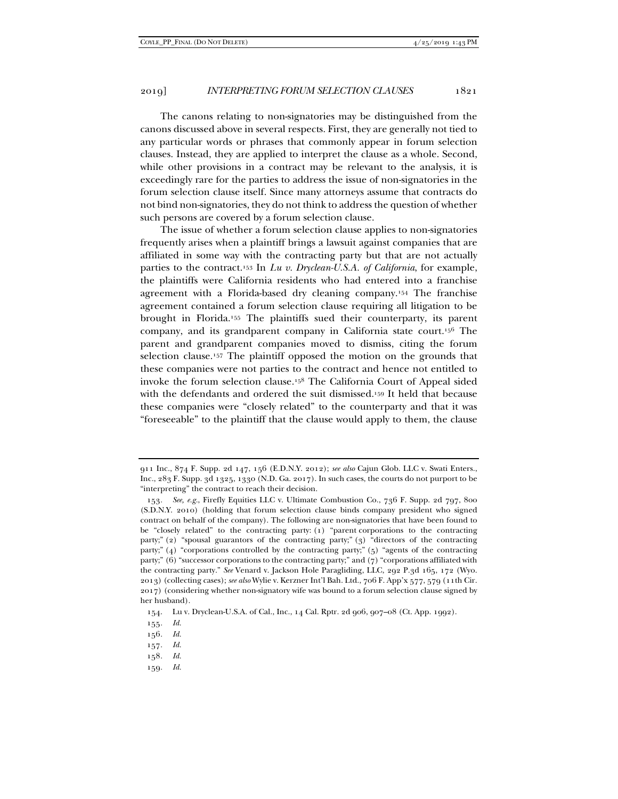The canons relating to non-signatories may be distinguished from the canons discussed above in several respects. First, they are generally not tied to any particular words or phrases that commonly appear in forum selection clauses. Instead, they are applied to interpret the clause as a whole. Second, while other provisions in a contract may be relevant to the analysis, it is exceedingly rare for the parties to address the issue of non-signatories in the forum selection clause itself. Since many attorneys assume that contracts do not bind non-signatories, they do not think to address the question of whether such persons are covered by a forum selection clause.

The issue of whether a forum selection clause applies to non-signatories frequently arises when a plaintiff brings a lawsuit against companies that are affiliated in some way with the contracting party but that are not actually parties to the contract.153 In *Lu v. Dryclean-U.S.A. of California*, for example, the plaintiffs were California residents who had entered into a franchise agreement with a Florida-based dry cleaning company.154 The franchise agreement contained a forum selection clause requiring all litigation to be brought in Florida.155 The plaintiffs sued their counterparty, its parent company, and its grandparent company in California state court.156 The parent and grandparent companies moved to dismiss, citing the forum selection clause.157 The plaintiff opposed the motion on the grounds that these companies were not parties to the contract and hence not entitled to invoke the forum selection clause.158 The California Court of Appeal sided with the defendants and ordered the suit dismissed.159 It held that because these companies were "closely related" to the counterparty and that it was "foreseeable" to the plaintiff that the clause would apply to them, the clause

- 158*. Id.*
- 159*. Id.*

<sup>911</sup> Inc., 874 F. Supp. 2d 147, 156 (E.D.N.Y. 2012); *see also* Cajun Glob. LLC v. Swati Enters., Inc., 283 F. Supp. 3d 1325, 1330 (N.D. Ga. 2017). In such cases, the courts do not purport to be "interpreting" the contract to reach their decision.

<sup>153</sup>*. See, e.g.*, Firefly Equities LLC v. Ultimate Combustion Co., 736 F. Supp. 2d 797, 800 (S.D.N.Y. 2010) (holding that forum selection clause binds company president who signed contract on behalf of the company). The following are non-signatories that have been found to be "closely related" to the contracting party: (1) "parent corporations to the contracting party;" (2) "spousal guarantors of the contracting party;" (3) "directors of the contracting party;" (4) "corporations controlled by the contracting party;" (5) "agents of the contracting party;" (6) "successor corporations to the contracting party;" and  $(7)$  "corporations affiliated with the contracting party." *See* Venard v. Jackson Hole Paragliding, LLC, 292 P.3d 165, 172 (Wyo. 2013) (collecting cases); *see also* Wylie v. Kerzner Int'l Bah. Ltd., 706 F. App'x 577, 579 (11th Cir. 2017) (considering whether non-signatory wife was bound to a forum selection clause signed by her husband).

 <sup>154.</sup> Lu v. Dryclean-U.S.A. of Cal., Inc., 14 Cal. Rptr. 2d 906, 907–08 (Ct. App. 1992).

<sup>155</sup>*. Id.* 

<sup>156</sup>*. Id.*

<sup>157</sup>*. Id.*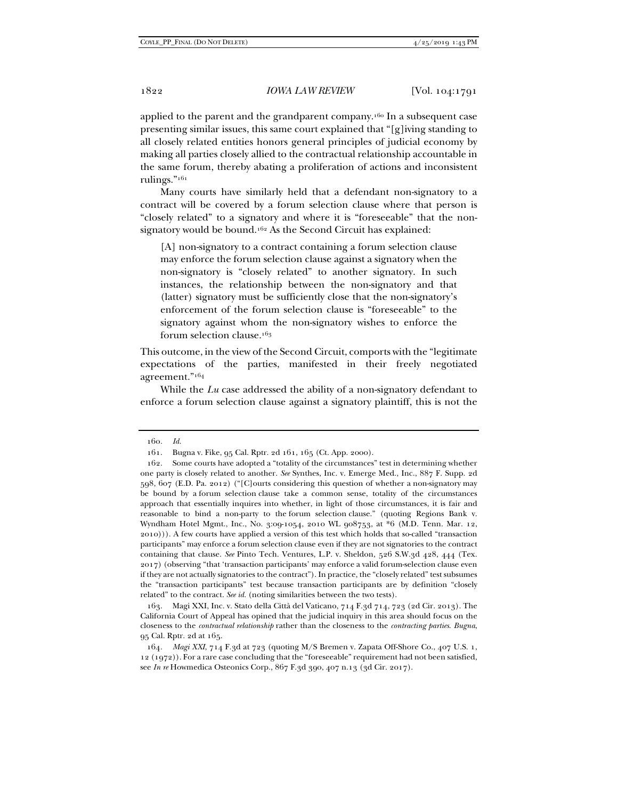applied to the parent and the grandparent company.160 In a subsequent case presenting similar issues, this same court explained that "[g]iving standing to all closely related entities honors general principles of judicial economy by making all parties closely allied to the contractual relationship accountable in the same forum, thereby abating a proliferation of actions and inconsistent rulings."161

Many courts have similarly held that a defendant non-signatory to a contract will be covered by a forum selection clause where that person is "closely related" to a signatory and where it is "foreseeable" that the nonsignatory would be bound.<sup>162</sup> As the Second Circuit has explained:

[A] non-signatory to a contract containing a forum selection clause may enforce the forum selection clause against a signatory when the non-signatory is "closely related" to another signatory. In such instances, the relationship between the non-signatory and that (latter) signatory must be sufficiently close that the non-signatory's enforcement of the forum selection clause is "foreseeable" to the signatory against whom the non-signatory wishes to enforce the forum selection clause.163

This outcome, in the view of the Second Circuit, comports with the "legitimate expectations of the parties, manifested in their freely negotiated agreement."164

While the *Lu* case addressed the ability of a non-signatory defendant to enforce a forum selection clause against a signatory plaintiff, this is not the

<sup>160</sup>*. Id.*

 <sup>161.</sup> Bugna v. Fike, 95 Cal. Rptr. 2d 161, 165 (Ct. App. 2000).

 <sup>162.</sup> Some courts have adopted a "totality of the circumstances" test in determining whether one party is closely related to another. *See* Synthes, Inc. v. Emerge Med., Inc., 887 F. Supp. 2d 598, 607 (E.D. Pa. 2012) ("[C]ourts considering this question of whether a non-signatory may be bound by a forum selection clause take a common sense, totality of the circumstances approach that essentially inquires into whether, in light of those circumstances, it is fair and reasonable to bind a non-party to the forum selection clause." (quoting Regions Bank v. Wyndham Hotel Mgmt., Inc., No. 3:09-1054, 2010 WL 908753, at \*6 (M.D. Tenn. Mar. 12, 2010))). A few courts have applied a version of this test which holds that so-called "transaction participants" may enforce a forum selection clause even if they are not signatories to the contract containing that clause. *See* Pinto Tech. Ventures, L.P. v. Sheldon, 526 S.W.3d 428, 444 (Tex. 2017) (observing "that 'transaction participants' may enforce a valid forum-selection clause even if they are not actually signatories to the contract"). In practice, the "closely related" test subsumes the "transaction participants" test because transaction participants are by definition "closely related" to the contract. *See id.* (noting similarities between the two tests).

 <sup>163.</sup> Magi XXI, Inc. v. Stato della Città del Vaticano, 714 F.3d 714, 723 (2d Cir. 2013). The California Court of Appeal has opined that the judicial inquiry in this area should focus on the closeness to the *contractual relationship* rather than the closeness to the *contracting parties*. *Bugna*, 95 Cal. Rptr. 2d at 165.

<sup>164</sup>*. Magi XXI*, 714 F.3d at 723 (quoting M/S Bremen v. Zapata Off-Shore Co., 407 U.S. 1, 12 (1972)). For a rare case concluding that the "foreseeable" requirement had not been satisfied, see *In re* Howmedica Osteonics Corp., 867 F.3d 390, 407 n.13 (3d Cir. 2017).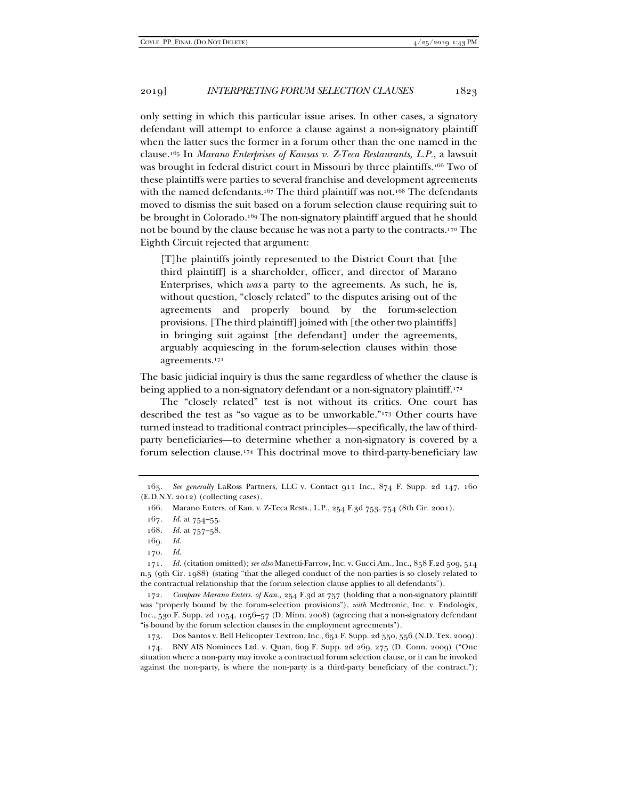only setting in which this particular issue arises. In other cases, a signatory defendant will attempt to enforce a clause against a non-signatory plaintiff when the latter sues the former in a forum other than the one named in the clause.165 In *Marano Enterprises of Kansas v. Z-Teca Restaurants, L.P.*, a lawsuit was brought in federal district court in Missouri by three plaintiffs.166 Two of these plaintiffs were parties to several franchise and development agreements with the named defendants.<sup>167</sup> The third plaintiff was not.<sup>168</sup> The defendants moved to dismiss the suit based on a forum selection clause requiring suit to be brought in Colorado.169 The non-signatory plaintiff argued that he should not be bound by the clause because he was not a party to the contracts.170 The Eighth Circuit rejected that argument:

[T]he plaintiffs jointly represented to the District Court that [the third plaintiff] is a shareholder, officer, and director of Marano Enterprises, which *was* a party to the agreements. As such, he is, without question, "closely related" to the disputes arising out of the agreements and properly bound by the forum-selection provisions. [The third plaintiff] joined with [the other two plaintiffs] in bringing suit against [the defendant] under the agreements, arguably acquiescing in the forum-selection clauses within those agreements.171

The basic judicial inquiry is thus the same regardless of whether the clause is being applied to a non-signatory defendant or a non-signatory plaintiff.<sup>172</sup>

The "closely related" test is not without its critics. One court has described the test as "so vague as to be unworkable."173 Other courts have turned instead to traditional contract principles—specifically, the law of thirdparty beneficiaries—to determine whether a non-signatory is covered by a forum selection clause.174 This doctrinal move to third-party-beneficiary law

170*. Id.*

171*. Id.* (citation omitted); *see also* Manetti-Farrow, Inc. v. Gucci Am., Inc., 858 F.2d 509, 514 n.5 (9th Cir. 1988) (stating "that the alleged conduct of the non-parties is so closely related to the contractual relationship that the forum selection clause applies to all defendants").

172*. Compare Marano Enters. of Kan.,* 254 F.3d at 757 (holding that a non-signatory plaintiff was "properly bound by the forum-selection provisions"), *with* Medtronic, Inc. v. Endologix, Inc., 530 F. Supp. 2d 1054, 1056–57 (D. Minn. 2008) (agreeing that a non-signatory defendant "is bound by the forum selection clauses in the employment agreements").

173. Dos Santos v. Bell Helicopter Textron, Inc., 651 F. Supp. 2d 550, 556 (N.D. Tex. 2009).

 174. BNY AIS Nominees Ltd. v. Quan, 609 F. Supp. 2d 269, 275 (D. Conn. 2009) ("One situation where a non-party may invoke a contractual forum selection clause, or it can be invoked against the non-party, is where the non-party is a third-party beneficiary of the contract.");

<sup>165</sup>*. See generally* LaRoss Partners, LLC v. Contact 911 Inc., 874 F. Supp. 2d 147, 160 (E.D.N.Y. 2012) (collecting cases).

 <sup>166.</sup> Marano Enters. of Kan. v. Z-Teca Rests., L.P., 254 F.3d 753, 754 (8th Cir. 2001).

<sup>167</sup>*. Id.* at 754–55.

<sup>168</sup>*. Id.* at 757–58.

<sup>169</sup>*. Id.*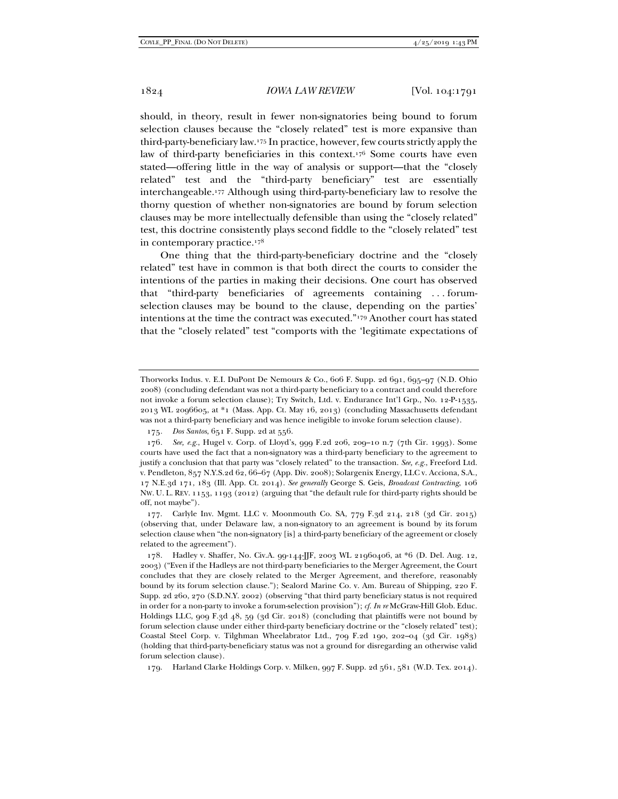should, in theory, result in fewer non-signatories being bound to forum selection clauses because the "closely related" test is more expansive than third-party-beneficiary law.175 In practice, however, few courts strictly apply the law of third-party beneficiaries in this context.<sup>176</sup> Some courts have even stated—offering little in the way of analysis or support—that the "closely related" test and the "third-party beneficiary" test are essentially interchangeable.177 Although using third-party-beneficiary law to resolve the thorny question of whether non-signatories are bound by forum selection clauses may be more intellectually defensible than using the "closely related" test, this doctrine consistently plays second fiddle to the "closely related" test in contemporary practice.<sup>178</sup>

One thing that the third-party-beneficiary doctrine and the "closely related" test have in common is that both direct the courts to consider the intentions of the parties in making their decisions. One court has observed that "third-party beneficiaries of agreements containing . . . forumselection clauses may be bound to the clause, depending on the parties' intentions at the time the contract was executed."179 Another court has stated that the "closely related" test "comports with the 'legitimate expectations of

Thorworks Indus. v. E.I. DuPont De Nemours & Co., 606 F. Supp. 2d 691, 695–97 (N.D. Ohio 2008) (concluding defendant was not a third-party beneficiary to a contract and could therefore not invoke a forum selection clause); Try Switch, Ltd. v. Endurance Int'l Grp., No. 12-P-1535, 2013 WL 2096605, at \*1 (Mass. App. Ct. May 16, 2013) (concluding Massachusetts defendant was not a third-party beneficiary and was hence ineligible to invoke forum selection clause).

<sup>175</sup>*. Dos Santos*, 651 F. Supp. 2d at 556.

<sup>176</sup>*. See, e.g.*, Hugel v. Corp. of Lloyd's, 999 F.2d 206, 209–10 n.7 (7th Cir. 1993). Some courts have used the fact that a non-signatory was a third-party beneficiary to the agreement to justify a conclusion that that party was "closely related" to the transaction. *See, e.g.*, Freeford Ltd. v. Pendleton, 857 N.Y.S.2d 62, 66–67 (App. Div. 2008); Solargenix Energy, LLC v. Acciona, S.A., 17 N.E.3d 171, 183 (Ill. App. Ct. 2014). *See generally* George S. Geis, *Broadcast Contracting*, 106 NW. U. L. REV. 1153, 1193 (2012) (arguing that "the default rule for third-party rights should be off, not maybe").

 <sup>177.</sup> Carlyle Inv. Mgmt. LLC v. Moonmouth Co. SA, 779 F.3d 214, 218 (3d Cir. 2015) (observing that, under Delaware law, a non-signatory to an agreement is bound by its forum selection clause when "the non-signatory [is] a third-party beneficiary of the agreement or closely related to the agreement").

 <sup>178.</sup> Hadley v. Shaffer, No. Civ.A. 99-144-JJF, 2003 WL 21960406, at \*6 (D. Del. Aug. 12, 2003) ("Even if the Hadleys are not third-party beneficiaries to the Merger Agreement, the Court concludes that they are closely related to the Merger Agreement, and therefore, reasonably bound by its forum selection clause."); Sealord Marine Co. v. Am. Bureau of Shipping, 220 F. Supp. 2d 260, 270 (S.D.N.Y. 2002) (observing "that third party beneficiary status is not required in order for a non-party to invoke a forum-selection provision"); *cf. In re* McGraw-Hill Glob. Educ. Holdings LLC, 909 F.3d 48, 59 (3d Cir. 2018) (concluding that plaintiffs were not bound by forum selection clause under either third-party beneficiary doctrine or the "closely related" test); Coastal Steel Corp. v. Tilghman Wheelabrator Ltd., 709 F.2d 190, 202–04 (3d Cir. 1983) (holding that third-party-beneficiary status was not a ground for disregarding an otherwise valid forum selection clause).

<sup>179.</sup> Harland Clarke Holdings Corp. v. Milken, 997 F. Supp. 2d 561, 581 (W.D. Tex. 2014).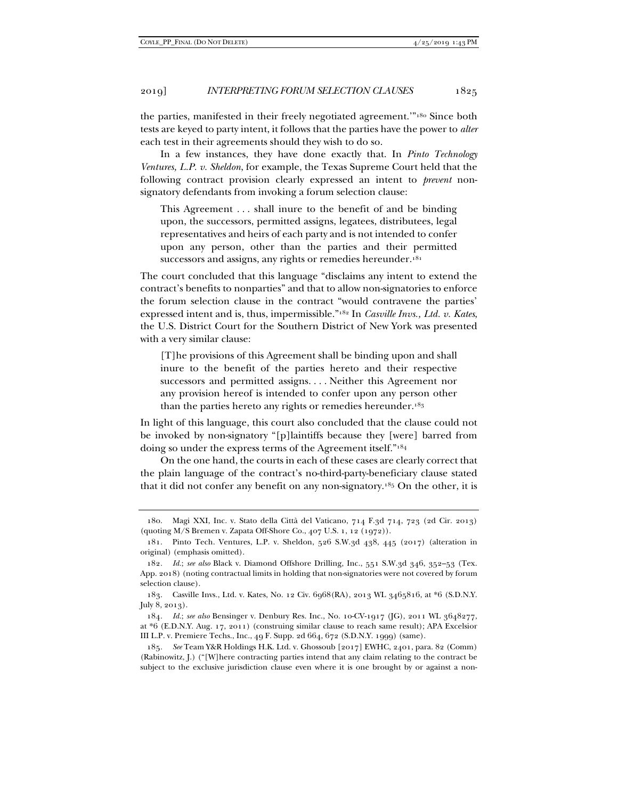the parties, manifested in their freely negotiated agreement.'"180 Since both tests are keyed to party intent, it follows that the parties have the power to *alter* each test in their agreements should they wish to do so.

In a few instances, they have done exactly that. In *Pinto Technology Ventures, L.P. v. Sheldon*, for example, the Texas Supreme Court held that the following contract provision clearly expressed an intent to *prevent* nonsignatory defendants from invoking a forum selection clause:

This Agreement . . . shall inure to the benefit of and be binding upon, the successors, permitted assigns, legatees, distributees, legal representatives and heirs of each party and is not intended to confer upon any person, other than the parties and their permitted successors and assigns, any rights or remedies hereunder.<sup>181</sup>

The court concluded that this language "disclaims any intent to extend the contract's benefits to nonparties" and that to allow non-signatories to enforce the forum selection clause in the contract "would contravene the parties' expressed intent and is, thus, impermissible."182 In *Casville Invs., Ltd. v. Kates*, the U.S. District Court for the Southern District of New York was presented with a very similar clause:

[T]he provisions of this Agreement shall be binding upon and shall inure to the benefit of the parties hereto and their respective successors and permitted assigns. . . . Neither this Agreement nor any provision hereof is intended to confer upon any person other than the parties hereto any rights or remedies hereunder.183

In light of this language, this court also concluded that the clause could not be invoked by non-signatory "[p]laintiffs because they [were] barred from doing so under the express terms of the Agreement itself."184

On the one hand, the courts in each of these cases are clearly correct that the plain language of the contract's no-third-party-beneficiary clause stated that it did not confer any benefit on any non-signatory.185 On the other, it is

 <sup>180.</sup> Magi XXI, Inc. v. Stato della Città del Vaticano, 714 F.3d 714, 723 (2d Cir. 2013) (quoting M/S Bremen v. Zapata Off-Shore Co., 407 U.S. 1, 12 (1972)).

 <sup>181.</sup> Pinto Tech. Ventures, L.P. v. Sheldon, 526 S.W.3d 438, 445 (2017) (alteration in original) (emphasis omitted).

<sup>182</sup>*. Id.*; *see also* Black v. Diamond Offshore Drilling, Inc., 551 S.W.3d 346, 352–53 (Tex. App. 2018) (noting contractual limits in holding that non-signatories were not covered by forum selection clause).

 <sup>183.</sup> Casville Invs., Ltd. v. Kates, No. 12 Civ. 6968(RA), 2013 WL 3465816, at \*6 (S.D.N.Y. July 8, 2013).

<sup>184</sup>*. Id.*; *see also* Bensinger v. Denbury Res. Inc., No. 10-CV-1917 (JG), 2011 WL 3648277, at \*6 (E.D.N.Y. Aug. 17, 2011) (construing similar clause to reach same result); APA Excelsior III L.P. v. Premiere Techs., Inc., 49 F. Supp. 2d 664, 672 (S.D.N.Y. 1999) (same).

<sup>185</sup>*. See* Team Y&R Holdings H.K. Ltd. v. Ghossoub [2017] EWHC, 2401, para. 82 (Comm) (Rabinowitz, J.) ("[W]here contracting parties intend that any claim relating to the contract be subject to the exclusive jurisdiction clause even where it is one brought by or against a non-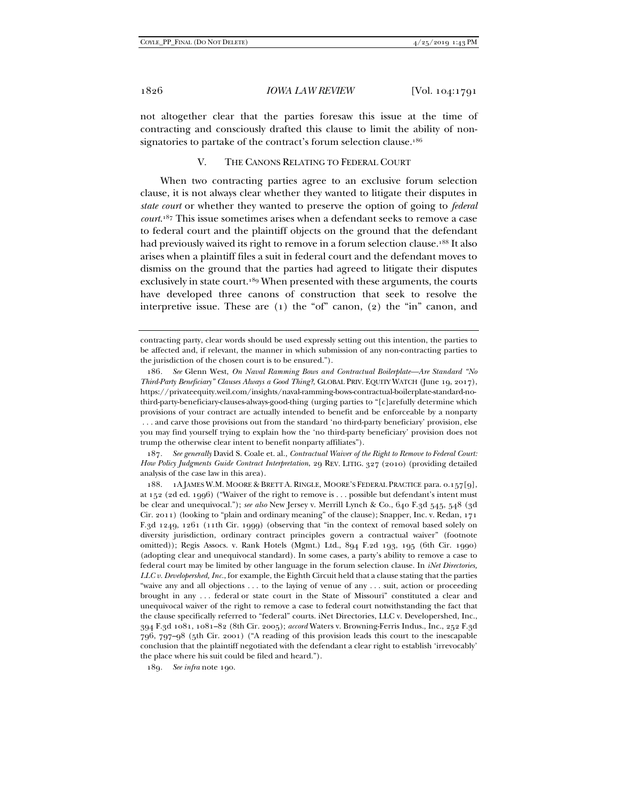not altogether clear that the parties foresaw this issue at the time of contracting and consciously drafted this clause to limit the ability of nonsignatories to partake of the contract's forum selection clause.<sup>186</sup>

# V. THE CANONS RELATING TO FEDERAL COURT

When two contracting parties agree to an exclusive forum selection clause, it is not always clear whether they wanted to litigate their disputes in *state court* or whether they wanted to preserve the option of going to *federal court*. 187 This issue sometimes arises when a defendant seeks to remove a case to federal court and the plaintiff objects on the ground that the defendant had previously waived its right to remove in a forum selection clause.<sup>188</sup> It also arises when a plaintiff files a suit in federal court and the defendant moves to dismiss on the ground that the parties had agreed to litigate their disputes exclusively in state court.189 When presented with these arguments, the courts have developed three canons of construction that seek to resolve the interpretive issue. These are (1) the "of" canon, (2) the "in" canon, and

187*. See generally* David S. Coale et. al., *Contractual Waiver of the Right to Remove to Federal Court: How Policy Judgments Guide Contract Interpretation*, 29 REV. LITIG. 327 (2010) (providing detailed analysis of the case law in this area).

 188. 1A JAMES W.M. MOORE & BRETT A. RINGLE, MOORE'S FEDERAL PRACTICE para. 0.157[9], at 152 (2d ed. 1996) ("Waiver of the right to remove is . . . possible but defendant's intent must be clear and unequivocal."); *see also* New Jersey v. Merrill Lynch & Co., 640 F.3d 545, 548 (3d Cir. 2011) (looking to "plain and ordinary meaning" of the clause); Snapper, Inc. v. Redan, 171 F.3d 1249, 1261 (11th Cir. 1999) (observing that "in the context of removal based solely on diversity jurisdiction, ordinary contract principles govern a contractual waiver" (footnote omitted)); Regis Assocs. v. Rank Hotels (Mgmt.) Ltd., 894 F.2d 193, 195 (6th Cir. 1990) (adopting clear and unequivocal standard). In some cases, a party's ability to remove a case to federal court may be limited by other language in the forum selection clause. In *iNet Directories, LLC v. Developershed, Inc.*, for example, the Eighth Circuit held that a clause stating that the parties "waive any and all objections . . . to the laying of venue of any . . . suit, action or proceeding brought in any . . . federal or state court in the State of Missouri" constituted a clear and unequivocal waiver of the right to remove a case to federal court notwithstanding the fact that the clause specifically referred to "federal" courts. iNet Directories, LLC v. Developershed, Inc., 394 F.3d 1081, 1081–82 (8th Cir. 2005); *accord* Waters v. Browning-Ferris Indus., Inc., 252 F.3d 796, 797–98 (5th Cir. 2001) ("A reading of this provision leads this court to the inescapable conclusion that the plaintiff negotiated with the defendant a clear right to establish 'irrevocably' the place where his suit could be filed and heard.").

189*. See infra* note 190.

contracting party, clear words should be used expressly setting out this intention, the parties to be affected and, if relevant, the manner in which submission of any non-contracting parties to the jurisdiction of the chosen court is to be ensured.").

<sup>186</sup>*. See* Glenn West, *On Naval Ramming Bows and Contractual Boilerplate—Are Standard "No Third-Party Beneficiary" Clauses Always a Good Thing?*, GLOBAL PRIV. EQUITY WATCH (June 19, 2017), https://privateequity.weil.com/insights/naval-ramming-bows-contractual-boilerplate-standard-nothird-party-beneficiary-clauses-always-good-thing (urging parties to "[c]arefully determine which provisions of your contract are actually intended to benefit and be enforceable by a nonparty . . . and carve those provisions out from the standard 'no third-party beneficiary' provision, else you may find yourself trying to explain how the 'no third-party beneficiary' provision does not trump the otherwise clear intent to benefit nonparty affiliates").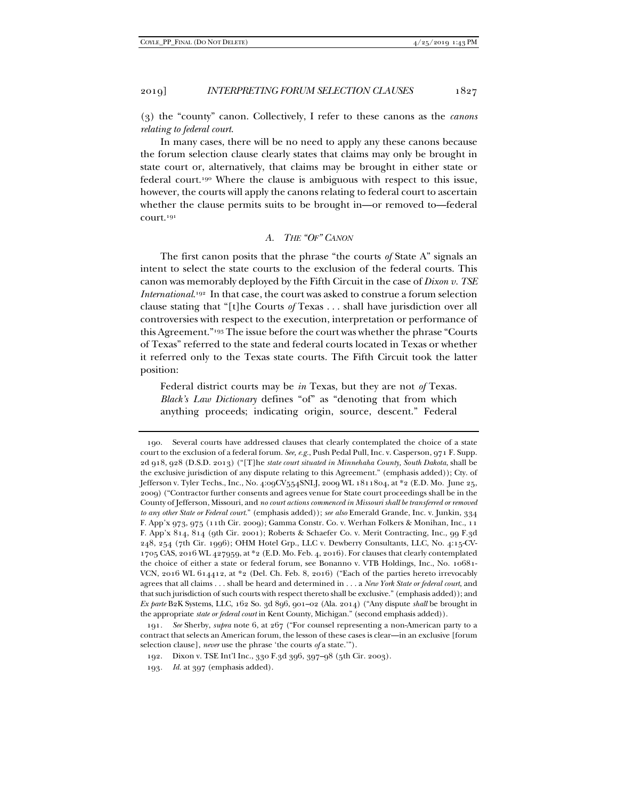(3) the "county" canon. Collectively, I refer to these canons as the *canons relating to federal court*.

In many cases, there will be no need to apply any these canons because the forum selection clause clearly states that claims may only be brought in state court or, alternatively, that claims may be brought in either state or federal court.190 Where the clause is ambiguous with respect to this issue, however, the courts will apply the canons relating to federal court to ascertain whether the clause permits suits to be brought in—or removed to—federal court.191

# *A. THE "OF" CANON*

The first canon posits that the phrase "the courts *of* State A" signals an intent to select the state courts to the exclusion of the federal courts. This canon was memorably deployed by the Fifth Circuit in the case of *Dixon v. TSE International*. 192 In that case, the court was asked to construe a forum selection clause stating that "[t]he Courts *of* Texas . . . shall have jurisdiction over all controversies with respect to the execution, interpretation or performance of this Agreement."193 The issue before the court was whether the phrase "Courts of Texas" referred to the state and federal courts located in Texas or whether it referred only to the Texas state courts. The Fifth Circuit took the latter position:

Federal district courts may be *in* Texas, but they are not *of* Texas. *Black's Law Dictionary* defines "of" as "denoting that from which anything proceeds; indicating origin, source, descent." Federal

 <sup>190.</sup> Several courts have addressed clauses that clearly contemplated the choice of a state court to the exclusion of a federal forum. *See, e.g.*, Push Pedal Pull, Inc. v. Casperson, 971 F. Supp. 2d 918, 928 (D.S.D. 2013) ("[T]he *state court situated in Minnehaha County, South Dakota*, shall be the exclusive jurisdiction of any dispute relating to this Agreement." (emphasis added)); Cty. of Jefferson v. Tyler Techs., Inc., No. 4:09CV554SNLJ, 2009 WL 1811804, at \*2 (E.D. Mo. June 25, 2009) ("Contractor further consents and agrees venue for State court proceedings shall be in the County of Jefferson, Missouri, and *no court actions commenced in Missouri shall be transferred or removed to any other State or Federal court*." (emphasis added)); *see also* Emerald Grande, Inc. v. Junkin, 334 F. App'x 973, 975 (11th Cir. 2009); Gamma Constr. Co. v. Werhan Folkers & Monihan, Inc., 11 F. App'x 814, 814 (9th Cir. 2001); Roberts & Schaefer Co. v. Merit Contracting, Inc., 99 F.3d 248, 254 (7th Cir. 1996); OHM Hotel Grp., LLC v. Dewberry Consultants, LLC, No. 4:15-CV- $1705$  CAS, 2016 WL 427959, at  $*_2$  (E.D. Mo. Feb. 4, 2016). For clauses that clearly contemplated the choice of either a state or federal forum, see Bonanno v. VTB Holdings, Inc., No. 10681- VCN, 2016 WL 614412, at \*2 (Del. Ch. Feb. 8, 2016) ("Each of the parties hereto irrevocably agrees that all claims . . . shall be heard and determined in . . . a *New York State or federal court*, and that such jurisdiction of such courts with respect thereto shall be exclusive." (emphasis added)); and *Ex parte* B2K Systems, LLC, 162 So. 3d 896, 901–02 (Ala. 2014) ("Any dispute *shall* be brought in the appropriate *state or federal court* in Kent County, Michigan." (second emphasis added)).

<sup>191</sup>*. See* Sherby, *supra* note 6, at 267 ("For counsel representing a non-American party to a contract that selects an American forum, the lesson of these cases is clear—in an exclusive [forum selection clause], *never* use the phrase 'the courts *of* a state.'").

 <sup>192.</sup> Dixon v. TSE Int'l Inc., 330 F.3d 396, 397–98 (5th Cir. 2003).

<sup>193</sup>*. Id.* at 397 (emphasis added).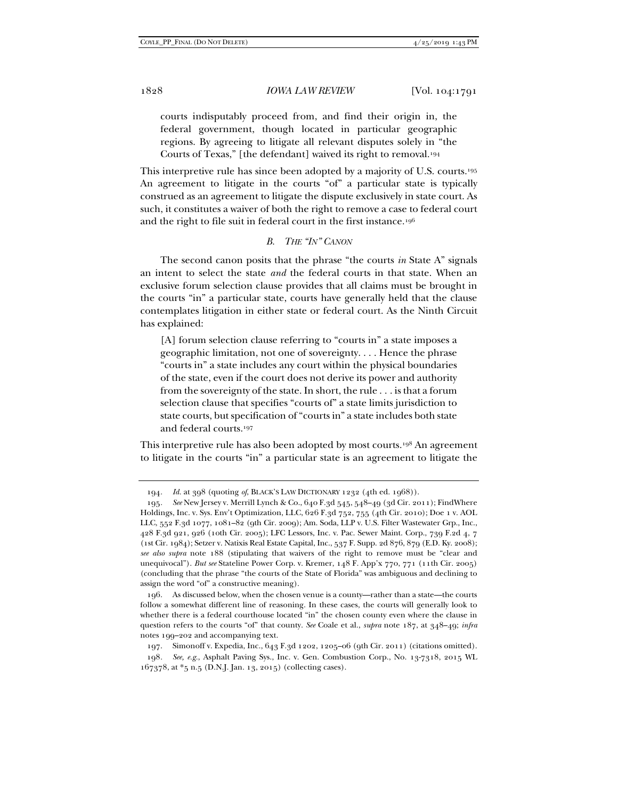courts indisputably proceed from, and find their origin in, the federal government, though located in particular geographic regions. By agreeing to litigate all relevant disputes solely in "the Courts of Texas," [the defendant] waived its right to removal.194

This interpretive rule has since been adopted by a majority of U.S. courts.195 An agreement to litigate in the courts "of" a particular state is typically construed as an agreement to litigate the dispute exclusively in state court. As such, it constitutes a waiver of both the right to remove a case to federal court and the right to file suit in federal court in the first instance.196

# *B. THE "IN" CANON*

The second canon posits that the phrase "the courts *in* State A" signals an intent to select the state *and* the federal courts in that state. When an exclusive forum selection clause provides that all claims must be brought in the courts "in" a particular state, courts have generally held that the clause contemplates litigation in either state or federal court. As the Ninth Circuit has explained:

[A] forum selection clause referring to "courts in" a state imposes a geographic limitation, not one of sovereignty. . . . Hence the phrase "courts in" a state includes any court within the physical boundaries of the state, even if the court does not derive its power and authority from the sovereignty of the state. In short, the rule . . . is that a forum selection clause that specifies "courts of" a state limits jurisdiction to state courts, but specification of "courts in" a state includes both state and federal courts.197

This interpretive rule has also been adopted by most courts.198 An agreement to litigate in the courts "in" a particular state is an agreement to litigate the

<sup>194</sup>*. Id.* at 398 (quoting *of*, BLACK'S LAW DICTIONARY 1232 (4th ed. 1968)).

<sup>195</sup>*. See* New Jersey v. Merrill Lynch & Co., 640 F.3d 545, 548–49 (3d Cir. 2011); FindWhere Holdings, Inc. v. Sys. Env't Optimization, LLC, 626 F.3d 752, 755 (4th Cir. 2010); Doe 1 v. AOL LLC, 552 F.3d 1077, 1081–82 (9th Cir. 2009); Am. Soda, LLP v. U.S. Filter Wastewater Grp., Inc., 428 F.3d 921, 926 (10th Cir. 2005); LFC Lessors, Inc. v. Pac. Sewer Maint. Corp., 739 F.2d 4, 7 (1st Cir. 1984); Setzer v. Natixis Real Estate Capital, Inc., 537 F. Supp. 2d 876, 879 (E.D. Ky. 2008); *see also supra* note 188 (stipulating that waivers of the right to remove must be "clear and unequivocal"). *But see* Stateline Power Corp. v. Kremer, 148 F. App'x 770, 771 (11th Cir. 2005) (concluding that the phrase "the courts of the State of Florida" was ambiguous and declining to assign the word "of" a constructive meaning).

 <sup>196.</sup> As discussed below, when the chosen venue is a county—rather than a state—the courts follow a somewhat different line of reasoning. In these cases, the courts will generally look to whether there is a federal courthouse located "in" the chosen county even where the clause in question refers to the courts "of" that county. *See* Coale et al., *supra* note 187, at 348–49; *infra*  notes 199–202 and accompanying text.

 <sup>197.</sup> Simonoff v. Expedia, Inc., 643 F.3d 1202, 1205–06 (9th Cir. 2011) (citations omitted).

<sup>198</sup>*. See, e.g.*, Asphalt Paving Sys., Inc. v. Gen. Combustion Corp., No. 13-7318, 2015 WL 167378, at \*5 n.5 (D.N.J. Jan. 13, 2015) (collecting cases).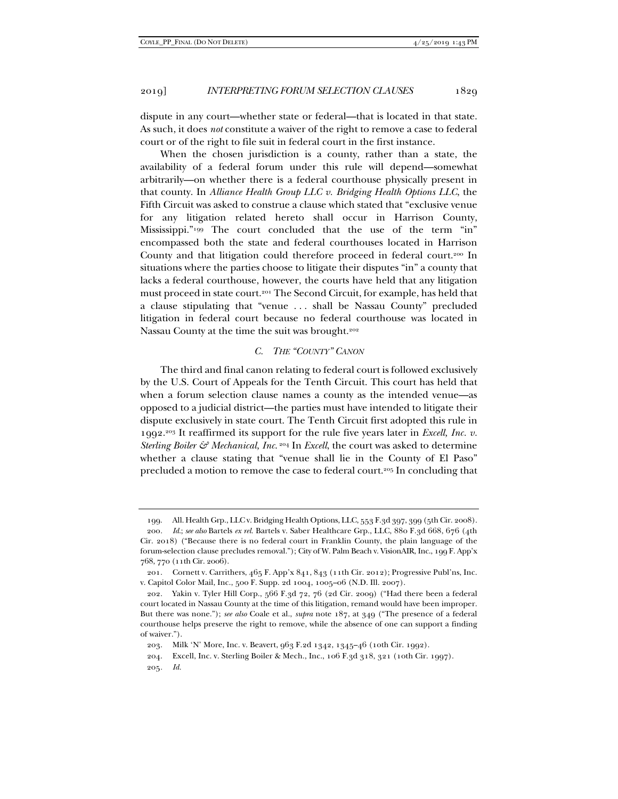dispute in any court—whether state or federal—that is located in that state. As such, it does *not* constitute a waiver of the right to remove a case to federal court or of the right to file suit in federal court in the first instance.

When the chosen jurisdiction is a county, rather than a state, the availability of a federal forum under this rule will depend—somewhat arbitrarily—on whether there is a federal courthouse physically present in that county. In *Alliance Health Group LLC v. Bridging Health Options LLC*, the Fifth Circuit was asked to construe a clause which stated that "exclusive venue for any litigation related hereto shall occur in Harrison County, Mississippi."199 The court concluded that the use of the term "in" encompassed both the state and federal courthouses located in Harrison County and that litigation could therefore proceed in federal court.200 In situations where the parties choose to litigate their disputes "in" a county that lacks a federal courthouse, however, the courts have held that any litigation must proceed in state court.201 The Second Circuit, for example, has held that a clause stipulating that "venue . . . shall be Nassau County" precluded litigation in federal court because no federal courthouse was located in Nassau County at the time the suit was brought.<sup>202</sup>

#### *C. THE "COUNTY" CANON*

The third and final canon relating to federal court is followed exclusively by the U.S. Court of Appeals for the Tenth Circuit. This court has held that when a forum selection clause names a county as the intended venue—as opposed to a judicial district—the parties must have intended to litigate their dispute exclusively in state court. The Tenth Circuit first adopted this rule in 1992.203 It reaffirmed its support for the rule five years later in *Excell, Inc. v. Sterling Boiler & Mechanical, Inc.* <sup>204</sup> In *Excell*, the court was asked to determine whether a clause stating that "venue shall lie in the County of El Paso" precluded a motion to remove the case to federal court.205 In concluding that

 <sup>199.</sup> All. Health Grp., LLC v. Bridging Health Options, LLC, 553 F.3d 397, 399 (5th Cir. 2008).

<sup>200</sup>*. Id.*; *see also* Bartels *ex rel.* Bartels v. Saber Healthcare Grp., LLC, 880 F.3d 668, 676 (4th Cir. 2018) ("Because there is no federal court in Franklin County, the plain language of the forum-selection clause precludes removal."); City of W. Palm Beach v. VisionAIR, Inc., 199 F. App'x 768, 770 (11th Cir. 2006).

 <sup>201.</sup> Cornett v. Carrithers, 465 F. App'x 841, 843 (11th Cir. 2012); Progressive Publ'ns, Inc. v. Capitol Color Mail, Inc., 500 F. Supp. 2d 1004, 1005–06 (N.D. Ill. 2007).

 <sup>202.</sup> Yakin v. Tyler Hill Corp., 566 F.3d 72, 76 (2d Cir. 2009) ("Had there been a federal court located in Nassau County at the time of this litigation, remand would have been improper. But there was none."); *see also* Coale et al., *supra* note 187, at 349 ("The presence of a federal courthouse helps preserve the right to remove, while the absence of one can support a finding of waiver.").

 <sup>203.</sup> Milk 'N' More, Inc. v. Beavert, 963 F.2d 1342, 1345–46 (10th Cir. 1992).

 <sup>204.</sup> Excell, Inc. v. Sterling Boiler & Mech., Inc., 106 F.3d 318, 321 (10th Cir. 1997).

<sup>205</sup>*. Id.*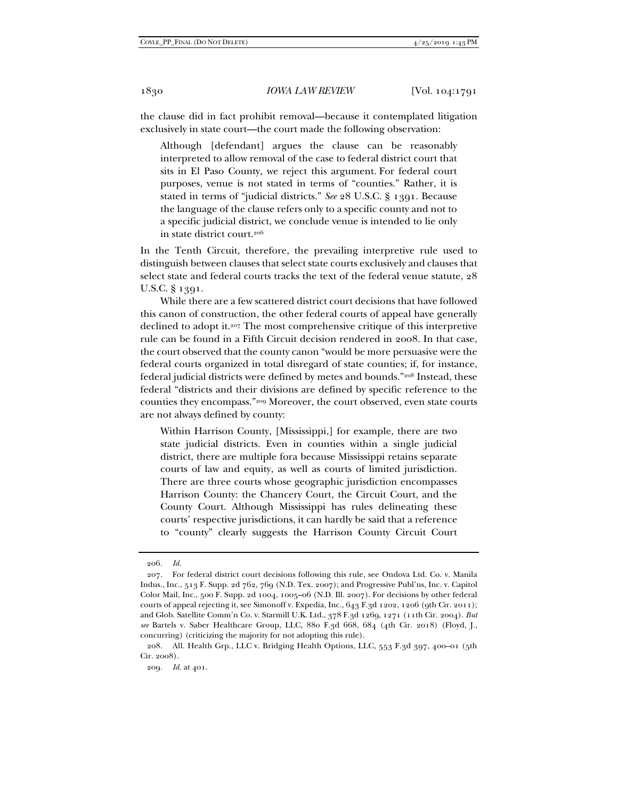the clause did in fact prohibit removal—because it contemplated litigation exclusively in state court—the court made the following observation:

Although [defendant] argues the clause can be reasonably interpreted to allow removal of the case to federal district court that sits in El Paso County, we reject this argument. For federal court purposes, venue is not stated in terms of "counties." Rather, it is stated in terms of "judicial districts." *See* 28 U.S.C. § 1391. Because the language of the clause refers only to a specific county and not to a specific judicial district, we conclude venue is intended to lie only in state district court.206

In the Tenth Circuit, therefore, the prevailing interpretive rule used to distinguish between clauses that select state courts exclusively and clauses that select state and federal courts tracks the text of the federal venue statute, 28 U.S.C. § 1391.

While there are a few scattered district court decisions that have followed this canon of construction, the other federal courts of appeal have generally declined to adopt it.207 The most comprehensive critique of this interpretive rule can be found in a Fifth Circuit decision rendered in 2008. In that case, the court observed that the county canon "would be more persuasive were the federal courts organized in total disregard of state counties; if, for instance, federal judicial districts were defined by metes and bounds."208 Instead, these federal "districts and their divisions are defined by specific reference to the counties they encompass."209 Moreover, the court observed, even state courts are not always defined by county:

Within Harrison County, [Mississippi,] for example, there are two state judicial districts. Even in counties within a single judicial district, there are multiple fora because Mississippi retains separate courts of law and equity, as well as courts of limited jurisdiction. There are three courts whose geographic jurisdiction encompasses Harrison County: the Chancery Court, the Circuit Court, and the County Court. Although Mississippi has rules delineating these courts' respective jurisdictions, it can hardly be said that a reference to "county" clearly suggests the Harrison County Circuit Court

<sup>206</sup>*. Id.*

 <sup>207.</sup> For federal district court decisions following this rule, see Ondova Ltd. Co. v. Manila Indus., Inc., 513 F. Supp. 2d 762, 769 (N.D. Tex. 2007); and Progressive Publ'ns, Inc. v. Capitol Color Mail, Inc., 500 F. Supp. 2d 1004, 1005–06 (N.D. Ill. 2007). For decisions by other federal courts of appeal rejecting it, see Simonoff v. Expedia, Inc., 643 F.3d 1202, 1206 (9th Cir. 2011); and Glob. Satellite Comm'n Co. v. Starmill U.K. Ltd., 378 F.3d 1269, 1271 (11th Cir. 2004). *But see* Bartels v. Saber Healthcare Group, LLC, 880 F.3d 668, 684 (4th Cir. 2018) (Floyd, J., concurring) (criticizing the majority for not adopting this rule).

 <sup>208.</sup> All. Health Grp., LLC v. Bridging Health Options, LLC, 553 F.3d 397, 400–01 (5th Cir. 2008).

<sup>209</sup>*. Id.* at 401.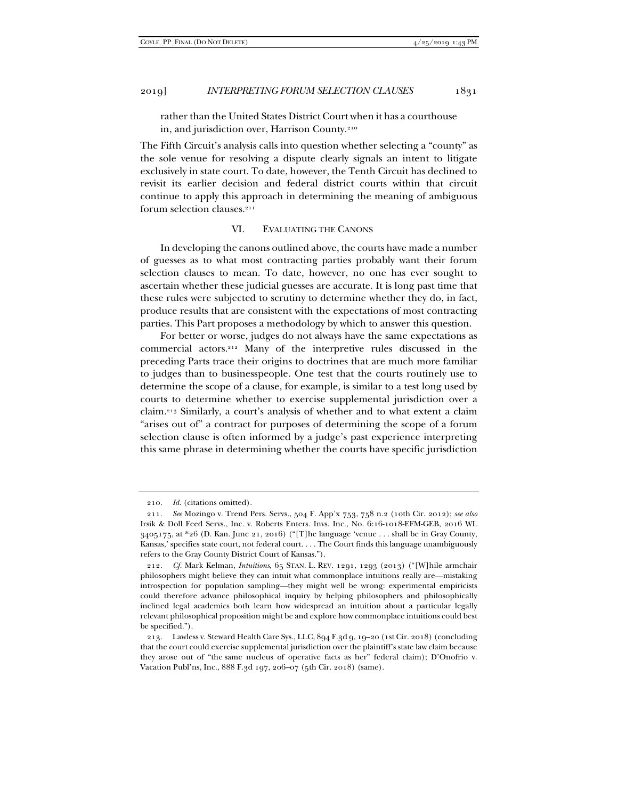rather than the United States District Court when it has a courthouse in, and jurisdiction over, Harrison County.210

The Fifth Circuit's analysis calls into question whether selecting a "county" as the sole venue for resolving a dispute clearly signals an intent to litigate exclusively in state court. To date, however, the Tenth Circuit has declined to revisit its earlier decision and federal district courts within that circuit continue to apply this approach in determining the meaning of ambiguous forum selection clauses.211

# VI. EVALUATING THE CANONS

In developing the canons outlined above, the courts have made a number of guesses as to what most contracting parties probably want their forum selection clauses to mean. To date, however, no one has ever sought to ascertain whether these judicial guesses are accurate. It is long past time that these rules were subjected to scrutiny to determine whether they do, in fact, produce results that are consistent with the expectations of most contracting parties. This Part proposes a methodology by which to answer this question.

For better or worse, judges do not always have the same expectations as commercial actors.212 Many of the interpretive rules discussed in the preceding Parts trace their origins to doctrines that are much more familiar to judges than to businesspeople. One test that the courts routinely use to determine the scope of a clause, for example, is similar to a test long used by courts to determine whether to exercise supplemental jurisdiction over a claim.213 Similarly, a court's analysis of whether and to what extent a claim "arises out of" a contract for purposes of determining the scope of a forum selection clause is often informed by a judge's past experience interpreting this same phrase in determining whether the courts have specific jurisdiction

<sup>210</sup>*. Id.* (citations omitted).

<sup>211</sup>*. See* Mozingo v. Trend Pers. Servs., 504 F. App'x 753, 758 n.2 (10th Cir. 2012); *see also*  Irsik & Doll Feed Servs., Inc. v. Roberts Enters. Invs. Inc., No. 6:16-1018-EFM-GEB, 2016 WL 3405175, at \*26 (D. Kan. June 21, 2016) ("[T]he language 'venue . . . shall be in Gray County, Kansas,' specifies state court, not federal court. . . . The Court finds this language unambiguously refers to the Gray County District Court of Kansas.").

<sup>212</sup>*. Cf.* Mark Kelman, *Intuitions*, 65 STAN. L. REV. 1291, 1293 (2013) ("[W]hile armchair philosophers might believe they can intuit what commonplace intuitions really are––mistaking introspection for population sampling––they might well be wrong: experimental empiricists could therefore advance philosophical inquiry by helping philosophers and philosophically inclined legal academics both learn how widespread an intuition about a particular legally relevant philosophical proposition might be and explore how commonplace intuitions could best be specified.").

 <sup>213.</sup> Lawless v. Steward Health Care Sys., LLC, 894 F.3d 9, 19–20 (1st Cir. 2018) (concluding that the court could exercise supplemental jurisdiction over the plaintiff's state law claim because they arose out of "the same nucleus of operative facts as her" federal claim); D'Onofrio v. Vacation Publ'ns, Inc., 888 F.3d 197, 206–07 (5th Cir. 2018) (same).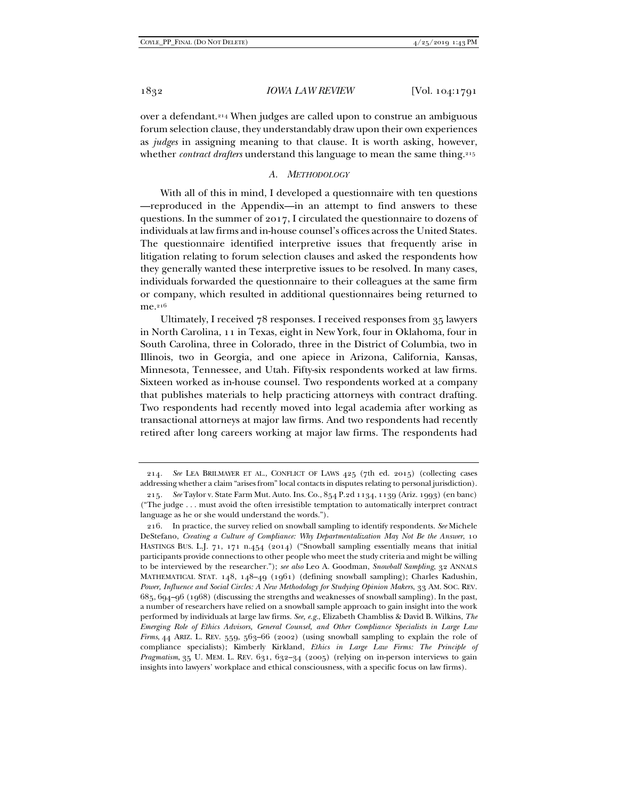over a defendant.<sup>214</sup> When judges are called upon to construe an ambiguous forum selection clause, they understandably draw upon their own experiences as *judges* in assigning meaning to that clause. It is worth asking, however, whether *contract drafters* understand this language to mean the same thing.<sup>215</sup>

#### *A. METHODOLOGY*

With all of this in mind, I developed a questionnaire with ten questions —reproduced in the Appendix—in an attempt to find answers to these questions. In the summer of 2017, I circulated the questionnaire to dozens of individuals at law firms and in-house counsel's offices across the United States. The questionnaire identified interpretive issues that frequently arise in litigation relating to forum selection clauses and asked the respondents how they generally wanted these interpretive issues to be resolved. In many cases, individuals forwarded the questionnaire to their colleagues at the same firm or company, which resulted in additional questionnaires being returned to me.216

Ultimately, I received 78 responses. I received responses from 35 lawyers in North Carolina, 11 in Texas, eight in New York, four in Oklahoma, four in South Carolina, three in Colorado, three in the District of Columbia, two in Illinois, two in Georgia, and one apiece in Arizona, California, Kansas, Minnesota, Tennessee, and Utah. Fifty-six respondents worked at law firms. Sixteen worked as in-house counsel. Two respondents worked at a company that publishes materials to help practicing attorneys with contract drafting. Two respondents had recently moved into legal academia after working as transactional attorneys at major law firms. And two respondents had recently retired after long careers working at major law firms. The respondents had

<sup>214</sup>*. See* LEA BRILMAYER ET AL., CONFLICT OF LAWS 425 (7th ed. 2015) (collecting cases addressing whether a claim "arises from" local contacts in disputes relating to personal jurisdiction).

<sup>215</sup>*. See* Taylor v. State Farm Mut. Auto. Ins. Co., 854 P.2d 1134, 1139 (Ariz. 1993) (en banc) ("The judge . . . must avoid the often irresistible temptation to automatically interpret contract language as he or she would understand the words.").

 <sup>216.</sup> In practice, the survey relied on snowball sampling to identify respondents. *See* Michele DeStefano, *Creating a Culture of Compliance: Why Departmentalization May Not Be the Answer*, 10 HASTINGS BUS. L.J. 71, 171 n.454 (2014) ("Snowball sampling essentially means that initial participants provide connections to other people who meet the study criteria and might be willing to be interviewed by the researcher."); *see also* Leo A. Goodman, *Snowball Sampling*, 32 ANNALS MATHEMATICAL STAT. 148, 148–49 (1961) (defining snowball sampling); Charles Kadushin, *Power, Influence and Social Circles: A New Methodology for Studying Opinion Makers*, 33 AM. SOC. REV. 685, 694–96 (1968) (discussing the strengths and weaknesses of snowball sampling). In the past, a number of researchers have relied on a snowball sample approach to gain insight into the work performed by individuals at large law firms. *See, e.g.*, Elizabeth Chambliss & David B. Wilkins, *The Emerging Role of Ethics Advisors, General Counsel, and Other Compliance Specialists in Large Law Firms*, 44 ARIZ. L. REV. 559, 563–66 (2002) (using snowball sampling to explain the role of compliance specialists); Kimberly Kirkland, *Ethics in Large Law Firms: The Principle of Pragmatism*, 35 U. MEM. L. REV. 631, 632–34 (2005) (relying on in-person interviews to gain insights into lawyers' workplace and ethical consciousness, with a specific focus on law firms).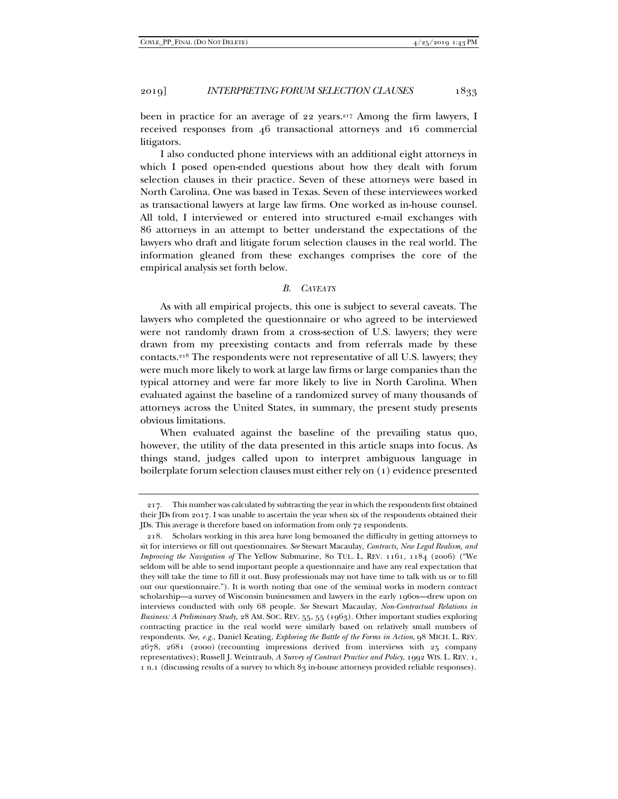been in practice for an average of 22 years.217 Among the firm lawyers, I received responses from 46 transactional attorneys and 16 commercial litigators.

I also conducted phone interviews with an additional eight attorneys in which I posed open-ended questions about how they dealt with forum selection clauses in their practice. Seven of these attorneys were based in North Carolina. One was based in Texas. Seven of these interviewees worked as transactional lawyers at large law firms. One worked as in-house counsel. All told, I interviewed or entered into structured e-mail exchanges with 86 attorneys in an attempt to better understand the expectations of the lawyers who draft and litigate forum selection clauses in the real world. The information gleaned from these exchanges comprises the core of the empirical analysis set forth below.

# *B. CAVEATS*

As with all empirical projects, this one is subject to several caveats. The lawyers who completed the questionnaire or who agreed to be interviewed were not randomly drawn from a cross-section of U.S. lawyers; they were drawn from my preexisting contacts and from referrals made by these contacts.218 The respondents were not representative of all U.S. lawyers; they were much more likely to work at large law firms or large companies than the typical attorney and were far more likely to live in North Carolina. When evaluated against the baseline of a randomized survey of many thousands of attorneys across the United States, in summary, the present study presents obvious limitations.

When evaluated against the baseline of the prevailing status quo, however, the utility of the data presented in this article snaps into focus. As things stand, judges called upon to interpret ambiguous language in boilerplate forum selection clauses must either rely on (1) evidence presented

 <sup>217.</sup> This number was calculated by subtracting the year in which the respondents first obtained their JDs from 2017. I was unable to ascertain the year when six of the respondents obtained their JDs. This average is therefore based on information from only 72 respondents.

 <sup>218.</sup> Scholars working in this area have long bemoaned the difficulty in getting attorneys to sit for interviews or fill out questionnaires. *See* Stewart Macaulay, *Contracts, New Legal Realism, and Improving the Navigation of* The Yellow Submarine, 80 TUL. L. REV. 1161, 1184 (2006) ("We seldom will be able to send important people a questionnaire and have any real expectation that they will take the time to fill it out. Busy professionals may not have time to talk with us or to fill out our questionnaire."). It is worth noting that one of the seminal works in modern contract scholarship—a survey of Wisconsin businessmen and lawyers in the early 1960s—drew upon on interviews conducted with only 68 people. *See* Stewart Macaulay, *Non-Contractual Relations in Business: A Preliminary Study*, 28 AM. SOC. REV. 55, 55 (1963). Other important studies exploring contracting practice in the real world were similarly based on relatively small numbers of respondents. *See, e.g.*, Daniel Keating, *Exploring the Battle of the Forms in Action*, 98 MICH. L. REV. 2678, 2681 (2000) (recounting impressions derived from interviews with 25 company representatives); Russell J. Weintraub, *A Survey of Contract Practice and Policy*, 1992 WIS. L. REV. 1, 1 n.1 (discussing results of a survey to which 83 in-house attorneys provided reliable responses).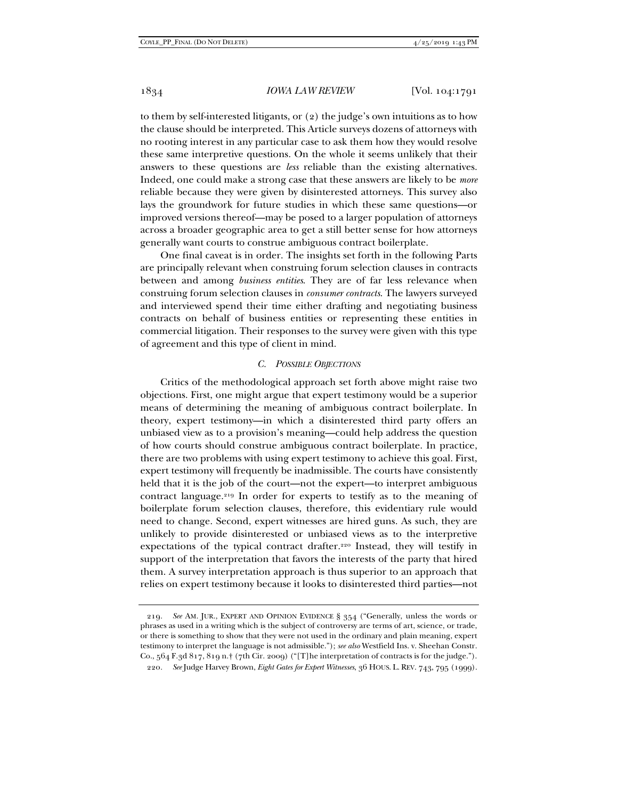to them by self-interested litigants, or (2) the judge's own intuitions as to how the clause should be interpreted. This Article surveys dozens of attorneys with no rooting interest in any particular case to ask them how they would resolve these same interpretive questions. On the whole it seems unlikely that their answers to these questions are *less* reliable than the existing alternatives. Indeed, one could make a strong case that these answers are likely to be *more*  reliable because they were given by disinterested attorneys. This survey also lays the groundwork for future studies in which these same questions—or improved versions thereof—may be posed to a larger population of attorneys across a broader geographic area to get a still better sense for how attorneys generally want courts to construe ambiguous contract boilerplate.

One final caveat is in order. The insights set forth in the following Parts are principally relevant when construing forum selection clauses in contracts between and among *business entities*. They are of far less relevance when construing forum selection clauses in *consumer contracts*. The lawyers surveyed and interviewed spend their time either drafting and negotiating business contracts on behalf of business entities or representing these entities in commercial litigation. Their responses to the survey were given with this type of agreement and this type of client in mind.

#### *C. POSSIBLE OBJECTIONS*

Critics of the methodological approach set forth above might raise two objections. First, one might argue that expert testimony would be a superior means of determining the meaning of ambiguous contract boilerplate. In theory, expert testimony—in which a disinterested third party offers an unbiased view as to a provision's meaning—could help address the question of how courts should construe ambiguous contract boilerplate. In practice, there are two problems with using expert testimony to achieve this goal. First, expert testimony will frequently be inadmissible. The courts have consistently held that it is the job of the court—not the expert—to interpret ambiguous contract language.219 In order for experts to testify as to the meaning of boilerplate forum selection clauses, therefore, this evidentiary rule would need to change. Second, expert witnesses are hired guns. As such, they are unlikely to provide disinterested or unbiased views as to the interpretive expectations of the typical contract drafter.220 Instead, they will testify in support of the interpretation that favors the interests of the party that hired them. A survey interpretation approach is thus superior to an approach that relies on expert testimony because it looks to disinterested third parties—not

<sup>219</sup>*. See* AM. JUR., EXPERT AND OPINION EVIDENCE § 354 ("Generally, unless the words or phrases as used in a writing which is the subject of controversy are terms of art, science, or trade, or there is something to show that they were not used in the ordinary and plain meaning, expert testimony to interpret the language is not admissible."); *see also* Westfield Ins. v. Sheehan Constr. Co.,  $564$  F.3d  $817$ ,  $819$  n.† (7th Cir. 2009) ("[T]he interpretation of contracts is for the judge."). 220*. See* Judge Harvey Brown, *Eight Gates for Expert Witnesses*, 36 HOUS. L. REV. 743, 795 (1999).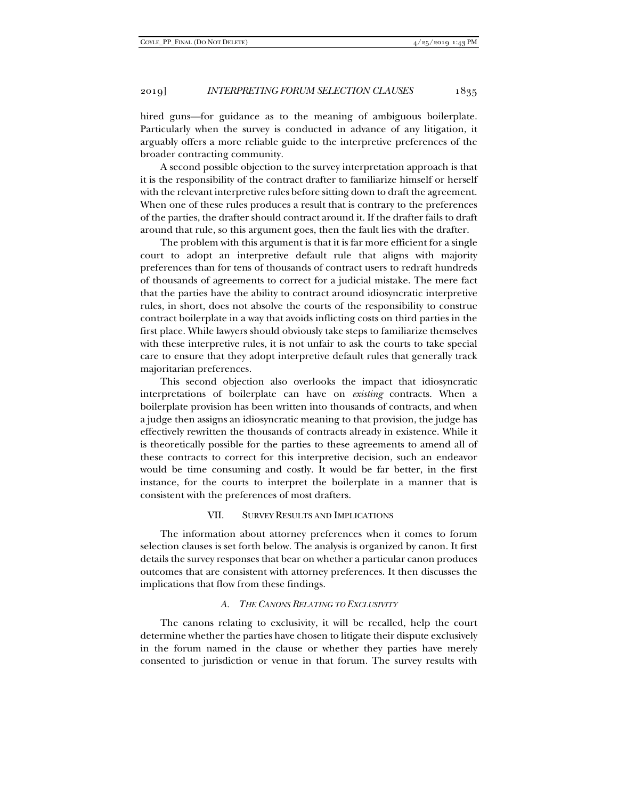hired guns—for guidance as to the meaning of ambiguous boilerplate. Particularly when the survey is conducted in advance of any litigation, it arguably offers a more reliable guide to the interpretive preferences of the broader contracting community.

A second possible objection to the survey interpretation approach is that it is the responsibility of the contract drafter to familiarize himself or herself with the relevant interpretive rules before sitting down to draft the agreement. When one of these rules produces a result that is contrary to the preferences of the parties, the drafter should contract around it. If the drafter fails to draft around that rule, so this argument goes, then the fault lies with the drafter.

The problem with this argument is that it is far more efficient for a single court to adopt an interpretive default rule that aligns with majority preferences than for tens of thousands of contract users to redraft hundreds of thousands of agreements to correct for a judicial mistake. The mere fact that the parties have the ability to contract around idiosyncratic interpretive rules, in short, does not absolve the courts of the responsibility to construe contract boilerplate in a way that avoids inflicting costs on third parties in the first place. While lawyers should obviously take steps to familiarize themselves with these interpretive rules, it is not unfair to ask the courts to take special care to ensure that they adopt interpretive default rules that generally track majoritarian preferences.

This second objection also overlooks the impact that idiosyncratic interpretations of boilerplate can have on *existing* contracts. When a boilerplate provision has been written into thousands of contracts, and when a judge then assigns an idiosyncratic meaning to that provision, the judge has effectively rewritten the thousands of contracts already in existence. While it is theoretically possible for the parties to these agreements to amend all of these contracts to correct for this interpretive decision, such an endeavor would be time consuming and costly. It would be far better, in the first instance, for the courts to interpret the boilerplate in a manner that is consistent with the preferences of most drafters.

## VII. SURVEY RESULTS AND IMPLICATIONS

The information about attorney preferences when it comes to forum selection clauses is set forth below. The analysis is organized by canon. It first details the survey responses that bear on whether a particular canon produces outcomes that are consistent with attorney preferences. It then discusses the implications that flow from these findings.

## *A. THE CANONS RELATING TO EXCLUSIVITY*

The canons relating to exclusivity, it will be recalled, help the court determine whether the parties have chosen to litigate their dispute exclusively in the forum named in the clause or whether they parties have merely consented to jurisdiction or venue in that forum. The survey results with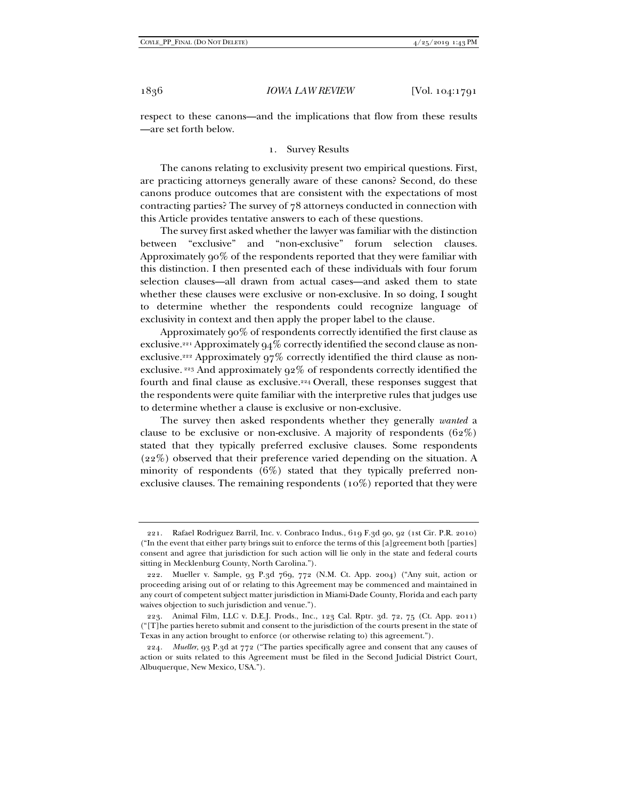respect to these canons—and the implications that flow from these results —are set forth below.

#### 1. Survey Results

The canons relating to exclusivity present two empirical questions. First, are practicing attorneys generally aware of these canons? Second, do these canons produce outcomes that are consistent with the expectations of most contracting parties? The survey of 78 attorneys conducted in connection with this Article provides tentative answers to each of these questions.

The survey first asked whether the lawyer was familiar with the distinction between "exclusive" and "non-exclusive" forum selection clauses. Approximately 90% of the respondents reported that they were familiar with this distinction. I then presented each of these individuals with four forum selection clauses—all drawn from actual cases—and asked them to state whether these clauses were exclusive or non-exclusive. In so doing, I sought to determine whether the respondents could recognize language of exclusivity in context and then apply the proper label to the clause.

Approximately 90% of respondents correctly identified the first clause as exclusive.<sup>221</sup> Approximately  $94\%$  correctly identified the second clause as nonexclusive.<sup>222</sup> Approximately  $97\%$  correctly identified the third clause as nonexclusive.  $223$  And approximately  $92\%$  of respondents correctly identified the fourth and final clause as exclusive.224 Overall, these responses suggest that the respondents were quite familiar with the interpretive rules that judges use to determine whether a clause is exclusive or non-exclusive.

The survey then asked respondents whether they generally *wanted* a clause to be exclusive or non-exclusive. A majority of respondents  $(62\%)$ stated that they typically preferred exclusive clauses. Some respondents (22%) observed that their preference varied depending on the situation. A minority of respondents  $(6\%)$  stated that they typically preferred nonexclusive clauses. The remaining respondents  $(10\%)$  reported that they were

 <sup>221.</sup> Rafael Rodrìguez Barril, Inc. v. Conbraco Indus., 619 F.3d 90, 92 (1st Cir. P.R. 2010) ("In the event that either party brings suit to enforce the terms of this [a]greement both [parties] consent and agree that jurisdiction for such action will lie only in the state and federal courts sitting in Mecklenburg County, North Carolina.").

 <sup>222.</sup> Mueller v. Sample, 93 P.3d 769, 772 (N.M. Ct. App. 2004) ("Any suit, action or proceeding arising out of or relating to this Agreement may be commenced and maintained in any court of competent subject matter jurisdiction in Miami-Dade County, Florida and each party waives objection to such jurisdiction and venue.").

 <sup>223.</sup> Animal Film, LLC v. D.E.J. Prods., Inc., 123 Cal. Rptr. 3d. 72, 75 (Ct. App. 2011) ("[T]he parties hereto submit and consent to the jurisdiction of the courts present in the state of Texas in any action brought to enforce (or otherwise relating to) this agreement.").

<sup>224</sup>*. Mueller*, 93 P.3d at 772 ("The parties specifically agree and consent that any causes of action or suits related to this Agreement must be filed in the Second Judicial District Court, Albuquerque, New Mexico, USA.").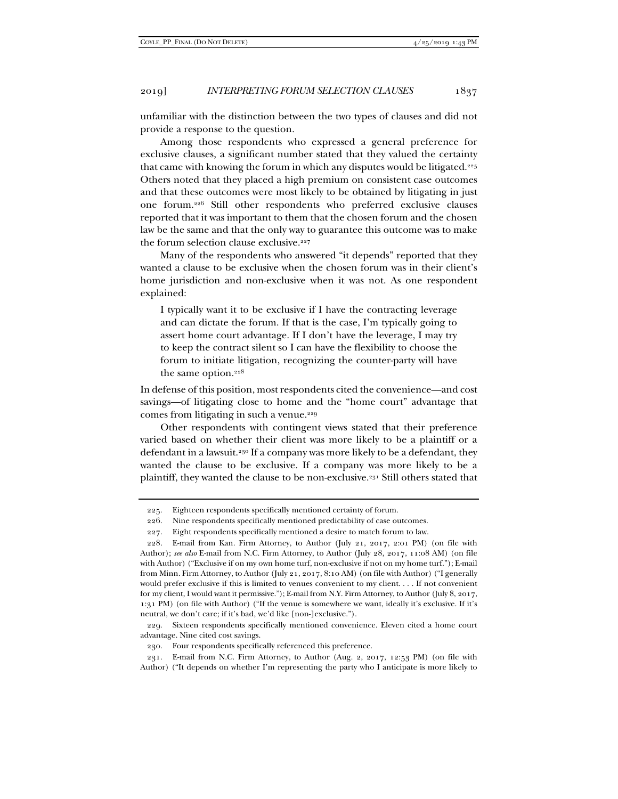unfamiliar with the distinction between the two types of clauses and did not provide a response to the question.

Among those respondents who expressed a general preference for exclusive clauses, a significant number stated that they valued the certainty that came with knowing the forum in which any disputes would be litigated.<sup>225</sup> Others noted that they placed a high premium on consistent case outcomes and that these outcomes were most likely to be obtained by litigating in just one forum.226 Still other respondents who preferred exclusive clauses reported that it was important to them that the chosen forum and the chosen law be the same and that the only way to guarantee this outcome was to make the forum selection clause exclusive.<sup>227</sup>

Many of the respondents who answered "it depends" reported that they wanted a clause to be exclusive when the chosen forum was in their client's home jurisdiction and non-exclusive when it was not. As one respondent explained:

I typically want it to be exclusive if I have the contracting leverage and can dictate the forum. If that is the case, I'm typically going to assert home court advantage. If I don't have the leverage, I may try to keep the contract silent so I can have the flexibility to choose the forum to initiate litigation, recognizing the counter-party will have the same option.<sup>228</sup>

In defense of this position, most respondents cited the convenience—and cost savings—of litigating close to home and the "home court" advantage that comes from litigating in such a venue.<sup>229</sup>

Other respondents with contingent views stated that their preference varied based on whether their client was more likely to be a plaintiff or a defendant in a lawsuit.230 If a company was more likely to be a defendant, they wanted the clause to be exclusive. If a company was more likely to be a plaintiff, they wanted the clause to be non-exclusive.231 Still others stated that

 231. E-mail from N.C. Firm Attorney, to Author (Aug. 2, 2017, 12:53 PM) (on file with Author) ("It depends on whether I'm representing the party who I anticipate is more likely to

 <sup>225.</sup> Eighteen respondents specifically mentioned certainty of forum.

 <sup>226.</sup> Nine respondents specifically mentioned predictability of case outcomes.

 <sup>227.</sup> Eight respondents specifically mentioned a desire to match forum to law.

 <sup>228.</sup> E-mail from Kan. Firm Attorney, to Author (July 21, 2017, 2:01 PM) (on file with Author); *see also* E-mail from N.C. Firm Attorney, to Author (July 28, 2017, 11:08 AM) (on file with Author) ("Exclusive if on my own home turf, non-exclusive if not on my home turf."); E-mail from Minn. Firm Attorney, to Author (July 21, 2017, 8:10 AM) (on file with Author) ("I generally would prefer exclusive if this is limited to venues convenient to my client. . . . If not convenient for my client, I would want it permissive."); E-mail from N.Y. Firm Attorney, to Author (July 8, 2017, 1:31 PM) (on file with Author) ("If the venue is somewhere we want, ideally it's exclusive. If it's neutral, we don't care; if it's bad, we'd like [non-]exclusive.").

 <sup>229.</sup> Sixteen respondents specifically mentioned convenience. Eleven cited a home court advantage. Nine cited cost savings.

 <sup>230.</sup> Four respondents specifically referenced this preference.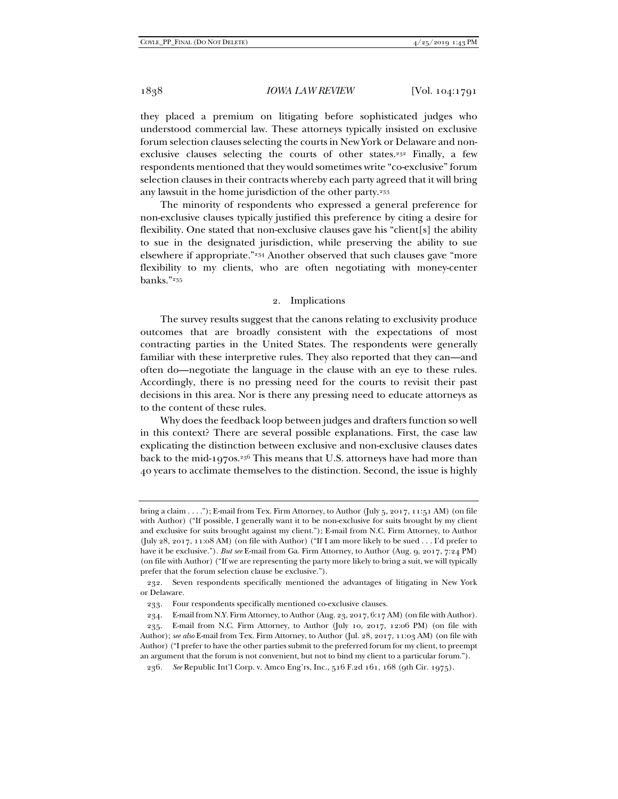they placed a premium on litigating before sophisticated judges who understood commercial law. These attorneys typically insisted on exclusive forum selection clauses selecting the courts in New York or Delaware and nonexclusive clauses selecting the courts of other states.232 Finally, a few respondents mentioned that they would sometimes write "co-exclusive" forum selection clauses in their contracts whereby each party agreed that it will bring any lawsuit in the home jurisdiction of the other party.233

The minority of respondents who expressed a general preference for non-exclusive clauses typically justified this preference by citing a desire for flexibility. One stated that non-exclusive clauses gave his "client[s] the ability to sue in the designated jurisdiction, while preserving the ability to sue elsewhere if appropriate."234 Another observed that such clauses gave "more flexibility to my clients, who are often negotiating with money-center banks."235

#### 2. Implications

The survey results suggest that the canons relating to exclusivity produce outcomes that are broadly consistent with the expectations of most contracting parties in the United States. The respondents were generally familiar with these interpretive rules. They also reported that they can—and often do—negotiate the language in the clause with an eye to these rules. Accordingly, there is no pressing need for the courts to revisit their past decisions in this area. Nor is there any pressing need to educate attorneys as to the content of these rules.

Why does the feedback loop between judges and drafters function so well in this context? There are several possible explanations. First, the case law explicating the distinction between exclusive and non-exclusive clauses dates back to the mid-1970s.236 This means that U.S. attorneys have had more than 40 years to acclimate themselves to the distinction. Second, the issue is highly

234. E-mail from N.Y. Firm Attorney, to Author (Aug. 23, 2017, 6:17 AM) (on file with Author).

bring a claim . . . ."); E-mail from Tex. Firm Attorney, to Author (July 5, 2017, 11:51 AM) (on file with Author) ("If possible, I generally want it to be non-exclusive for suits brought by my client and exclusive for suits brought against my client."); E-mail from N.C. Firm Attorney, to Author (July 28, 2017, 11:08 AM) (on file with Author) ("If I am more likely to be sued . . . I'd prefer to have it be exclusive."). *But see* E-mail from Ga. Firm Attorney, to Author (Aug. 9, 2017, 7:24 PM) (on file with Author) ("If we are representing the party more likely to bring a suit, we will typically prefer that the forum selection clause be exclusive.").

 <sup>232.</sup> Seven respondents specifically mentioned the advantages of litigating in New York or Delaware.

 <sup>233.</sup> Four respondents specifically mentioned co-exclusive clauses.

 <sup>235.</sup> E-mail from N.C. Firm Attorney, to Author (July 10, 2017, 12:06 PM) (on file with Author); *see also* E-mail from Tex. Firm Attorney, to Author (Jul. 28, 2017, 11:03 AM) (on file with Author) ("I prefer to have the other parties submit to the preferred forum for my client, to preempt an argument that the forum is not convenient, but not to bind my client to a particular forum.").

<sup>236</sup>*. See* Republic Int'l Corp. v. Amco Eng'rs, Inc., 516 F.2d 161, 168 (9th Cir. 1975).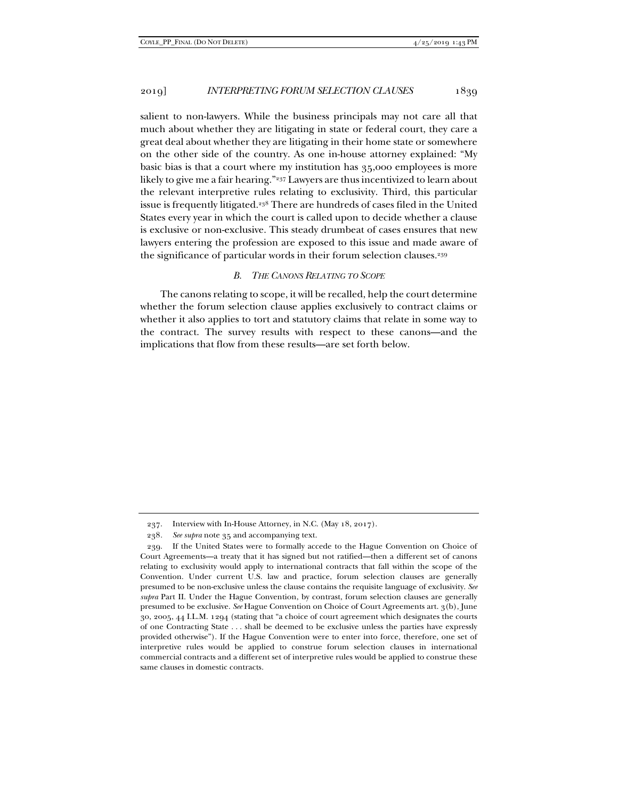salient to non-lawyers. While the business principals may not care all that much about whether they are litigating in state or federal court, they care a great deal about whether they are litigating in their home state or somewhere on the other side of the country. As one in-house attorney explained: "My basic bias is that a court where my institution has 35,000 employees is more likely to give me a fair hearing."<sup>237</sup> Lawyers are thus incentivized to learn about the relevant interpretive rules relating to exclusivity. Third, this particular issue is frequently litigated.238 There are hundreds of cases filed in the United States every year in which the court is called upon to decide whether a clause is exclusive or non-exclusive. This steady drumbeat of cases ensures that new lawyers entering the profession are exposed to this issue and made aware of the significance of particular words in their forum selection clauses.<sup>239</sup>

#### *B. THE CANONS RELATING TO SCOPE*

The canons relating to scope, it will be recalled, help the court determine whether the forum selection clause applies exclusively to contract claims or whether it also applies to tort and statutory claims that relate in some way to the contract. The survey results with respect to these canons—and the implications that flow from these results—are set forth below.

 <sup>237.</sup> Interview with In-House Attorney, in N.C. (May 18, 2017).

<sup>238</sup>*. See supra* note 35 and accompanying text.

 <sup>239.</sup> If the United States were to formally accede to the Hague Convention on Choice of Court Agreements—a treaty that it has signed but not ratified—then a different set of canons relating to exclusivity would apply to international contracts that fall within the scope of the Convention. Under current U.S. law and practice, forum selection clauses are generally presumed to be non-exclusive unless the clause contains the requisite language of exclusivity. *See supra* Part II. Under the Hague Convention, by contrast, forum selection clauses are generally presumed to be exclusive. *See* Hague Convention on Choice of Court Agreements art. 3(b), June 30, 2005, 44 I.L.M. 1294 (stating that "a choice of court agreement which designates the courts of one Contracting State . . . shall be deemed to be exclusive unless the parties have expressly provided otherwise"). If the Hague Convention were to enter into force, therefore, one set of interpretive rules would be applied to construe forum selection clauses in international commercial contracts and a different set of interpretive rules would be applied to construe these same clauses in domestic contracts.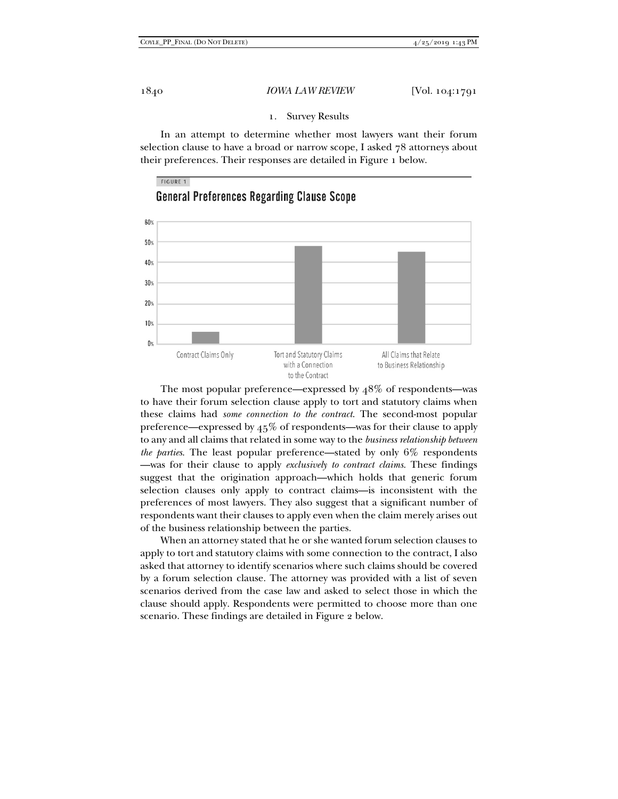#### 1. Survey Results

In an attempt to determine whether most lawyers want their forum selection clause to have a broad or narrow scope, I asked 78 attorneys about their preferences. Their responses are detailed in Figure 1 below.



The most popular preference—expressed by  $48\%$  of respondents—was to have their forum selection clause apply to tort and statutory claims when these claims had *some connection to the contract*. The second-most popular preference—expressed by 45% of respondents—was for their clause to apply to any and all claims that related in some way to the *business relationship between the parties*. The least popular preference—stated by only 6% respondents —was for their clause to apply *exclusively to contract claims*. These findings suggest that the origination approach—which holds that generic forum selection clauses only apply to contract claims—is inconsistent with the preferences of most lawyers. They also suggest that a significant number of respondents want their clauses to apply even when the claim merely arises out of the business relationship between the parties.

When an attorney stated that he or she wanted forum selection clauses to apply to tort and statutory claims with some connection to the contract, I also asked that attorney to identify scenarios where such claims should be covered by a forum selection clause. The attorney was provided with a list of seven scenarios derived from the case law and asked to select those in which the clause should apply. Respondents were permitted to choose more than one scenario. These findings are detailed in Figure 2 below.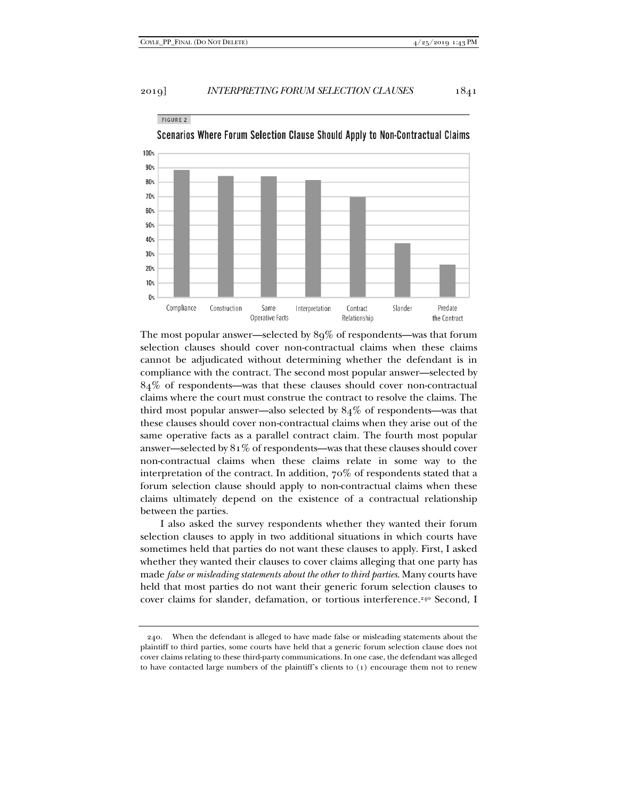





Scenarios Where Forum Selection Clause Should Apply to Non-Contractual Claims

The most popular answer—selected by  $89\%$  of respondents—was that forum selection clauses should cover non-contractual claims when these claims cannot be adjudicated without determining whether the defendant is in compliance with the contract. The second most popular answer—selected by 84% of respondents—was that these clauses should cover non-contractual claims where the court must construe the contract to resolve the claims. The third most popular answer—also selected by  $84\%$  of respondents—was that these clauses should cover non-contractual claims when they arise out of the same operative facts as a parallel contract claim. The fourth most popular answer—selected by 81% of respondents—was that these clauses should cover non-contractual claims when these claims relate in some way to the interpretation of the contract. In addition, 70% of respondents stated that a forum selection clause should apply to non-contractual claims when these claims ultimately depend on the existence of a contractual relationship between the parties.

I also asked the survey respondents whether they wanted their forum selection clauses to apply in two additional situations in which courts have sometimes held that parties do not want these clauses to apply. First, I asked whether they wanted their clauses to cover claims alleging that one party has made *false or misleading statements about the other to third parties*. Many courts have held that most parties do not want their generic forum selection clauses to cover claims for slander, defamation, or tortious interference.240 Second, I

 <sup>240.</sup> When the defendant is alleged to have made false or misleading statements about the plaintiff to third parties, some courts have held that a generic forum selection clause does not cover claims relating to these third-party communications. In one case, the defendant was alleged to have contacted large numbers of the plaintiff's clients to (1) encourage them not to renew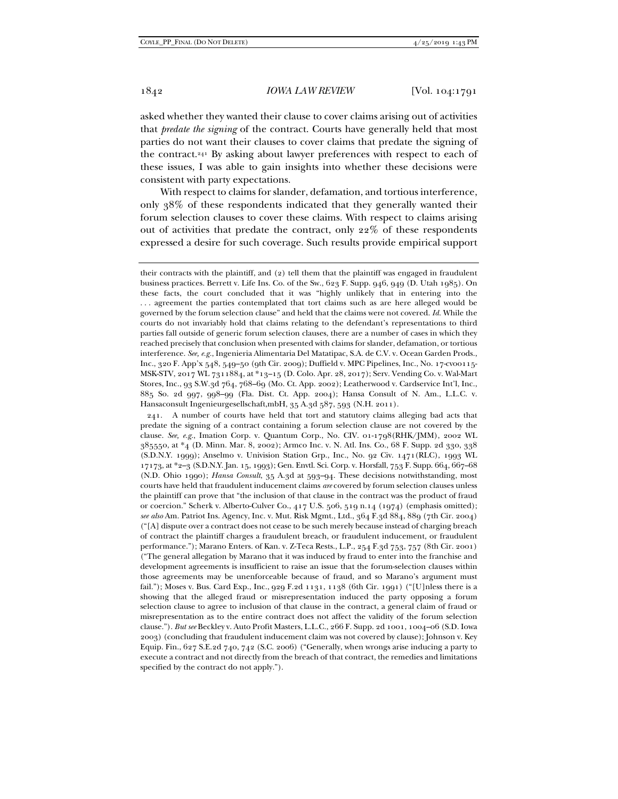asked whether they wanted their clause to cover claims arising out of activities that *predate the signing* of the contract. Courts have generally held that most parties do not want their clauses to cover claims that predate the signing of the contract.241 By asking about lawyer preferences with respect to each of these issues, I was able to gain insights into whether these decisions were consistent with party expectations.

With respect to claims for slander, defamation, and tortious interference, only 38% of these respondents indicated that they generally wanted their forum selection clauses to cover these claims. With respect to claims arising out of activities that predate the contract, only  $22\%$  of these respondents expressed a desire for such coverage. Such results provide empirical support

 241. A number of courts have held that tort and statutory claims alleging bad acts that predate the signing of a contract containing a forum selection clause are not covered by the clause. *See, e.g.*, Imation Corp. v. Quantum Corp., No. CIV. 01-1798(RHK/JMM), 2002 WL 385550, at \*4 (D. Minn. Mar. 8, 2002); Armco Inc. v. N. Atl. Ins. Co., 68 F. Supp. 2d 330, 338 (S.D.N.Y. 1999); Anselmo v. Univision Station Grp., Inc., No. 92 Civ. 1471(RLC), 1993 WL 17173, at \*2–3 (S.D.N.Y. Jan. 15, 1993); Gen. Envtl. Sci. Corp. v. Horsfall, 753 F. Supp. 664, 667–68 (N.D. Ohio 1990); *Hansa Consult*, 35 A.3d at 593–94. These decisions notwithstanding, most courts have held that fraudulent inducement claims *are* covered by forum selection clauses unless the plaintiff can prove that "the inclusion of that clause in the contract was the product of fraud or coercion." Scherk v. Alberto-Culver Co., 417 U.S. 506, 519 n.14 (1974) (emphasis omitted); *see also* Am. Patriot Ins. Agency, Inc. v. Mut. Risk Mgmt., Ltd., 364 F.3d 884, 889 (7th Cir. 2004) ("[A] dispute over a contract does not cease to be such merely because instead of charging breach of contract the plaintiff charges a fraudulent breach, or fraudulent inducement, or fraudulent performance."); Marano Enters. of Kan. v. Z-Teca Rests., L.P., 254 F.3d 753, 757 (8th Cir. 2001) ("The general allegation by Marano that it was induced by fraud to enter into the franchise and development agreements is insufficient to raise an issue that the forum-selection clauses within those agreements may be unenforceable because of fraud, and so Marano's argument must fail."); Moses v. Bus. Card Exp., Inc., 929 F.2d 1131, 1138 (6th Cir. 1991) ("[U]nless there is a showing that the alleged fraud or misrepresentation induced the party opposing a forum selection clause to agree to inclusion of that clause in the contract, a general claim of fraud or misrepresentation as to the entire contract does not affect the validity of the forum selection clause."). *But see* Beckley v. Auto Profit Masters, L.L.C., 266 F. Supp. 2d 1001, 1004–06 (S.D. Iowa 2003) (concluding that fraudulent inducement claim was not covered by clause); Johnson v. Key Equip. Fin., 627 S.E.2d 740, 742 (S.C. 2006) ("Generally, when wrongs arise inducing a party to execute a contract and not directly from the breach of that contract, the remedies and limitations specified by the contract do not apply.").

their contracts with the plaintiff, and (2) tell them that the plaintiff was engaged in fraudulent business practices. Berrett v. Life Ins. Co. of the Sw., 623 F. Supp. 946, 949 (D. Utah 1985). On these facts, the court concluded that it was "highly unlikely that in entering into the . . . agreement the parties contemplated that tort claims such as are here alleged would be governed by the forum selection clause" and held that the claims were not covered. *Id.* While the courts do not invariably hold that claims relating to the defendant's representations to third parties fall outside of generic forum selection clauses, there are a number of cases in which they reached precisely that conclusion when presented with claims for slander, defamation, or tortious interference. *See, e.g.*, Ingenieria Alimentaria Del Matatipac, S.A. de C.V. v. Ocean Garden Prods., Inc., 320 F. App'x 548, 549–50 (9th Cir. 2009); Duffield v. MPC Pipelines, Inc., No. 17-cv00115- MSK-STV, 2017 WL 7311884, at \*13–15 (D. Colo. Apr. 28, 2017); Serv. Vending Co. v. Wal-Mart Stores, Inc., 93 S.W.3d 764, 768–69 (Mo. Ct. App. 2002); Leatherwood v. Cardservice Int'l, Inc., 885 So. 2d 997, 998–99 (Fla. Dist. Ct. App. 2004); Hansa Consult of N. Am., L.L.C. v. Hansaconsult Ingenieurgesellschaft,mbH, 35 A.3d 587, 593 (N.H. 2011).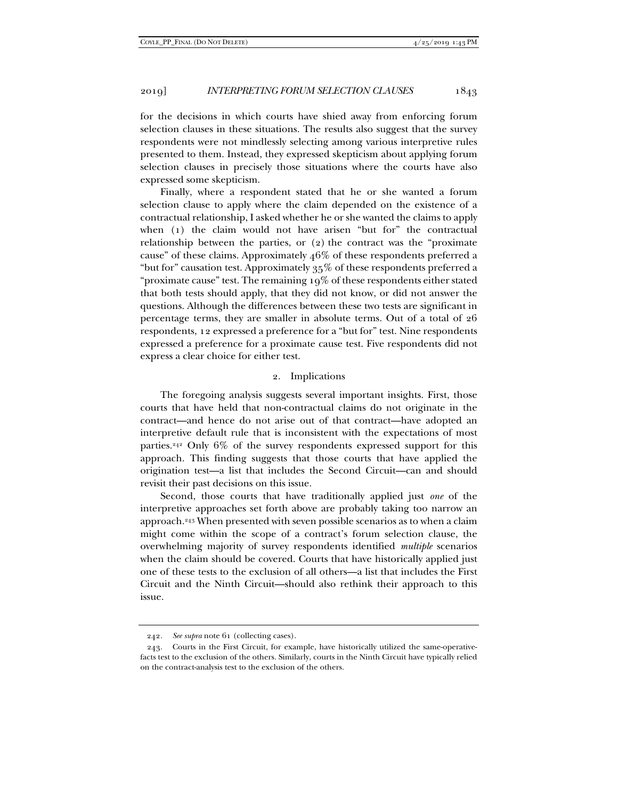for the decisions in which courts have shied away from enforcing forum selection clauses in these situations. The results also suggest that the survey respondents were not mindlessly selecting among various interpretive rules presented to them. Instead, they expressed skepticism about applying forum selection clauses in precisely those situations where the courts have also expressed some skepticism.

Finally, where a respondent stated that he or she wanted a forum selection clause to apply where the claim depended on the existence of a contractual relationship, I asked whether he or she wanted the claims to apply when (1) the claim would not have arisen "but for" the contractual relationship between the parties, or (2) the contract was the "proximate cause" of these claims. Approximately 46% of these respondents preferred a "but for" causation test. Approximately  $35\%$  of these respondents preferred a "proximate cause" test. The remaining  $19\%$  of these respondents either stated that both tests should apply, that they did not know, or did not answer the questions. Although the differences between these two tests are significant in percentage terms, they are smaller in absolute terms. Out of a total of 26 respondents, 12 expressed a preference for a "but for" test. Nine respondents expressed a preference for a proximate cause test. Five respondents did not express a clear choice for either test.

# 2. Implications

The foregoing analysis suggests several important insights. First, those courts that have held that non-contractual claims do not originate in the contract—and hence do not arise out of that contract—have adopted an interpretive default rule that is inconsistent with the expectations of most parties.242 Only 6% of the survey respondents expressed support for this approach. This finding suggests that those courts that have applied the origination test—a list that includes the Second Circuit—can and should revisit their past decisions on this issue.

Second, those courts that have traditionally applied just *one* of the interpretive approaches set forth above are probably taking too narrow an approach.243 When presented with seven possible scenarios as to when a claim might come within the scope of a contract's forum selection clause, the overwhelming majority of survey respondents identified *multiple* scenarios when the claim should be covered. Courts that have historically applied just one of these tests to the exclusion of all others—a list that includes the First Circuit and the Ninth Circuit—should also rethink their approach to this issue.

<sup>242</sup>*. See supra* note 61 (collecting cases).

 <sup>243.</sup> Courts in the First Circuit, for example, have historically utilized the same-operativefacts test to the exclusion of the others. Similarly, courts in the Ninth Circuit have typically relied on the contract-analysis test to the exclusion of the others.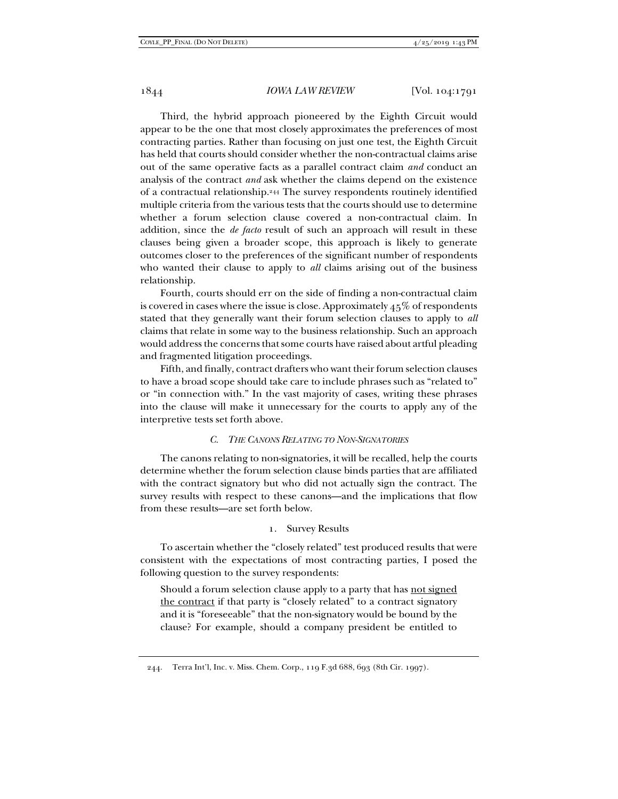Third, the hybrid approach pioneered by the Eighth Circuit would appear to be the one that most closely approximates the preferences of most contracting parties. Rather than focusing on just one test, the Eighth Circuit has held that courts should consider whether the non-contractual claims arise out of the same operative facts as a parallel contract claim *and* conduct an analysis of the contract *and* ask whether the claims depend on the existence of a contractual relationship.244 The survey respondents routinely identified multiple criteria from the various tests that the courts should use to determine whether a forum selection clause covered a non-contractual claim. In addition, since the *de facto* result of such an approach will result in these clauses being given a broader scope, this approach is likely to generate outcomes closer to the preferences of the significant number of respondents who wanted their clause to apply to *all* claims arising out of the business relationship.

Fourth, courts should err on the side of finding a non-contractual claim is covered in cases where the issue is close. Approximately  $45\%$  of respondents stated that they generally want their forum selection clauses to apply to *all* claims that relate in some way to the business relationship. Such an approach would address the concerns that some courts have raised about artful pleading and fragmented litigation proceedings.

Fifth, and finally, contract drafters who want their forum selection clauses to have a broad scope should take care to include phrases such as "related to" or "in connection with." In the vast majority of cases, writing these phrases into the clause will make it unnecessary for the courts to apply any of the interpretive tests set forth above.

# *C. THE CANONS RELATING TO NON-SIGNATORIES*

The canons relating to non-signatories, it will be recalled, help the courts determine whether the forum selection clause binds parties that are affiliated with the contract signatory but who did not actually sign the contract. The survey results with respect to these canons—and the implications that flow from these results—are set forth below.

#### 1. Survey Results

To ascertain whether the "closely related" test produced results that were consistent with the expectations of most contracting parties, I posed the following question to the survey respondents:

Should a forum selection clause apply to a party that has not signed the contract if that party is "closely related" to a contract signatory and it is "foreseeable" that the non-signatory would be bound by the clause? For example, should a company president be entitled to

 <sup>244.</sup> Terra Int'l, Inc. v. Miss. Chem. Corp., 119 F.3d 688, 693 (8th Cir. 1997).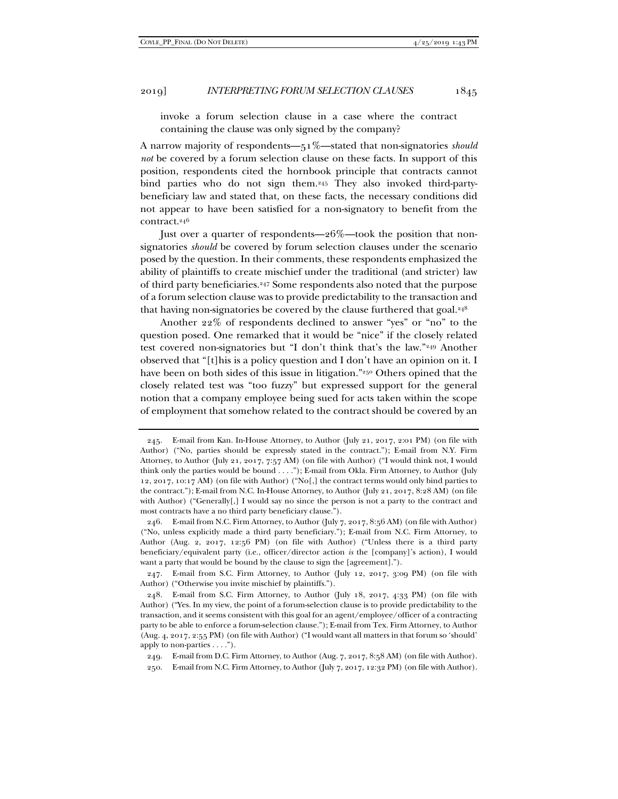invoke a forum selection clause in a case where the contract containing the clause was only signed by the company?

A narrow majority of respondents—51%—stated that non-signatories *should not* be covered by a forum selection clause on these facts. In support of this position, respondents cited the hornbook principle that contracts cannot bind parties who do not sign them.245 They also invoked third-partybeneficiary law and stated that, on these facts, the necessary conditions did not appear to have been satisfied for a non-signatory to benefit from the contract.246

Just over a quarter of respondents— $26\%$ —took the position that nonsignatories *should* be covered by forum selection clauses under the scenario posed by the question. In their comments, these respondents emphasized the ability of plaintiffs to create mischief under the traditional (and stricter) law of third party beneficiaries.247 Some respondents also noted that the purpose of a forum selection clause was to provide predictability to the transaction and that having non-signatories be covered by the clause furthered that goal. $248$ 

Another 22% of respondents declined to answer "yes" or "no" to the question posed. One remarked that it would be "nice" if the closely related test covered non-signatories but "I don't think that's the law."249 Another observed that "[t]his is a policy question and I don't have an opinion on it. I have been on both sides of this issue in litigation."<sup>250</sup> Others opined that the closely related test was "too fuzzy" but expressed support for the general notion that a company employee being sued for acts taken within the scope of employment that somehow related to the contract should be covered by an

 <sup>245.</sup> E-mail from Kan. In-House Attorney, to Author (July 21, 2017, 2:01 PM) (on file with Author) ("No, parties should be expressly stated in the contract."); E-mail from N.Y. Firm Attorney, to Author (July 21, 2017, 7:57 AM) (on file with Author) ("I would think not, I would think only the parties would be bound . . . ."); E-mail from Okla. Firm Attorney, to Author (July 12, 2017, 10:17 AM) (on file with Author) ("No[,] the contract terms would only bind parties to the contract."); E-mail from N.C. In-House Attorney, to Author (July 21, 2017, 8:28 AM) (on file with Author) ("Generally[,] I would say no since the person is not a party to the contract and most contracts have a no third party beneficiary clause.").

 <sup>246.</sup> E-mail from N.C. Firm Attorney, to Author (July 7, 2017, 8:56 AM) (on file with Author) ("No, unless explicitly made a third party beneficiary."); E-mail from N.C. Firm Attorney, to Author (Aug. 2, 2017, 12:56 PM) (on file with Author) ("Unless there is a third party beneficiary/equivalent party (i.e., officer/director action *is* the [company]'s action), I would want a party that would be bound by the clause to sign the [agreement].").

 <sup>247.</sup> E-mail from S.C. Firm Attorney, to Author (July 12, 2017, 3:09 PM) (on file with Author) ("Otherwise you invite mischief by plaintiffs.").

 <sup>248.</sup> E-mail from S.C. Firm Attorney, to Author (July 18, 2017, 4:33 PM) (on file with Author) ("Yes. In my view, the point of a forum-selection clause is to provide predictability to the transaction, and it seems consistent with this goal for an agent/employee/officer of a contracting party to be able to enforce a forum-selection clause."); E-mail from Tex. Firm Attorney, to Author (Aug. 4, 2017, 2:55 PM) (on file with Author) ("I would want all matters in that forum so 'should' apply to non-parties . . . .").

 <sup>249.</sup> E-mail from D.C. Firm Attorney, to Author (Aug. 7, 2017, 8:58 AM) (on file with Author). 250. E-mail from N.C. Firm Attorney, to Author (July 7, 2017, 12:32 PM) (on file with Author).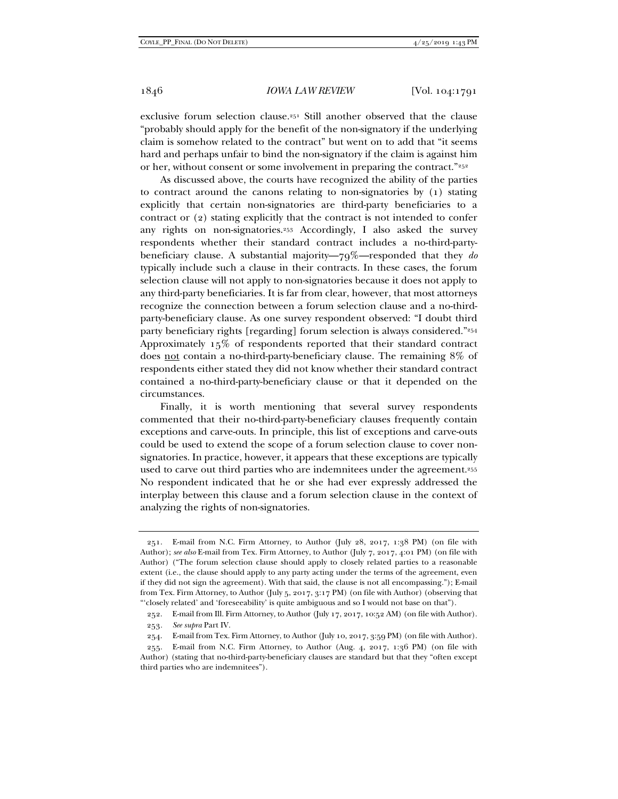exclusive forum selection clause.<sup>251</sup> Still another observed that the clause "probably should apply for the benefit of the non-signatory if the underlying claim is somehow related to the contract" but went on to add that "it seems hard and perhaps unfair to bind the non-signatory if the claim is against him or her, without consent or some involvement in preparing the contract."<sup>252</sup>

As discussed above, the courts have recognized the ability of the parties to contract around the canons relating to non-signatories by (1) stating explicitly that certain non-signatories are third-party beneficiaries to a contract or (2) stating explicitly that the contract is not intended to confer any rights on non-signatories.253 Accordingly, I also asked the survey respondents whether their standard contract includes a no-third-partybeneficiary clause. A substantial majority—79%—responded that they *do* typically include such a clause in their contracts. In these cases, the forum selection clause will not apply to non-signatories because it does not apply to any third-party beneficiaries. It is far from clear, however, that most attorneys recognize the connection between a forum selection clause and a no-thirdparty-beneficiary clause. As one survey respondent observed: "I doubt third party beneficiary rights [regarding] forum selection is always considered."254 Approximately 15% of respondents reported that their standard contract does not contain a no-third-party-beneficiary clause. The remaining 8% of respondents either stated they did not know whether their standard contract contained a no-third-party-beneficiary clause or that it depended on the circumstances.

Finally, it is worth mentioning that several survey respondents commented that their no-third-party-beneficiary clauses frequently contain exceptions and carve-outs. In principle, this list of exceptions and carve-outs could be used to extend the scope of a forum selection clause to cover nonsignatories. In practice, however, it appears that these exceptions are typically used to carve out third parties who are indemnitees under the agreement.<sup>255</sup> No respondent indicated that he or she had ever expressly addressed the interplay between this clause and a forum selection clause in the context of analyzing the rights of non-signatories.

 <sup>251.</sup> E-mail from N.C. Firm Attorney, to Author (July 28, 2017, 1:38 PM) (on file with Author); *see also* E-mail from Tex. Firm Attorney, to Author (July 7, 2017, 4:01 PM) (on file with Author) ("The forum selection clause should apply to closely related parties to a reasonable extent (i.e., the clause should apply to any party acting under the terms of the agreement, even if they did not sign the agreement). With that said, the clause is not all encompassing."); E-mail from Tex. Firm Attorney, to Author (July 5, 2017, 3:17 PM) (on file with Author) (observing that "'closely related' and 'foreseeability' is quite ambiguous and so I would not base on that").

 <sup>252.</sup> E-mail from Ill. Firm Attorney, to Author (July 17, 2017, 10:52 AM) (on file with Author). 253*. See supra* Part IV.

 <sup>254.</sup> E-mail from Tex. Firm Attorney, to Author (July 10, 2017, 3:59 PM) (on file with Author).

 <sup>255.</sup> E-mail from N.C. Firm Attorney, to Author (Aug. 4, 2017, 1:36 PM) (on file with Author) (stating that no-third-party-beneficiary clauses are standard but that they "often except third parties who are indemnitees").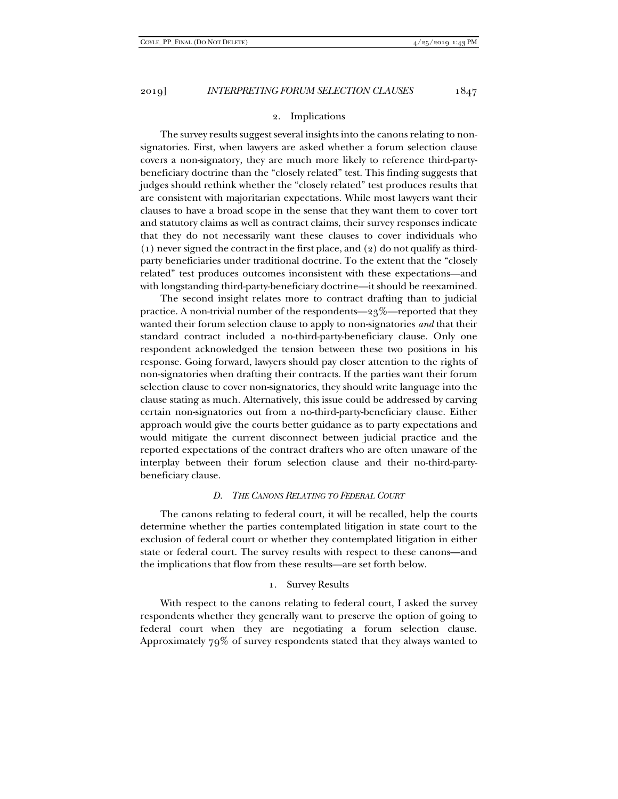#### 2. Implications

The survey results suggest several insights into the canons relating to nonsignatories. First, when lawyers are asked whether a forum selection clause covers a non-signatory, they are much more likely to reference third-partybeneficiary doctrine than the "closely related" test. This finding suggests that judges should rethink whether the "closely related" test produces results that are consistent with majoritarian expectations. While most lawyers want their clauses to have a broad scope in the sense that they want them to cover tort and statutory claims as well as contract claims, their survey responses indicate that they do not necessarily want these clauses to cover individuals who (1) never signed the contract in the first place, and (2) do not qualify as thirdparty beneficiaries under traditional doctrine. To the extent that the "closely related" test produces outcomes inconsistent with these expectations—and with longstanding third-party-beneficiary doctrine—it should be reexamined.

The second insight relates more to contract drafting than to judicial practice. A non-trivial number of the respondents—23%—reported that they wanted their forum selection clause to apply to non-signatories *and* that their standard contract included a no-third-party-beneficiary clause. Only one respondent acknowledged the tension between these two positions in his response. Going forward, lawyers should pay closer attention to the rights of non-signatories when drafting their contracts. If the parties want their forum selection clause to cover non-signatories, they should write language into the clause stating as much. Alternatively, this issue could be addressed by carving certain non-signatories out from a no-third-party-beneficiary clause. Either approach would give the courts better guidance as to party expectations and would mitigate the current disconnect between judicial practice and the reported expectations of the contract drafters who are often unaware of the interplay between their forum selection clause and their no-third-partybeneficiary clause.

#### *D. THE CANONS RELATING TO FEDERAL COURT*

The canons relating to federal court, it will be recalled, help the courts determine whether the parties contemplated litigation in state court to the exclusion of federal court or whether they contemplated litigation in either state or federal court. The survey results with respect to these canons—and the implications that flow from these results—are set forth below.

# 1. Survey Results

With respect to the canons relating to federal court, I asked the survey respondents whether they generally want to preserve the option of going to federal court when they are negotiating a forum selection clause. Approximately 79% of survey respondents stated that they always wanted to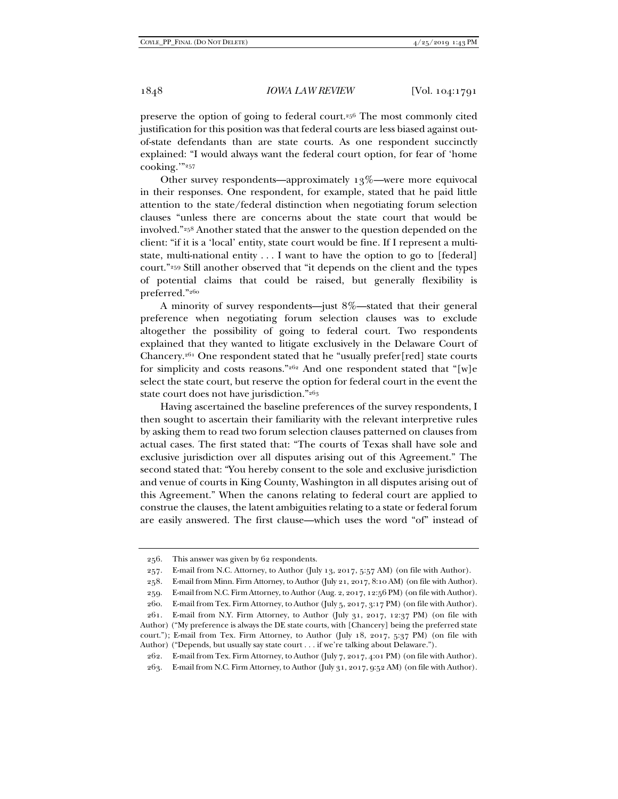preserve the option of going to federal court.256 The most commonly cited justification for this position was that federal courts are less biased against outof-state defendants than are state courts. As one respondent succinctly explained: "I would always want the federal court option, for fear of 'home cooking.'"257

Other survey respondents—approximately  $13\%$ —were more equivocal in their responses. One respondent, for example, stated that he paid little attention to the state/federal distinction when negotiating forum selection clauses "unless there are concerns about the state court that would be involved."258 Another stated that the answer to the question depended on the client: "if it is a 'local' entity, state court would be fine. If I represent a multistate, multi-national entity . . . I want to have the option to go to [federal] court."259 Still another observed that "it depends on the client and the types of potential claims that could be raised, but generally flexibility is preferred."260

A minority of survey respondents—just 8%—stated that their general preference when negotiating forum selection clauses was to exclude altogether the possibility of going to federal court. Two respondents explained that they wanted to litigate exclusively in the Delaware Court of Chancery.261 One respondent stated that he "usually prefer[red] state courts for simplicity and costs reasons."262 And one respondent stated that "[w]e select the state court, but reserve the option for federal court in the event the state court does not have jurisdiction."263

Having ascertained the baseline preferences of the survey respondents, I then sought to ascertain their familiarity with the relevant interpretive rules by asking them to read two forum selection clauses patterned on clauses from actual cases. The first stated that: "The courts of Texas shall have sole and exclusive jurisdiction over all disputes arising out of this Agreement." The second stated that: "You hereby consent to the sole and exclusive jurisdiction and venue of courts in King County, Washington in all disputes arising out of this Agreement." When the canons relating to federal court are applied to construe the clauses, the latent ambiguities relating to a state or federal forum are easily answered. The first clause—which uses the word "of" instead of

 <sup>256.</sup> This answer was given by 62 respondents.

 <sup>257.</sup> E-mail from N.C. Attorney, to Author (July 13, 2017, 5:57 AM) (on file with Author).

 <sup>258.</sup> E-mail from Minn. Firm Attorney, to Author (July 21, 2017, 8:10 AM) (on file with Author).

 <sup>259.</sup> E-mail from N.C. Firm Attorney, to Author (Aug. 2, 2017, 12:56 PM) (on file with Author).

 <sup>260.</sup> E-mail from Tex. Firm Attorney, to Author (July 5, 2017, 3:17 PM) (on file with Author).

 <sup>261.</sup> E-mail from N.Y. Firm Attorney, to Author (July 31, 2017, 12:37 PM) (on file with

Author) ("My preference is always the DE state courts, with [Chancery] being the preferred state court."); E-mail from Tex. Firm Attorney, to Author (July 18, 2017, 5:37 PM) (on file with Author) ("Depends, but usually say state court . . . if we're talking about Delaware.").

 <sup>262.</sup> E-mail from Tex. Firm Attorney, to Author (July 7, 2017, 4:01 PM) (on file with Author).

 <sup>263.</sup> E-mail from N.C. Firm Attorney, to Author (July 31, 2017, 9:52 AM) (on file with Author).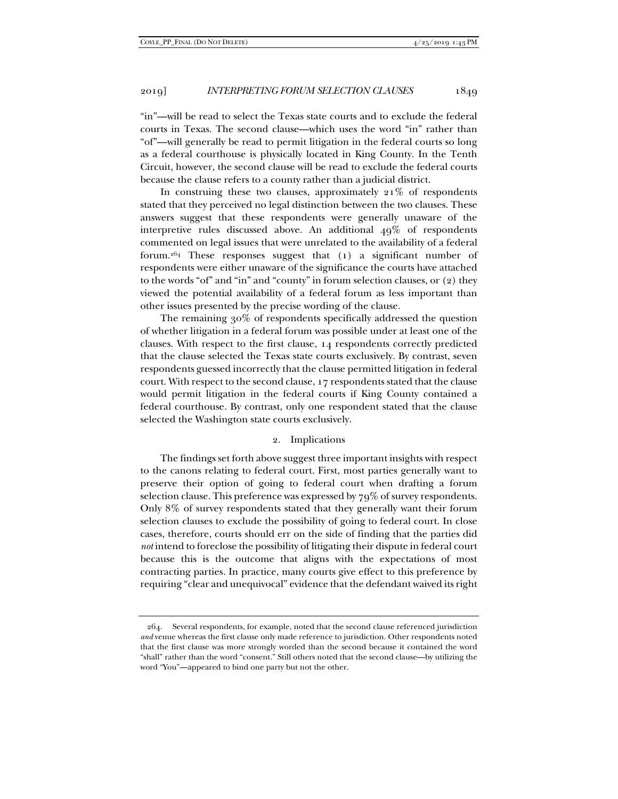"in"—will be read to select the Texas state courts and to exclude the federal courts in Texas. The second clause—which uses the word "in" rather than "of"—will generally be read to permit litigation in the federal courts so long as a federal courthouse is physically located in King County. In the Tenth Circuit, however, the second clause will be read to exclude the federal courts because the clause refers to a county rather than a judicial district.

In construing these two clauses, approximately  $21\%$  of respondents stated that they perceived no legal distinction between the two clauses. These answers suggest that these respondents were generally unaware of the interpretive rules discussed above. An additional 49% of respondents commented on legal issues that were unrelated to the availability of a federal forum.264 These responses suggest that (1) a significant number of respondents were either unaware of the significance the courts have attached to the words "of" and "in" and "county" in forum selection clauses, or (2) they viewed the potential availability of a federal forum as less important than other issues presented by the precise wording of the clause.

The remaining  $30\%$  of respondents specifically addressed the question of whether litigation in a federal forum was possible under at least one of the clauses. With respect to the first clause, 14 respondents correctly predicted that the clause selected the Texas state courts exclusively. By contrast, seven respondents guessed incorrectly that the clause permitted litigation in federal court. With respect to the second clause, 17 respondents stated that the clause would permit litigation in the federal courts if King County contained a federal courthouse. By contrast, only one respondent stated that the clause selected the Washington state courts exclusively.

## 2. Implications

The findings set forth above suggest three important insights with respect to the canons relating to federal court. First, most parties generally want to preserve their option of going to federal court when drafting a forum selection clause. This preference was expressed by 79% of survey respondents. Only 8% of survey respondents stated that they generally want their forum selection clauses to exclude the possibility of going to federal court. In close cases, therefore, courts should err on the side of finding that the parties did *not* intend to foreclose the possibility of litigating their dispute in federal court because this is the outcome that aligns with the expectations of most contracting parties. In practice, many courts give effect to this preference by requiring "clear and unequivocal" evidence that the defendant waived its right

 <sup>264.</sup> Several respondents, for example, noted that the second clause referenced jurisdiction *and* venue whereas the first clause only made reference to jurisdiction. Other respondents noted that the first clause was more strongly worded than the second because it contained the word "shall" rather than the word "consent." Still others noted that the second clause—by utilizing the word "You"—appeared to bind one party but not the other.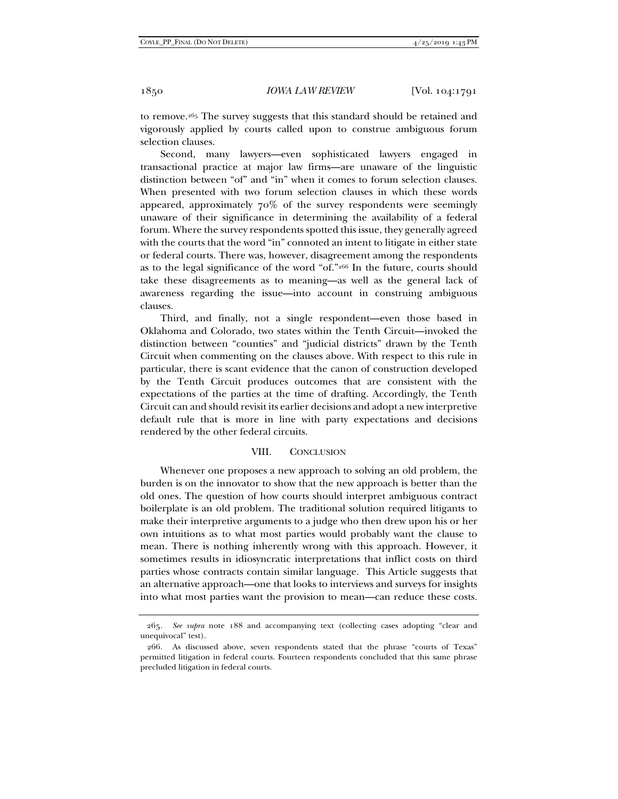to remove.265 The survey suggests that this standard should be retained and vigorously applied by courts called upon to construe ambiguous forum selection clauses.

Second, many lawyers—even sophisticated lawyers engaged in transactional practice at major law firms—are unaware of the linguistic distinction between "of" and "in" when it comes to forum selection clauses. When presented with two forum selection clauses in which these words appeared, approximately  $70\%$  of the survey respondents were seemingly unaware of their significance in determining the availability of a federal forum. Where the survey respondents spotted this issue, they generally agreed with the courts that the word "in" connoted an intent to litigate in either state or federal courts. There was, however, disagreement among the respondents as to the legal significance of the word "of."266 In the future, courts should take these disagreements as to meaning—as well as the general lack of awareness regarding the issue—into account in construing ambiguous clauses.

Third, and finally, not a single respondent—even those based in Oklahoma and Colorado, two states within the Tenth Circuit—invoked the distinction between "counties" and "judicial districts" drawn by the Tenth Circuit when commenting on the clauses above. With respect to this rule in particular, there is scant evidence that the canon of construction developed by the Tenth Circuit produces outcomes that are consistent with the expectations of the parties at the time of drafting. Accordingly, the Tenth Circuit can and should revisit its earlier decisions and adopt a new interpretive default rule that is more in line with party expectations and decisions rendered by the other federal circuits.

#### VIII. CONCLUSION

Whenever one proposes a new approach to solving an old problem, the burden is on the innovator to show that the new approach is better than the old ones. The question of how courts should interpret ambiguous contract boilerplate is an old problem. The traditional solution required litigants to make their interpretive arguments to a judge who then drew upon his or her own intuitions as to what most parties would probably want the clause to mean. There is nothing inherently wrong with this approach. However, it sometimes results in idiosyncratic interpretations that inflict costs on third parties whose contracts contain similar language. This Article suggests that an alternative approach—one that looks to interviews and surveys for insights into what most parties want the provision to mean—can reduce these costs.

<sup>265</sup>*. See supra* note 188 and accompanying text (collecting cases adopting "clear and unequivocal" test).

 <sup>266.</sup> As discussed above, seven respondents stated that the phrase "courts of Texas" permitted litigation in federal courts. Fourteen respondents concluded that this same phrase precluded litigation in federal courts.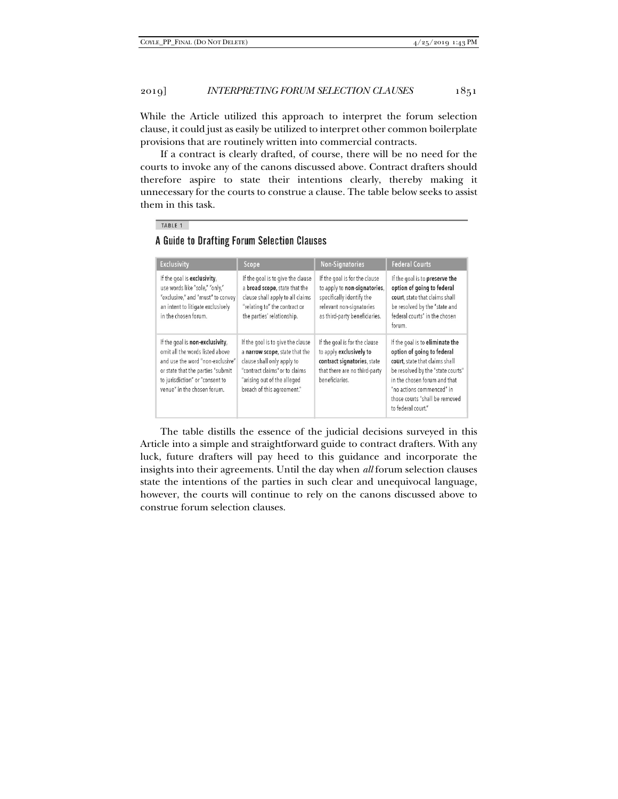2019] *INTERPRETING FORUM SELECTION CLAUSES* 1851

While the Article utilized this approach to interpret the forum selection clause, it could just as easily be utilized to interpret other common boilerplate provisions that are routinely written into commercial contracts.

If a contract is clearly drafted, of course, there will be no need for the courts to invoke any of the canons discussed above. Contract drafters should therefore aspire to state their intentions clearly, thereby making it unnecessary for the courts to construe a clause. The table below seeks to assist them in this task.

TABLE 1

| <b>Exclusivity</b>                                                                                                                                                                                            | Scope                                                                                                                                                                                            | <b>Non-Signatories</b>                                                                                                                                  | <b>Federal Courts</b>                                                                                                                                                                                                                                     |
|---------------------------------------------------------------------------------------------------------------------------------------------------------------------------------------------------------------|--------------------------------------------------------------------------------------------------------------------------------------------------------------------------------------------------|---------------------------------------------------------------------------------------------------------------------------------------------------------|-----------------------------------------------------------------------------------------------------------------------------------------------------------------------------------------------------------------------------------------------------------|
| If the goal is exclusivity,<br>use words like "sole," "only,"<br>"exclusive," and "must" to convey<br>an intent to litigate exclusively<br>in the chosen forum.                                               | If the goal is to give the clause<br>a broad scope, state that the<br>clause shall apply to all claims<br>"relating to" the contract or<br>the parties' relationship.                            | If the goal is for the clause<br>to apply to non-signatories.<br>specifically identify the<br>relevant non-signatories<br>as third-party beneficiaries. | If the goal is to preserve the<br>option of going to federal<br>court, state that claims shall<br>be resolved by the "state and<br>federal courts" in the chosen<br>forum.                                                                                |
| If the goal is non-exclusivity,<br>omit all the words listed above<br>and use the word "non-exclusive"<br>or state that the parties "submit<br>to jurisdiction" or "consent to<br>venue" in the chosen forum. | If the goal is to give the clause<br>a narrow scope, state that the<br>clause shall only apply to<br>"contract claims" or to claims<br>"arising out of the alleged<br>breach of this agreement." | If the goal is for the clause<br>to apply exclusively to<br>contract signatories, state<br>that there are no third-party<br>beneficiaries.              | If the goal is to eliminate the<br>option of going to federal<br>court, state that claims shall<br>be resolved by the "state courts"<br>in the chosen forum and that<br>"no actions commenced" in<br>those courts "shall be removed<br>to federal court." |

# A Guide to Drafting Forum Selection Clauses

The table distills the essence of the judicial decisions surveyed in this Article into a simple and straightforward guide to contract drafters. With any luck, future drafters will pay heed to this guidance and incorporate the insights into their agreements. Until the day when *all* forum selection clauses state the intentions of the parties in such clear and unequivocal language, however, the courts will continue to rely on the canons discussed above to construe forum selection clauses.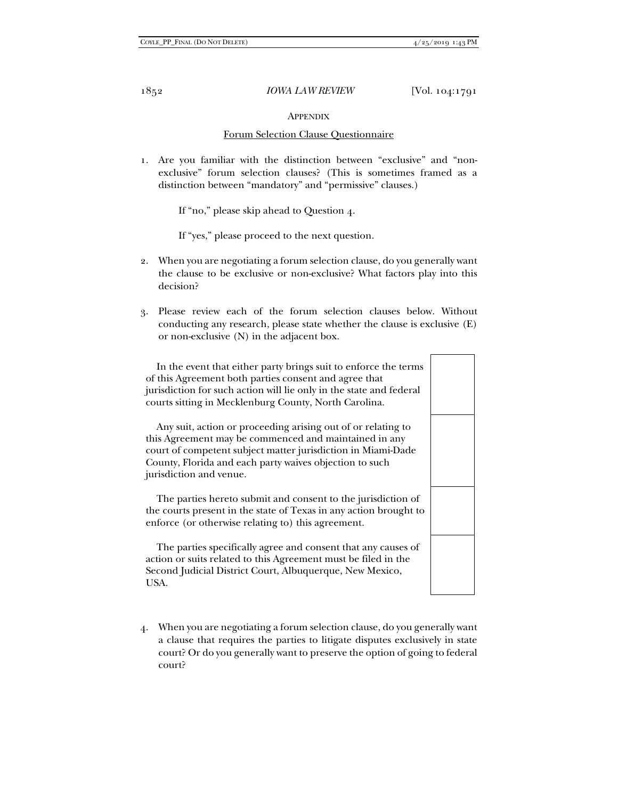# **APPENDIX**

# Forum Selection Clause Questionnaire

1. Are you familiar with the distinction between "exclusive" and "nonexclusive" forum selection clauses? (This is sometimes framed as a distinction between "mandatory" and "permissive" clauses.)

If "no," please skip ahead to Question 4.

If "yes," please proceed to the next question.

- 2. When you are negotiating a forum selection clause, do you generally want the clause to be exclusive or non-exclusive? What factors play into this decision?
- 3. Please review each of the forum selection clauses below. Without conducting any research, please state whether the clause is exclusive (E) or non-exclusive (N) in the adjacent box.

In the event that either party brings suit to enforce the terms of this Agreement both parties consent and agree that jurisdiction for such action will lie only in the state and federal courts sitting in Mecklenburg County, North Carolina.

Any suit, action or proceeding arising out of or relating to this Agreement may be commenced and maintained in any court of competent subject matter jurisdiction in Miami-Dade County, Florida and each party waives objection to such jurisdiction and venue.

The parties hereto submit and consent to the jurisdiction of the courts present in the state of Texas in any action brought to enforce (or otherwise relating to) this agreement.

The parties specifically agree and consent that any causes of action or suits related to this Agreement must be filed in the Second Judicial District Court, Albuquerque, New Mexico, USA.

4. When you are negotiating a forum selection clause, do you generally want a clause that requires the parties to litigate disputes exclusively in state court? Or do you generally want to preserve the option of going to federal court?

![](_page_61_Figure_14.jpeg)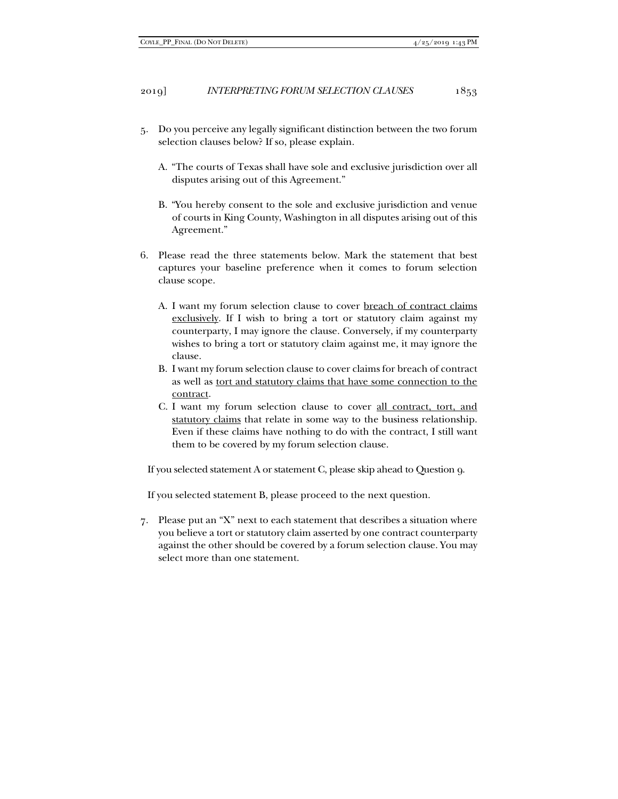- 5. Do you perceive any legally significant distinction between the two forum selection clauses below? If so, please explain.
	- A. "The courts of Texas shall have sole and exclusive jurisdiction over all disputes arising out of this Agreement."
	- B. "You hereby consent to the sole and exclusive jurisdiction and venue of courts in King County, Washington in all disputes arising out of this Agreement."
- 6. Please read the three statements below. Mark the statement that best captures your baseline preference when it comes to forum selection clause scope.
	- A. I want my forum selection clause to cover breach of contract claims exclusively. If I wish to bring a tort or statutory claim against my counterparty, I may ignore the clause. Conversely, if my counterparty wishes to bring a tort or statutory claim against me, it may ignore the clause.
	- B. I want my forum selection clause to cover claims for breach of contract as well as tort and statutory claims that have some connection to the contract.
	- C. I want my forum selection clause to cover all contract, tort, and statutory claims that relate in some way to the business relationship. Even if these claims have nothing to do with the contract, I still want them to be covered by my forum selection clause.

If you selected statement A or statement C, please skip ahead to Question 9.

If you selected statement B, please proceed to the next question.

7. Please put an "X" next to each statement that describes a situation where you believe a tort or statutory claim asserted by one contract counterparty against the other should be covered by a forum selection clause. You may select more than one statement.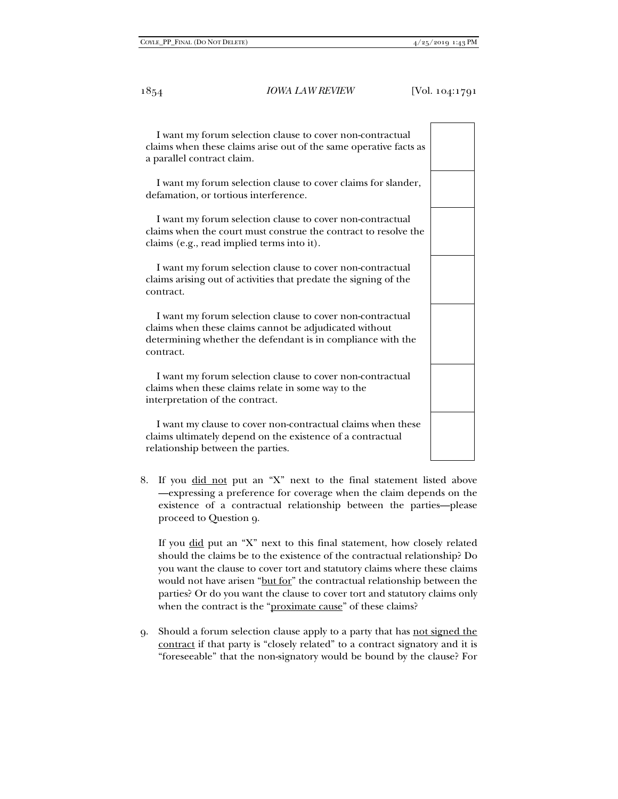I want my forum selection clause to cover non-contractual claims when these claims arise out of the same operative facts as a parallel contract claim.

I want my forum selection clause to cover claims for slander, defamation, or tortious interference.

I want my forum selection clause to cover non-contractual claims when the court must construe the contract to resolve the claims (e.g., read implied terms into it).

I want my forum selection clause to cover non-contractual claims arising out of activities that predate the signing of the contract.

I want my forum selection clause to cover non-contractual claims when these claims cannot be adjudicated without determining whether the defendant is in compliance with the contract.

I want my forum selection clause to cover non-contractual claims when these claims relate in some way to the interpretation of the contract.

I want my clause to cover non-contractual claims when these claims ultimately depend on the existence of a contractual relationship between the parties.

8. If you did not put an "X" next to the final statement listed above —expressing a preference for coverage when the claim depends on the existence of a contractual relationship between the parties—please proceed to Question 9.

If you did put an "X" next to this final statement, how closely related should the claims be to the existence of the contractual relationship? Do you want the clause to cover tort and statutory claims where these claims would not have arisen "but for" the contractual relationship between the parties? Or do you want the clause to cover tort and statutory claims only when the contract is the "proximate cause" of these claims?

9. Should a forum selection clause apply to a party that has not signed the contract if that party is "closely related" to a contract signatory and it is "foreseeable" that the non-signatory would be bound by the clause? For

![](_page_63_Figure_12.jpeg)